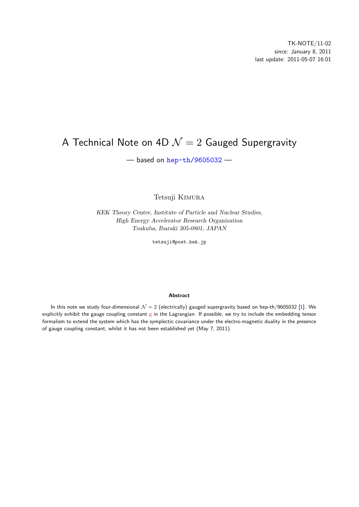# <span id="page-0-0"></span>A Technical Note on 4D *N* = 2 Gauged Supergravity

— based on hep-th/9605032 —

Tetsuji [Kimura](http://arxiv.org/abs/hep-th/9605032)

*KEK Theory Center, Institute of Particle and Nuclear Studies, High Energy Accelerator Research Organization Tsukuba, Ibaraki 305-0801, JAPAN*

tetsuji@post.kek.jp

#### **Abstract**

In this note we study four-dimensional  $\mathcal{N}=2$  (electrically) gauged supergravity based on hep-th/9605032 [1]. We explicitly exhibit the gauge coupling constant  $g$  in the Lagrangian. If possible, we try to include the embedding tensor formalism to extend the system which has the symplectic covariance under the electro-magnetic duality in the presence of gauge coupling constant, whilst it has not been established yet (May 7, 2011).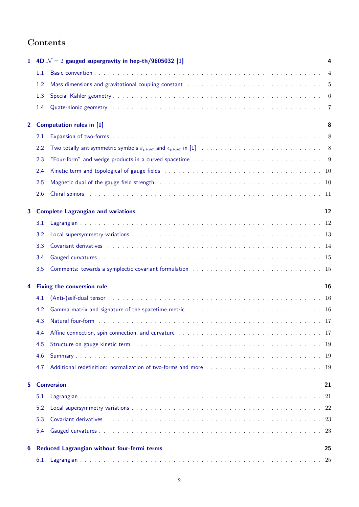# **Contents**

|   |               | 1 4D $\mathcal{N}=2$ gauged supergravity in hep-th/9605032 [1]                                                                                                                                                                 | 4  |  |  |  |
|---|---------------|--------------------------------------------------------------------------------------------------------------------------------------------------------------------------------------------------------------------------------|----|--|--|--|
|   | 1.1           |                                                                                                                                                                                                                                |    |  |  |  |
|   | 1.2           | Mass dimensions and gravitational coupling constant (a) the subset of the set of the set of the set of the set of the set of the set of the set of the set of the set of the set of the set of the set of the set of the set o |    |  |  |  |
|   | 1.3           |                                                                                                                                                                                                                                |    |  |  |  |
|   | 1.4           |                                                                                                                                                                                                                                |    |  |  |  |
|   |               | 2 Computation rules in [1]<br>8                                                                                                                                                                                                |    |  |  |  |
|   | 2.1           |                                                                                                                                                                                                                                |    |  |  |  |
|   | 2.2           |                                                                                                                                                                                                                                |    |  |  |  |
|   | 2.3           |                                                                                                                                                                                                                                |    |  |  |  |
|   | 2.4           |                                                                                                                                                                                                                                |    |  |  |  |
|   | 2.5           |                                                                                                                                                                                                                                |    |  |  |  |
|   | 2.6           |                                                                                                                                                                                                                                |    |  |  |  |
|   |               | 3 Complete Lagrangian and variations                                                                                                                                                                                           | 12 |  |  |  |
|   | $3.1^{\circ}$ |                                                                                                                                                                                                                                |    |  |  |  |
|   | 3.2           |                                                                                                                                                                                                                                |    |  |  |  |
|   | 3.3           |                                                                                                                                                                                                                                |    |  |  |  |
|   | 3.4           |                                                                                                                                                                                                                                |    |  |  |  |
|   | 3.5           |                                                                                                                                                                                                                                |    |  |  |  |
| 4 |               | <b>Fixing the conversion rule</b>                                                                                                                                                                                              | 16 |  |  |  |
|   | 4.1           |                                                                                                                                                                                                                                |    |  |  |  |
|   | 4.2           |                                                                                                                                                                                                                                |    |  |  |  |
|   | 4.3           |                                                                                                                                                                                                                                |    |  |  |  |
|   | 4.4           |                                                                                                                                                                                                                                |    |  |  |  |
|   | 4.5           |                                                                                                                                                                                                                                |    |  |  |  |
|   | 4.6           |                                                                                                                                                                                                                                |    |  |  |  |
|   | 4.7           |                                                                                                                                                                                                                                |    |  |  |  |
| 5 |               | <b>Conversion</b>                                                                                                                                                                                                              | 21 |  |  |  |
|   | 5.1           |                                                                                                                                                                                                                                |    |  |  |  |
|   | 5.2           |                                                                                                                                                                                                                                |    |  |  |  |
|   | 5.3           | Covariant derivatives (Alternative Alternative Alternative Alternative Alternative Alternative Alternative Alt                                                                                                                 |    |  |  |  |
|   | 5.4           |                                                                                                                                                                                                                                |    |  |  |  |
| 6 |               | Reduced Lagrangian without four-fermi terms                                                                                                                                                                                    | 25 |  |  |  |
|   | 6.1           |                                                                                                                                                                                                                                |    |  |  |  |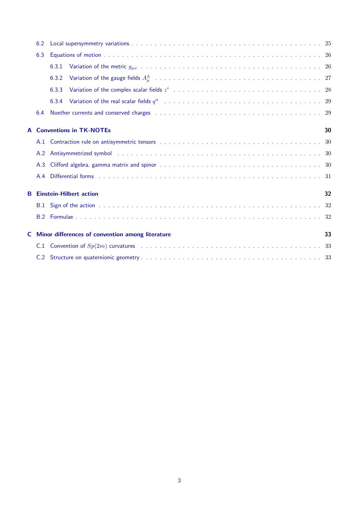|    | 6.2 |                                                                                                                                                                                                                                |    |
|----|-----|--------------------------------------------------------------------------------------------------------------------------------------------------------------------------------------------------------------------------------|----|
|    | 6.3 |                                                                                                                                                                                                                                |    |
|    |     | 6.3.1                                                                                                                                                                                                                          |    |
|    |     | 6.3.2                                                                                                                                                                                                                          |    |
|    |     | 6.3.3                                                                                                                                                                                                                          |    |
|    |     | 6.3.4                                                                                                                                                                                                                          |    |
|    | 6.4 |                                                                                                                                                                                                                                |    |
|    |     | <b>A</b> Conventions in TK-NOTEs                                                                                                                                                                                               | 30 |
|    |     |                                                                                                                                                                                                                                |    |
|    | A.2 | Antisymmetrized symbol in the contract of the contract of the contract of the contract of the contract of the contract of the contract of the contract of the contract of the contract of the contract of the contract of the  |    |
|    | A.3 |                                                                                                                                                                                                                                |    |
|    | A.4 | Differential forms (a) and a subset of the subset of the subset of the subset of the subset of the subset of the subset of the subset of the subset of the subset of the subset of the subset of the subset of the subset of t |    |
|    |     | <b>B</b> Einstein-Hilbert action                                                                                                                                                                                               | 32 |
|    |     |                                                                                                                                                                                                                                |    |
|    |     |                                                                                                                                                                                                                                |    |
| C. |     | Minor differences of convention among literature                                                                                                                                                                               | 33 |
|    | C.1 |                                                                                                                                                                                                                                |    |
|    | C.2 |                                                                                                                                                                                                                                |    |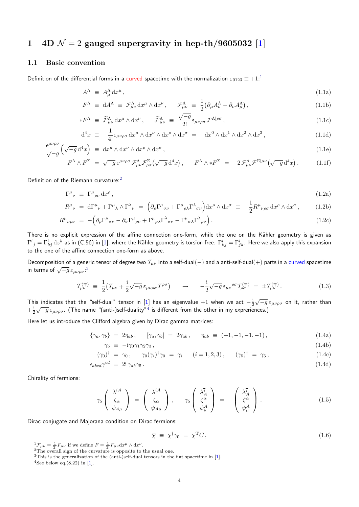# **1** 4D  $\mathcal{N} = 2$  gauged supergravity in hep-th/9605032 [1]

### **1.1 Basic convention**

<span id="page-3-1"></span><span id="page-3-0"></span>Definition of the differential forms in a curved spacetime with the normalization  $\varepsilon_{0123} \equiv +1$  $\varepsilon_{0123} \equiv +1$  $\varepsilon_{0123} \equiv +1$ <sup>1</sup>

$$
A^{\Lambda} \equiv A^{\Lambda}_{\mu} dx^{\mu}, \qquad (1.1a)
$$

$$
F^{\Lambda} \equiv dA^{\Lambda} \equiv \mathcal{F}^{\Lambda}_{\mu\nu} dx^{\mu} \wedge dx^{\nu}, \qquad \mathcal{F}^{\Lambda}_{\mu\nu} \equiv \frac{1}{2} (\partial_{\mu} A^{\Lambda}_{\nu} - \partial_{\nu} A^{\Lambda}_{\mu}), \qquad (1.1b)
$$

$$
*F^{\Lambda} \equiv \widetilde{\mathcal{F}}^{\Lambda}_{\mu\nu} dx^{\mu} \wedge dx^{\nu}, \qquad \widetilde{\mathcal{F}}^{\Lambda}_{\mu\nu} \equiv \frac{\sqrt{-g}}{2!} \varepsilon_{\mu\nu\rho\sigma} \mathcal{F}^{\Lambda|\rho\sigma}, \qquad (1.1c)
$$

<span id="page-3-5"></span>
$$
d^4x \equiv -\frac{1}{4!} \varepsilon_{\mu\nu\rho\sigma} dx^{\mu} \wedge dx^{\nu} \wedge dx^{\rho} \wedge dx^{\sigma} = -dx^0 \wedge dx^1 \wedge dx^2 \wedge dx^3, \qquad (1.1d)
$$

$$
\frac{\epsilon^{\mu\nu\rho\sigma}}{\sqrt{-g}} \left( \sqrt{-g} \, \mathrm{d}^4 x \right) \equiv \, \mathrm{d}x^{\mu} \wedge \mathrm{d}x^{\nu} \wedge \mathrm{d}x^{\rho} \wedge \mathrm{d}x^{\sigma} \,, \tag{1.1e}
$$

$$
F^{\Lambda} \wedge F^{\Sigma} = \sqrt{-g} \, \varepsilon^{\mu\nu\rho\sigma} \, \mathcal{F}^{\Lambda}_{\mu\nu} \mathcal{F}^{\Sigma}_{\rho\sigma} \big( \sqrt{-g} \, \mathrm{d}^4 x \big) \,, \qquad F^{\Lambda} \wedge * F^{\Sigma} = -2 \, \mathcal{F}^{\Lambda}_{\mu\nu} \mathcal{F}^{\Sigma|\mu\nu} \big( \sqrt{-g} \, \mathrm{d}^4 x \big) \,. \tag{1.1f}
$$

Definition of the Riemann curvature:<sup>2</sup>

<span id="page-3-8"></span>
$$
\Gamma^{\mu}{}_{\nu} \equiv \Gamma^{\mu}{}_{\rho\nu} \, dx^{\rho} \,, \tag{1.2a}
$$

$$
R^{\mu}{}_{\nu} = d\Gamma^{\mu}{}_{\nu} + \Gamma^{\mu}{}_{\lambda} \wedge \Gamma^{\lambda}{}_{\nu} = (\partial_{\rho} \Gamma^{\mu}{}_{\sigma\nu} + \Gamma^{\mu}{}_{\rho\lambda} \Gamma^{\lambda}{}_{\sigma\nu}) dx^{\rho} \wedge dx^{\sigma} \equiv -\frac{1}{2} R^{\mu}{}_{\nu\rho\sigma} dx^{\rho} \wedge dx^{\sigma}, \qquad (1.2b)
$$

$$
R^{\mu}{}_{\nu\rho\sigma} = -\left(\partial_{\rho}\Gamma^{\mu}{}_{\sigma\nu} - \partial_{\sigma}\Gamma^{\mu}{}_{\rho\nu} + \Gamma^{\mu}{}_{\rho\lambda}\Gamma^{\lambda}{}_{\sigma\nu} - \Gamma^{\mu}{}_{\sigma\lambda}\Gamma^{\lambda}{}_{\rho\nu}\right). \tag{1.2c}
$$

There is no explicit expression of the affine connection one-form, while the one on the Kähler geometry is given as  $\Gamma^i{}_j=\Gamma^i_{kj}\,\mathrm{d} z^k$  as in (C.56) in [1], where the Kähler geometry is torsion free:  $\Gamma^i_{kj}=\Gamma^i_{jk}$ . Here we also apply this expansion to the one of the affine connection one-form as above.

Decomposition of a generic tensor of degree two *Tµν* into a self-dual(*−*) and a anti-self-dual(+) parts in a curved spacetime  $\frac{1}{2}$  in terms of  $\sqrt{-g} \varepsilon_{\mu\nu\rho\sigma}$ <sup>3</sup>

$$
\mathcal{T}^{(\mp)}_{\mu\nu} \equiv \frac{1}{2} \big( \mathcal{T}_{\mu\nu} \mp \frac{i}{2} \sqrt{-g} \, \varepsilon_{\mu\nu\rho\sigma} \mathcal{T}^{\rho\sigma} \big) \qquad \rightarrow \qquad -\frac{i}{2} \sqrt{-g} \, \varepsilon_{\mu\nu}^{\rho\sigma} \mathcal{T}^{(\mp)}_{\rho\sigma} = \pm \mathcal{T}^{(\mp)}_{\mu\nu} \,. \tag{1.3}
$$

This indicat[e](#page-3-3)s that the "self-dual" tensor in [1] has an eigenvalue  $+1$  when we act  $-{\textstyle \frac{1}{2}}$ *√ −g εµνρσ* on it, rather than  $+\frac{1}{2}$  $\sqrt{-g} \varepsilon_{\mu\nu\rho\sigma}$ . (The name "(anti-)self-duality"<sup>4</sup> is different from the other in my expreriences.)

Here let us introduce the Clifford algebra given by Dirac gamma matrices:

$$
\{\gamma_a, \gamma_b\} = 2\eta_{ab}, \qquad [\gamma_a, \gamma_b] = 2\gamma_{ab}, \qquad \eta_{ab} \equiv (+1, -1, -1, -1), \tag{1.4a}
$$

$$
\gamma_5 \equiv -i\gamma_0 \gamma_1 \gamma_2 \gamma_3 \,, \tag{1.4b}
$$

$$
(\gamma_0)^{\dagger} = \gamma_0, \quad \gamma_0(\gamma_i)^{\dagger} \gamma_0 = \gamma_i \quad (i = 1, 2, 3), \quad (\gamma_5)^{\dagger} = \gamma_5, \tag{1.4c}
$$

$$
\epsilon_{abcd}\gamma^{cd} = 2i\gamma_{ab}\gamma_5. \tag{1.4d}
$$

Chirality of fermions:

$$
\gamma_5 \begin{pmatrix} \lambda^{iA} \\ \zeta_{\alpha} \\ \psi_{A\mu} \end{pmatrix} = \begin{pmatrix} \lambda^{iA} \\ \zeta_{\alpha} \\ \psi_{A\mu} \end{pmatrix}, \quad \gamma_5 \begin{pmatrix} \lambda_A^{\bar{i}} \\ \zeta^{\alpha} \\ \psi_{\mu}^A \end{pmatrix} = - \begin{pmatrix} \lambda_A^{\bar{i}} \\ \zeta^{\alpha} \\ \psi_{\mu}^A \end{pmatrix}.
$$
 (1.5)

Dirac conjugate and Majorana condition on Dirac fermions:

<span id="page-3-7"></span><span id="page-3-6"></span>
$$
\overline{\chi} \equiv \chi^{\dagger} \gamma_0 = \chi^{\mathrm{T}} C, \qquad (1.6)
$$

 $\frac{1}{2}F_{\mu\nu} = \frac{1}{2!}F_{\mu\nu}$  if we define  $F = \frac{1}{2!}F_{\mu\nu}dx^{\mu} \wedge dx^{\nu}$ .

<sup>&</sup>lt;sup>2</sup>The overall sign of the curvature is opposite to the usual one.

<sup>&</sup>lt;sup>3</sup>This is the generalization of the (anti-)self-dual tensors in the flat spacetime in [1].

<span id="page-3-4"></span><span id="page-3-3"></span><span id="page-3-2"></span><sup>&</sup>lt;sup>4</sup>See below eq.(8.22) in [1].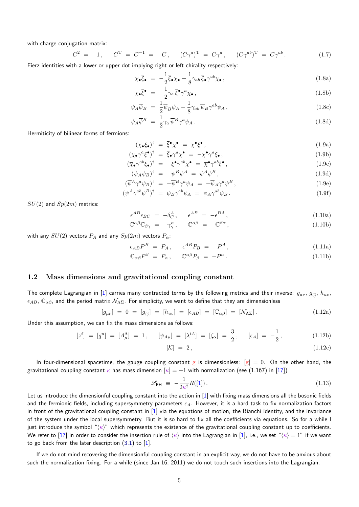with charge conjugation matrix:

$$
C^{2} = -1, \quad C^{T} = C^{-1} = -C, \quad (C\gamma^{a})^{T} = C\gamma^{a}, \quad (C\gamma^{ab})^{T} = C\gamma^{ab}.
$$
 (1.7)

Fierz identities with a lower or upper dot implying right or left chirality respectively:

$$
\chi_{\bullet}\overline{\xi}_{\bullet} = -\frac{1}{2}\overline{\xi}_{\bullet}\chi_{\bullet} + \frac{1}{8}\gamma_{ab}\overline{\xi}_{\bullet}\gamma^{ab}\chi_{\bullet}, \qquad (1.8a)
$$

$$
\chi_{\bullet}\overline{\xi}^{\bullet} = -\frac{1}{2}\gamma_a\overline{\xi}^{\bullet}\gamma^a\chi_{\bullet},\tag{1.8b}
$$

$$
\psi_A \overline{\psi}_B = \frac{1}{2} \overline{\psi}_B \psi_A - \frac{1}{8} \gamma_{ab} \overline{\psi}_B \gamma^{ab} \psi_A , \qquad (1.8c)
$$

$$
\psi_A \overline{\psi}^B = \frac{1}{2} \gamma_a \overline{\psi}^B \gamma^a \psi_A \,. \tag{1.8d}
$$

Hermiticity of bilinear forms of fermions:

$$
(\overline{\chi}_{\bullet}\xi_{\bullet})^{\dagger} = \overline{\xi}^{\bullet}\chi^{\bullet} = \overline{\chi}^{\bullet}\xi^{\bullet}, \qquad (1.9a)
$$

$$
(\overline{\chi}_{\bullet} \gamma^a \xi^{\bullet})^{\dagger} = \overline{\xi}_{\bullet} \gamma^a \chi^{\bullet} = -\overline{\chi}^{\bullet} \gamma^a \xi_{\bullet}, \qquad (1.9b)
$$

$$
(\overline{\chi}_{\bullet} \gamma^{ab} \xi_{\bullet})^{\dagger} = -\overline{\xi}^{\bullet} \gamma^{ab} \chi^{\bullet} = \overline{\chi}^{\bullet} \gamma^{ab} \xi^{\bullet} , \qquad (1.9c)
$$

$$
(\overline{\psi}_A \psi_B)^{\dagger} = -\overline{\psi}^B \psi^A = \overline{\psi}^A \psi^B,
$$
\n(1.9d)

$$
(\overline{\psi}^A \gamma^a \psi_B)^{\dagger} = -\overline{\psi}^B \gamma^a \psi_A = -\overline{\psi}_A \gamma^a \psi^B, \tag{1.9e}
$$

$$
(\overline{\psi}^A \gamma^{ab} \psi^B)^{\dagger} = \overline{\psi}_B \gamma^{ab} \psi_A = \overline{\psi}_A \gamma^{ab} \psi_B . \qquad (1.9f)
$$

*SU*(2) and *Sp*(2*m*) metrics:

$$
\epsilon^{AB}\epsilon_{BC} = -\delta^A_C, \qquad \epsilon^{AB} = -\epsilon^{BA}, \qquad (1.10a)
$$

$$
\mathbb{C}^{\alpha\beta}\mathbb{C}_{\beta\gamma} = -\gamma_{\gamma}^{\alpha}, \qquad \mathbb{C}^{\alpha\beta} = -\mathbb{C}^{\beta\alpha}, \qquad (1.10b)
$$

with any  $SU(2)$  vectors  $P_A$  and any  $Sp(2m)$  vectors  $P_\alpha$ :

$$
\epsilon_{AB}P^B = P_A, \quad \epsilon^{AB}P_B = -P^A, \tag{1.11a}
$$

$$
\mathbb{C}_{\alpha\beta}P^{\beta} = P_{\alpha}, \qquad \mathbb{C}^{\alpha\beta}P_{\beta} = -P^{\alpha}.
$$
\n(1.11b)

#### **1.2 Mass dimensions and gravitational coupling constant**

The complete Lagrangian in [1] carries many contracted terms by the following metrics and their inverse:  $g_{\mu\nu}$ ,  $g_{i\bar{j}}$ ,  $h_{uv}$ ,  $\epsilon_{AB}$ ,  $\mathbb{C}_{\alpha\beta}$ , and the period matrix  $\mathcal{N}_{\Lambda\Sigma}$ . For simplicity, we want to define that they are dimensionless

$$
[g_{\mu\nu}] = 0 = [g_{i\overline{j}}] = [h_{uv}] = [\epsilon_{AB}] = [\mathbb{C}_{\alpha\beta}] = [\mathcal{N}_{\Lambda\Sigma}]. \qquad (1.12a)
$$

Under this assumption, we ca[n](#page-33-0) fix the mass dimensions as follows:

$$
[zi] = [qu] = [AA\mu] = 1, \quad [\psi_{A\mu}] = [\lambdaiA] = [\zeta_{\alpha}] = \frac{3}{2}, \quad [\epsilon_A] = -\frac{1}{2}, \quad (1.12b)
$$

$$
[\mathcal{K}] = 2, \tag{1.12c}
$$

In four-dimensional spacetime, the gauge coupling constant g is dimensionless:  $[g] = 0$ . On the other hand, the gravitational coupling constant  $\kappa$  has mass dimension  $|\kappa| = -1$  with normalization (see (1.167) in [17])

$$
\mathcal{L}_{\text{EH}} \equiv -\frac{1}{2\kappa^2} R([1]). \tag{1.13}
$$

Let us introduce the dimensionful coupling constant into the action in [1] with fixing mass dimensions all the bosonic fields and the fermionic fields, including supersymmetry parameters  $\epsilon_A$ . However, it is a hard task to fix [no](#page-33-1)rmalization factors in front of the gravitational coupling constant in [1] via the equatio[ns](#page-33-0) of motion, the Bianchi identity, and the invariance of the system under the local supersymmetry. But it is so hard to fix all the coefficients via equations. So for a while I just introduce the symbol "*hκi*" which represents the existence of th[e g](#page-33-0)ravitational coupling constant up to coefficients. We refer to [17] in order to consider the insertion rule of  $\langle \kappa \rangle$  into the Lagrangian in [1], i.e., we set " $\langle \kappa \rangle = 1$ " if we want to go back from the later description  $(3.1)$  to  $[1]$ .

If we do not mind recovering the dimensionful coupling constant in an explicit way, we do not have to be anxious about such the nor[ma](#page-33-1)lization fixing. For a while (since Jan 16, 2011) we do not touch suc[h i](#page-33-0)nsertions into the Lagrangian.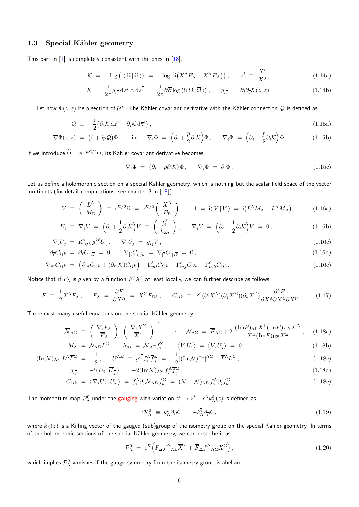### 1.3 Special Kähler geometry

<span id="page-5-0"></span>This part in  $[1]$  is completely consistent with the ones in  $[18]$ .

$$
\mathcal{K} = -\log\left(i\langle\Omega|\overline{\Omega}\rangle\right) = -\log\left\{i\left(\overline{X}^{\Lambda}F_{\Lambda} - X^{\Lambda}\overline{F}_{\Lambda}\right)\right\}, \quad z^{i} \equiv \frac{X^{i}}{X^{0}}, \tag{1.14a}
$$

$$
K = \frac{\mathrm{i}}{2\pi} g_{i\overline{j}} \, \mathrm{d}z^{i} \wedge \mathrm{d}\overline{z}^{\overline{j}} = \frac{\mathrm{i}}{2\pi} \partial\overline{\partial} \log\left(\mathrm{i} \langle \Omega | \overline{\Omega} \rangle\right), \qquad g_{i\overline{j}} = \partial_{i} \partial_{\overline{j}} \mathcal{K}(z, \overline{z}). \tag{1.14b}
$$

Let now  $\Phi(z,\overline{z})$  be a section of  $\mathcal{U}^p$ . The Kähler covariant derivative with the Kähler connection  $\mathcal Q$  is defined as

$$
\mathcal{Q} \equiv -\frac{i}{2} \left( \partial_i \mathcal{K} \, \mathrm{d} z^i - \partial_{\bar{i}} \mathcal{K} \, \mathrm{d} \bar{z}^{\bar{i}} \right), \tag{1.15a}
$$

$$
\nabla \Phi(z,\overline{z}) = (d + ip\mathcal{Q})\Phi, \quad \text{i.e.,} \quad \nabla_i \Phi = \left(\partial_i + \frac{p}{2}\partial_i \mathcal{K}\right)\Phi, \quad \nabla_{\overline{i}} \Phi = \left(\partial_{\overline{i}} - \frac{p}{2}\partial_{\overline{i}} \mathcal{K}\right)\Phi. \quad (1.15b)
$$

If we introduce  $\widetilde{\Phi} = e^{-p\mathcal{K}/2}\Phi$ , its Kähler covariant derivative becomes

$$
\nabla_i \widetilde{\Phi} = (\partial_i + p\partial_i \mathcal{K}) \widetilde{\Phi}, \qquad \nabla_{\widetilde{\tau}} \widetilde{\Phi} = \partial_{\widetilde{\tau}} \widetilde{\Phi}.
$$
\n(1.15c)

*X<sup>i</sup>*

Let us define a holomorphic section on a special Kähler geometry, which is nothing but the scalar field space of the vector multiplets (for detail computations, see chapter 3 in [18]):

$$
V = \left(\begin{array}{c} L^{\Lambda} \\ M_{\Sigma} \end{array}\right) \equiv e^{K/2} \Omega = e^{K/2} \left(\begin{array}{c} X^{\Lambda} \\ F_{\Sigma} \end{array}\right), \qquad 1 = \mathrm{i} \langle V | \overline{V} \rangle = \mathrm{i} \left(\overline{L}^{\Lambda} M_{\Lambda} - L^{\Lambda} \overline{M}_{\Lambda} \right), \tag{1.16a}
$$

$$
U_i \equiv \nabla_i V = \left(\partial_i + \frac{1}{2}\partial_i \mathcal{K}\right) V \equiv \left(\begin{array}{c} f_i^{\Lambda} \\ h_{\Sigma i} \end{array}\right), \quad \nabla_{\bar{i}} V = \left(\partial_{\bar{i}} - \frac{1}{2}\partial_{\bar{i}} \mathcal{K}\right) V = 0, \tag{1.16b}
$$

$$
\nabla_i U_j = i C_{ijk} g^{k\bar{\ell}} \overline{U}_{\bar{\ell}}, \qquad \nabla_{\bar{\imath}} U_j = g_{i\bar{j}} V, \qquad (1.16c)
$$

$$
\partial_{\bar{\ell}} C_{ijk} = \partial_{\ell} C_{\overline{ijk}} = 0, \qquad \nabla_{\left[\ell \right]} C_{i \left] j k} = \nabla_{\left[\overline{\ell} \right]} C_{\overline{i} \left] \overline{j k}} = 0, \tag{1.16d}
$$

$$
\nabla_m C_{ijk} = \left( \partial_m C_{ijk} + (\partial_m \mathcal{K}) C_{ijk} \right) - \Gamma^{\ell}_{mi} C_{\ell jk} - \Gamma^{\ell}_{mj} C_{i\ell k} - \Gamma^{\ell}_{mk} C_{ij\ell}.
$$
\n(1.16e)

Notice that if *F*<sup>Λ</sup> is given by a function *F*(*X*) at least locally, we can further describe as follows:

$$
F = \frac{1}{2} X^{\Lambda} F_{\Lambda}, \qquad F_{\Lambda} = \frac{\partial F}{\partial X^{\Lambda}} = X^{\Sigma} F_{\Sigma \Lambda}, \qquad C_{ijk} = e^{\mathcal{K}} (\partial_i X^{\Lambda}) (\partial_j X^{\Sigma}) (\partial_k X^{\Gamma}) \frac{\partial^3 F}{\partial X^{\Lambda} \partial X^{\Sigma} \partial X^{\Gamma}}.
$$
(1.17)

There exist many useful equations on the special Kähler geometry:

$$
\overline{\mathcal{N}}_{\Lambda\Sigma} \equiv \left(\begin{array}{c} \nabla_i F_{\Lambda} \\ \overline{F}_{\Lambda} \end{array}\right) \cdot \left(\begin{array}{c} \nabla_i X^{\Sigma} \\ \overline{X^{\Sigma}} \end{array}\right)^{-1} \quad \text{or} \quad \mathcal{N}_{\Lambda\Sigma} = \overline{F}_{\Lambda\Sigma} + 2i \frac{(\text{Im}F)_{\Lambda\Gamma} X^{\Gamma} (\text{Im}F)_{\Sigma\Delta} X^{\Delta}}{X^{\Pi} (\text{Im}F)_{\Pi\Xi} X^{\Xi}}, \quad (1.18a)
$$

$$
M_{\Lambda} = \mathcal{N}_{\Lambda \Sigma} L^{\Sigma}, \qquad h_{\Lambda i} = \overline{\mathcal{N}}_{\Lambda \Sigma} f_{i}^{\Sigma}, \qquad \langle V, U_{i} \rangle = \langle V, \overline{U}_{\overline{i}} \rangle = 0, \tag{1.18b}
$$
\n
$$
L_{\Lambda \overline{\Sigma}} \overline{\Sigma} = \frac{1}{\Lambda \overline{\Sigma}} \overline{\Sigma} = \frac{i \overline{i}}{\Lambda \overline{\Sigma}} \overline{\Sigma} = \frac{1}{\Lambda \overline{\Sigma}} \overline{\Sigma} = \frac{1}{\Lambda \overline{\Sigma}} \overline{\Sigma} \overline{\Sigma} = \frac{1}{\Lambda \overline{\Sigma}} \overline{\Sigma} = \frac{1}{\Lambda \overline{\Sigma}} \overline{\Sigma} = \frac{1}{\Lambda \overline{\Sigma}} \overline{\Sigma} = \frac{1}{\Lambda \overline{\Sigma}} \overline{\Sigma} = \frac{1}{\Lambda \overline{\Sigma}} \overline{\Sigma} = \frac{1}{\Lambda \overline{\Sigma}} \overline{\Sigma} = \frac{1}{\Lambda \overline{\Sigma}} \overline{\Sigma} = \frac{1}{\Lambda \overline{\Sigma}} \overline{\Sigma} = \frac{1}{\Lambda \overline{\Sigma}} \overline{\Sigma} = \frac{1}{\Lambda \overline{\Sigma}} \overline{\Sigma} = \frac{1}{\Lambda \overline{\Sigma}} \overline{\Sigma} = \frac{1}{\Lambda \overline{\Sigma}} \overline{\Sigma} = \frac{1}{\Lambda \overline{\Sigma}} \overline{\Sigma} = \frac{1}{\Lambda \overline{\Sigma}} \overline{\Sigma} = \frac{1}{\Lambda \overline{\Sigma}} \overline{\Sigma} = \frac{1}{\Lambda \overline{\Sigma}} \overline{\Sigma} = \frac{1}{\Lambda \overline{\Sigma}} \overline{\Sigma} = \frac{1}{\Lambda \overline{\Sigma}} \overline{\Sigma} = \frac{1}{\Lambda \overline{\Sigma}} \overline{\Sigma} = \frac{1}{\Lambda \overline{\Sigma}} \overline{\Sigma} = \frac{1}{\Lambda \overline{\Sigma}} \overline{\Sigma} = \frac{1}{\Lambda \overline{\Sigma}} \overline{\Sigma} = \frac{1}{\Lambda \overline{\Sigma}} \overline{\Sigma} = \frac{1}{\Lambda \overline{\Sigma}} \overline{\Sigma} = \frac{1}{\Lambda \overline{\Sigma}} \overline{\Sigma} = \frac{1}{\Lambda \overline{\Sigma}} \overline{\Sigma} = \frac{1}{\Lambda \overline{\Sigma}} \overline{\Sigma} = \frac{1}{
$$

$$
(\text{Im}\mathcal{N})_{\Lambda\Sigma}L^{\Lambda}\overline{L}^{\Sigma} = -\frac{1}{2}, \qquad U^{\Lambda\Sigma} \equiv g^{i\overline{j}}f_i^{\Lambda}\overline{f_j^{\Sigma}} = -\frac{1}{2}[(\text{Im}\mathcal{N})^{-1}]^{\Lambda\Sigma} - \overline{L}^{\Lambda}L^{\Sigma}, \tag{1.18c}
$$

$$
g_{i\overline{j}} = -i \langle U_i | \overline{U}_{\overline{j}} \rangle = -2(\text{Im}\mathcal{N})_{\Lambda\Sigma} f_i^{\Lambda} \overline{f}_{\overline{j}}^{\Sigma} , \qquad (1.18d)
$$

$$
C_{ijk} = \langle \nabla_i U_j | U_k \rangle = f_i^{\Lambda} \partial_j \overline{\mathcal{N}}_{\Lambda \Sigma} f_k^{\Sigma} = (\mathcal{N} - \overline{\mathcal{N}})_{\Lambda \Sigma} f_i^{\Lambda} \partial_j f_k^{\Sigma} . \tag{1.18e}
$$

The momentum map  $\mathcal{P}^0_\Lambda$  under the gauging with variation  $z^i\to z^i+\epsilon^\Lambda k^i_\Lambda(z)$  is defined as

$$
i\mathcal{P}_{\Lambda}^{0} \equiv k_{\Lambda}^{i}\partial_{i}\mathcal{K} = -k_{\Lambda}^{\bar{i}}\partial_{\bar{i}}\mathcal{K}, \qquad (1.19)
$$

where  $k^i_\Lambda(z)$  is a Killing vector of the gauged (sub)group of the isometry group on the special Kähler geometry. In terms of the holomorphic sections of the special Kähler geometry, we can describe it as

$$
\mathcal{P}_{\Lambda}^{0} = e^{\mathcal{K}} \Big( F_{\Delta} f^{\Delta}{}_{\Lambda \Sigma} \overline{X}^{\Sigma} + \overline{F}_{\Delta} f^{\Delta}{}_{\Lambda \Sigma} X^{\Sigma} \Big) , \qquad (1.20)
$$

which implies  $\mathcal{P}^0_\Lambda$  vanishes if the gauge symmetry from the isometry group is abelian.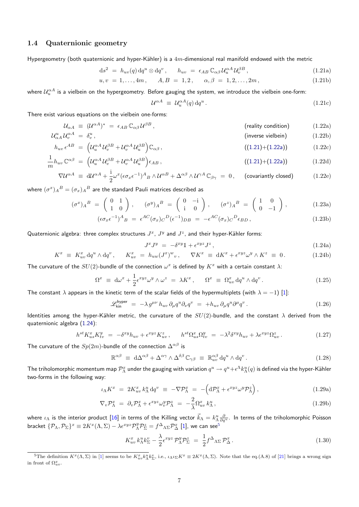### **1.4 Quaternionic geometry**

<span id="page-6-0"></span>Hypergeometry (both quaternionic and hyper-Kähler) is a 4m-dimensional real manifold endowed with the metric

$$
ds^{2} = h_{uv}(q) dq^{u} \otimes dq^{v}, \qquad h_{uv} = \epsilon_{AB} C_{\alpha\beta} \mathcal{U}_{u}^{\alpha A} \mathcal{U}_{v}^{\beta B}, \qquad (1.21a)
$$

$$
u, v = 1, ..., 4m, \qquad A, B = 1, 2, \qquad \alpha, \beta = 1, 2, ..., 2m,
$$
\n(1.21b)

where  $\mathcal{U}^{\alpha A}_u$  is a vielbein on the hypergeometry. Before gauging the system, we introduce the vielbein one-form:

<span id="page-6-2"></span><span id="page-6-1"></span>
$$
\mathcal{U}^{\alpha A} \equiv \mathcal{U}_u^{\alpha A}(q) \, \mathrm{d}q^u \,. \tag{1.21c}
$$

There exist various equations on the vielbein one-forms:

$$
\mathcal{U}_{\alpha A} \equiv (\mathcal{U}^{\alpha A})^* = \epsilon_{AB} \mathbb{C}_{\alpha \beta} \mathcal{U}^{\beta B}, \qquad \text{(relity condition)} \qquad (1.22a)
$$

$$
\mathcal{U}_{\alpha A}^{u} \mathcal{U}_{v}^{\alpha A} = \delta_{v}^{u}, \qquad \text{(inverse vielbein)} \tag{1.22b}
$$
\n
$$
h_{v} \epsilon^{AB} = (\mathcal{U}^{\alpha A} \mathcal{U}^{\beta B} + \mathcal{U}^{\alpha A} \mathcal{U}^{\beta B}) \mathcal{L}_{v} \tag{1.23c}
$$

$$
h_{uv} \epsilon^{AB} = \left( \mathcal{U}_u^{\alpha A} \mathcal{U}_v^{\beta B} + \mathcal{U}_v^{\alpha A} \mathcal{U}_u^{\beta B} \right) \mathbb{C}_{\alpha \beta}, \tag{1.21} \tag{1.22}
$$

$$
\frac{1}{m}h_{uv}\mathbb{C}^{\alpha\beta} = \left(\mathcal{U}_u^{\alpha A}\mathcal{U}_v^{\beta B} + \mathcal{U}_v^{\alpha A}\mathcal{U}_u^{\beta B}\right)\epsilon_{AB},\tag{1.21}(\text{1.21})
$$

$$
\nabla \mathcal{U}^{\alpha A} \equiv d\mathcal{U}^{\alpha A} + \frac{i}{2} \omega^x (\epsilon \sigma_x \epsilon^{-1})^A{}_B \wedge \mathcal{U}^{\alpha B} + \Delta^{\alpha \beta} \wedge \mathcal{U}^{\gamma A} \mathbb{C}_{\beta \gamma} = 0, \quad \text{(covariantly closed)} \tag{1.22e}
$$

where  $(\sigma^x)_A{}^B=(\sigma_x)_A{}^B$  are the standard Pauli matrices described as

$$
(\sigma^x)_A{}^B = \begin{pmatrix} 0 & 1 \\ 1 & 0 \end{pmatrix}, \quad (\sigma^y)_A{}^B = \begin{pmatrix} 0 & -i \\ i & 0 \end{pmatrix}, \quad (\sigma^z)_A{}^B = \begin{pmatrix} 1 & 0 \\ 0 & -1 \end{pmatrix}, \quad (1.23a)
$$

$$
(\epsilon \sigma_x \epsilon^{-1})^A{}_B = \epsilon^{AC} (\sigma_x)_C{}^D (\epsilon^{-1})_{DB} = -\epsilon^{AC} (\sigma_x)_C{}^D \epsilon_{BD}, \qquad (1.23b)
$$

Quaternionic algebra: three complex structures  $J^x$ ,  $J^y$  and  $J^z$ , and their hyper-Kähler forms:

$$
J^x J^y = -\delta^{xy} \mathbb{1} + \epsilon^{xyz} J^z , \qquad (1.24a)
$$

$$
K^x \equiv K^x_{uv} \, \mathrm{d}q^u \wedge \mathrm{d}q^v, \qquad K^x_{uv} \ = \ h_{uw}(J^x)^w{}_v, \qquad \nabla K^x \ \equiv \ \mathrm{d}K^x + \epsilon^{xyz}\omega^y \wedge K^z \ \equiv \ 0. \tag{1.24b}
$$

The curvature of the  $SU(2)$ -bundle of the connection  $\omega^x$  is defined by  $K^x$  with a certain constant  $\lambda$ :

$$
\Omega^x \equiv d\omega^x + \frac{1}{2} \epsilon^{xyz} \omega^y \wedge \omega^z = \lambda K^x , \qquad \Omega^x \equiv \Omega^x_{uv} dq^u \wedge dq^v . \tag{1.25}
$$

The constant  $\lambda$  appears in the kinetic term of the scalar fields of the hypermultiplets (with  $\lambda = -1$ ) [1]:

$$
\mathscr{L}_{kin}^{\text{hyper}} = -\lambda g^{\mu\nu} h_{uv} \, \partial_{\mu} q^u \partial_{\nu} q^v = +h_{uv} \, \partial_{\mu} q^u \partial^{\mu} q^v. \tag{1.26}
$$

Identities among the hyper-Kähler metric, the curvature of the  $SU(2)$ -bundle, and the constant  $\lambda$  derived from the quaternionic algebra (1.24):

$$
h^{st}K_{us}^xK_{tv}^y = -\delta^{xy}h_{uv} + \epsilon^{xyz}K_{uv}^z, \qquad h^{st}\Omega_{us}^x\Omega_{tv}^y = -\lambda^2\delta^{xy}h_{uv} + \lambda\epsilon^{xyz}\Omega_{uv}^z. \tag{1.27}
$$

The curvature of the  $Sp(2m)$ -bundle of the connection  $\Delta^{\alpha\beta}$  is

$$
\mathbb{R}^{\alpha\beta} \equiv d\Delta^{\alpha\beta} + \Delta^{\alpha\gamma} \wedge \Delta^{\delta\beta} \mathbb{C}_{\gamma\beta} \equiv \mathbb{R}^{\alpha\beta}_{uv} dq^u \wedge dq^v. \tag{1.28}
$$

The triholomorphic momentum map  $\mathcal{P}^x_\Lambda$  under the gauging with variation  $q^u\to q^u+\epsilon^\Lambda k^u_\Lambda(q)$  is defined via the hyper-Kähler two-forms in the following way:

$$
\iota_{\Lambda} K^{x} = 2K_{uv}^{x} k_{\Lambda}^{u} dq^{v} \equiv -\nabla \mathcal{P}_{\Lambda}^{x} = -\left(d\mathcal{P}_{\Lambda}^{x} + \epsilon^{xyz}\omega^{y}\mathcal{P}_{\Lambda}^{z}\right), \qquad (1.29a)
$$

$$
\nabla_v \mathcal{P}_{\Lambda}^x = \partial_v \mathcal{P}_{\Lambda}^x + \epsilon^{xyz} \omega_v^y \mathcal{P}_{\Lambda}^z = -\frac{2}{\lambda} \Omega_{uv}^x k_{\Lambda}^u,
$$
\n(1.29b)

where  $\iota_\Lambda$  is the interior product [16] in terms of the Killing vector  $\vec k_\Lambda=k_\Lambda^u\frac{\partial}{\partial q^u}.$  In terms of the triholomorphic Poisson bracket  $\{P_\Lambda, P_\Sigma\}^x \equiv 2K^x(\Lambda, \Sigma) - \lambda \epsilon^{xyz} P_\Lambda^y P_\Sigma^z = f^\Delta{}_{\Lambda\Sigma} P_\Delta^x$  [1], we can see<sup>5</sup>

<span id="page-6-4"></span>
$$
K_{uv}^x k_{\Lambda}^u k_{\Sigma}^v - \frac{\lambda}{2} \epsilon^{xyz} \mathcal{P}_{\Lambda}^y \mathcal{P}_{\Sigma}^z = \frac{1}{2} f^{\Delta} \Lambda_{\Sigma} \mathcal{P}_{\Delta}^x.
$$
 (1.30)

<span id="page-6-3"></span><sup>&</sup>lt;sup>5</sup>The definition  $K^x(\Lambda, \Sigma)$  $K^x(\Lambda, \Sigma)$  $K^x(\Lambda, \Sigma)$  in [1] seems to be  $K^x_{uv} k^u_\Lambda k^v_\Sigma$ , i.e.,  $\iota_\Lambda \iota_\Sigma K^x \equiv 2K^x(\Lambda, \Sigma)$ . [N](#page-6-3)ote that the eq.(A.8) of [21] brings a wrong sign in front of  $\Omega_{uv}^x$ .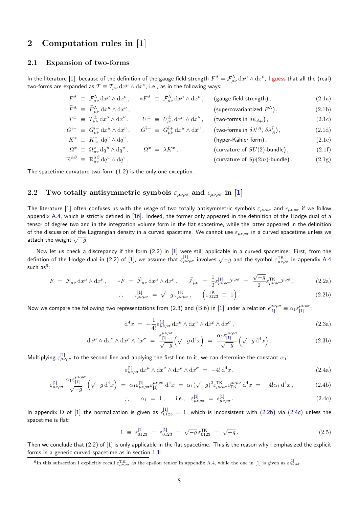## **2 Computation rules in [1]**

#### **2.1 Expansion of two-forms**

*µνρσ*

<span id="page-7-1"></span><span id="page-7-0"></span>In the literature [1], because of the definitio[n o](#page-33-0)f the gauge field strength  $F^\Lambda=\mathcal{F}^\Lambda_{\mu\nu}\,\mathrm{d} x^\mu\wedge\mathrm{d} x^\nu$ , I guess that all the (real) two-forms are expanded as  $\mathcal{T} \equiv \mathcal{T}_{\mu\nu} \, \mathrm{d} x^\mu \wedge \mathrm{d} x^\nu$ , i.e., as in the following ways:

<span id="page-7-5"></span>

|  | $F^{\Lambda} \equiv \mathcal{F}^{\Lambda}_{\mu\nu} dx^{\mu} \wedge dx^{\nu}$ ,           | $\ast F^{\Lambda} \ \equiv \ \widetilde{\mathcal{F}}^{\Lambda}_{\mu\nu} \, \mathrm{d} x^{\mu} \wedge \mathrm{d} x^{\nu} \, ,$ | (gauge field strength),                                       | (2.1a) |
|--|------------------------------------------------------------------------------------------|-------------------------------------------------------------------------------------------------------------------------------|---------------------------------------------------------------|--------|
|  | $\widehat{F}^{\Lambda} \equiv \widehat{F}^{\Lambda}_{\mu\nu} dx^{\mu} \wedge dx^{\nu}$ , |                                                                                                                               | (supercovariantized $F^{\Lambda}$ ),                          | (2.1b) |
|  | $T^{\pm} \equiv T^{\pm}_{\mu\nu} dx^{\mu} \wedge dx^{\nu}$ ,                             | $U^{\pm} \equiv U^{\pm}_{\mu\nu} dx^{\mu} \wedge dx^{\nu}$ ,                                                                  | (two-forms in $\delta \psi_{A\mu}$ ),                         | (2.1c) |
|  | $G^{i-} \equiv G_{\mu\nu}^{i-} \, dx^{\mu} \wedge dx^{\nu} \,,$                          | $G^{\overline{i}+} \equiv G^{\overline{i}+}_{\mu\nu} dx^{\mu} \wedge dx^{\nu} ,$                                              | (two-forms in $\delta \lambda^{iA}$ , $\delta \lambda_A^i$ ), | (2.1d) |
|  | $K^x \equiv K_{uv}^x dq^u \wedge dq^v$ ,                                                 |                                                                                                                               | (hyper-Kähler form),                                          | (2.1e) |
|  | $\Omega^x \equiv \Omega^x_{uv} dq^u \wedge dq^v$ ,                                       | $\Omega^x\;=\;\lambda K^x\,,$                                                                                                 | (curvature of $SU(2)$ -bundle),                               | (2.1f) |
|  | $\mathbb{R}^{\alpha\beta} \equiv \mathbb{R}^{\alpha\beta}_{uv} dq^u \wedge dq^v$ ,       |                                                                                                                               | (curvature of $Sp(2m)$ -bundle).                              | (2.1g) |

The spacetime curvature two-form (1.2) is the only one exception.

### **2.2** Two totally antisymmetric symbols  $\varepsilon_{\mu\nu\rho\sigma}$  and  $\epsilon_{\mu\nu\rho\sigma}$  in [1]

<span id="page-7-2"></span>The literature [1] often confuses us with the usage of two totally antisymmetric symbols  $\varepsilon_{\mu\nu\rho\sigma}$  and  $\epsilon_{\mu\nu\rho\sigma}$  if we follow appendix A.4, which is strictly defined in  $[16]$ . Indeed, the former only appeared in the definition of the Hodge dual of a tensor of degree two and in the integration volume form in the flat spacetime, whil[e](#page-33-0) the latter appeared in the definition of the discussion of the Lagrangian density in a curved spacetime. We cannot use *εµνρσ* in a curved spacetime unless we attach the weig[ht](#page-33-0)  $\sqrt{-g}$ .

Now let us check a discrepancy if the form (2.2) in [1] were still applicable in a curved spacetime: First, from the defintion of the Hodge dual in (2.2) of [1], we assume that  $\varepsilon_{\mu\nu\rho\sigma}^{[1]}$  involves  $\sqrt{-g}$  and the symbol  $\varepsilon_{\mu\nu\rho\sigma}^{IK}$  in appendix A.4 such as $^6$ :

$$
F = \mathcal{F}_{\mu\nu} dx^{\mu} \wedge dx^{\nu}, \qquad *F = \widetilde{\mathcal{F}}_{\mu\nu} dx^{\mu} \wedge dx^{\nu}, \qquad \widetilde{\mathcal{F}}_{\mu\nu} = \frac{1}{2} \varepsilon_{\mu\nu\rho\sigma}^{[1]} \mathcal{F}^{\rho\sigma} = \frac{\sqrt{-g}}{2} \varepsilon_{\mu\nu\rho\sigma}^{TK} \mathcal{F}^{\rho\sigma}, \tag{2.2a}
$$

$$
\therefore \qquad \varepsilon_{\mu\nu\rho\sigma}^{[1]} = \sqrt{-g} \, \varepsilon_{\mu\nu\rho\sigma}^{\mathsf{TK}}, \qquad \left( \varepsilon_{0123}^{\mathsf{TK}} \equiv 1 \right). \tag{2.2b}
$$

Now we compare the following two representations from (2.3) and (B.6) in [\[1](#page-33-0)] under a relation  $\epsilon_{[1]}^{\mu\nu\rho\sigma}\equiv\alpha_1\epsilon_{[1]}^{\mu\nu\rho\sigma}$ μνρσ.<br>[<mark>1</mark>]

<span id="page-7-3"></span>
$$
d^4x = -\frac{1}{4!} \varepsilon^{[1]}_{\mu\nu\rho\sigma} dx^{\mu} \wedge dx^{\nu} \wedge dx^{\rho} \wedge dx^{\sigma}, \qquad (2.3a)
$$

$$
\mathrm{d}x^{\mu} \wedge \mathrm{d}x^{\nu} \wedge \mathrm{d}x^{\rho} \wedge \mathrm{d}x^{\sigma} = \frac{\epsilon_{[1]}^{\mu\nu\rho\sigma}}{\sqrt{-g}} \left( \sqrt{-g} \, \mathrm{d}^4x \right) = \frac{\alpha_1 \epsilon_{[1]}^{\mu\nu\rho\sigma}}{\sqrt{-g}} \left( \sqrt{-g} \, \mathrm{d}^4x \right). \tag{2.3b}
$$

Multiplying  $\varepsilon^{[1]}_{\mu\nu\rho\sigma}$  to the second line and applying the first line to it, we can determine the constant  $\alpha_1$ :

$$
\varepsilon_{\mu\nu\rho\sigma}^{[1]} dx^{\mu} \wedge dx^{\nu} \wedge dx^{\rho} \wedge dx^{\sigma} = -4! d^{4}x , \qquad (2.4a)
$$

$$
\varepsilon_{\mu\nu\rho\sigma}^{[1]} \frac{\alpha_1 \varepsilon_{[1]}^{\mu\nu\rho\sigma}}{\sqrt{-g}} \left(\sqrt{-g} \, \mathrm{d}^4 x\right) \; = \; \alpha_1 \varepsilon_{\mu\nu\rho\sigma}^{[1]} \varepsilon_{[1]}^{\mu\nu\rho\sigma} \, \mathrm{d}^4 x \; = \; \alpha_1 (\sqrt{-g})^2 \varepsilon_{\mu\nu\rho\sigma}^{\text{TK}} \varepsilon_{\text{TK}}^{\mu\nu\rho\sigma} \, \mathrm{d}^4 x \; = \; -4! \alpha_1 \, \mathrm{d}^4 x \,, \tag{2.4b}
$$

<span id="page-7-4"></span>
$$
\therefore \quad \alpha_1 = 1, \quad \text{i.e.,} \quad \varepsilon_{\mu\nu\rho\sigma}^{[1]} = \epsilon_{\mu\nu\rho\sigma}^{[1]}.
$$
 (2.4c)

In append[ix](#page-33-0) D of [\[1](#page-33-0)] the normalization is [giv](#page-33-0)en as  $\epsilon_{0123}^{[1]}=1$ , which is inconsistent with (2.2b) via (2.4c) unless the spacetime is flat:

$$
1 \equiv \epsilon_{0123}^{[1]} = \epsilon_{0123}^{[1]} = \sqrt{-g} \epsilon_{0123}^{\mathsf{TK}} = \sqrt{-g} \,. \tag{2.5}
$$

T[h](#page-33-0)en we conclude that  $(2.2)$  of  $[1]$  is only applicable in the flat spacetime. This is the reason [why I](#page-7-3) emph[asized](#page-7-4) the explicit forms in a generic curved spacetime as in section 1.1.

<sup>&</sup>lt;sup>6</sup>In [th](#page-33-0)is subsection I explicitly recall  $\varepsilon_{\mu\nu\rho\sigma}^{TK}$  as the epsilon [te](#page-33-0)nsor in appendix A.4, while the one in [1] is given as  $\varepsilon_{\mu\nu\rho\sigma}^{[1]}$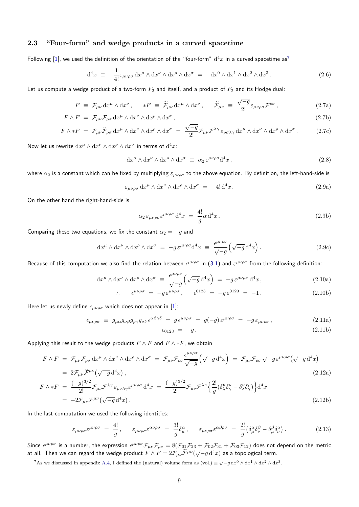### **2.3 "Four-form" and wedge products in a curved spacetime**

<span id="page-8-0"></span>Following [1], we used the definition of the orientation of the "four-form"  $d^4x$  in a curved spacetime as<sup>7</sup>

$$
d^4x \equiv -\frac{1}{4!} \varepsilon_{\mu\nu\rho\sigma} dx^{\mu} \wedge dx^{\nu} \wedge dx^{\rho} \wedge dx^{\sigma} = -dx^0 \wedge dx^1 \wedge dx^2 \wedge dx^3.
$$
 (2.6)

Let us co[mp](#page-33-0)ute a wedge product of a two-form  $F_2$  and itself, and a product of  $F_2$  and its Hodge dual:

$$
F \equiv \mathcal{F}_{\mu\nu} \, dx^{\mu} \wedge dx^{\nu} \,, \quad *F \equiv \tilde{\mathcal{F}}_{\mu\nu} \, dx^{\mu} \wedge dx^{\nu} \,, \quad \tilde{\mathcal{F}}_{\mu\nu} \equiv \frac{\sqrt{-g}}{2!} \varepsilon_{\mu\nu\rho\sigma} \mathcal{F}^{\rho\sigma} \,, \tag{2.7a}
$$

$$
F \wedge F = \mathcal{F}_{\mu\nu} \mathcal{F}_{\rho\sigma} \, dx^{\mu} \wedge dx^{\nu} \wedge dx^{\rho} \wedge dx^{\sigma}, \qquad (2.7b)
$$

$$
F \wedge *F = \mathcal{F}_{\mu\nu}\widetilde{\mathcal{F}}_{\rho\sigma} dx^{\mu} \wedge dx^{\nu} \wedge dx^{\rho} \wedge dx^{\sigma} = \frac{\sqrt{-g}}{2!} \mathcal{F}_{\mu\nu}\mathcal{F}^{\lambda\gamma} \varepsilon_{\rho\sigma\lambda\gamma} dx^{\mu} \wedge dx^{\nu} \wedge dx^{\rho} \wedge dx^{\sigma}.
$$
 (2.7c)

Now let us rewrite  $dx^{\mu} \wedge dx^{\nu} \wedge dx^{\rho} \wedge dx^{\sigma}$  in terms of  $d^4x$ :

$$
dx^{\mu} \wedge dx^{\nu} \wedge dx^{\rho} \wedge dx^{\sigma} \equiv \alpha_2 \, \varepsilon^{\mu\nu\rho\sigma} d^4 x \,, \tag{2.8}
$$

where *α*<sup>2</sup> is a constant which can be fixed by multiplying *εµνρσ* to the above equation. By definition, the left-hand-side is

$$
\varepsilon_{\mu\nu\rho\sigma} dx^{\mu} \wedge dx^{\nu} \wedge dx^{\rho} \wedge dx^{\sigma} = -4! d^{4}x. \qquad (2.9a)
$$

On the other hand the right-hand-side is

$$
\alpha_2 \,\varepsilon_{\mu\nu\rho\sigma} \varepsilon^{\mu\nu\rho\sigma} \,d^4x = \frac{4!}{g} \alpha \,d^4x \,, \tag{2.9b}
$$

Comparing these two equations, we fix the constant  $\alpha_2 = -g$  and

$$
dx^{\mu} \wedge dx^{\nu} \wedge dx^{\rho} \wedge dx^{\sigma} = -g \varepsilon^{\mu\nu\rho\sigma} d^{4}x \equiv \frac{\epsilon^{\mu\nu\rho\sigma}}{\sqrt{-g}} \left( \sqrt{-g} d^{4}x \right). \tag{2.9c}
$$

Because of this computation we also find the relation between  $e^{\mu\nu\rho\sigma}$  in (3.1) and  $\varepsilon^{\mu\nu\rho\sigma}$  from the following definition:

$$
dx^{\mu} \wedge dx^{\nu} \wedge dx^{\rho} \wedge dx^{\sigma} \equiv \frac{\epsilon^{\mu\nu\rho\sigma}}{\sqrt{-g}} \left( \sqrt{-g} d^{4} x \right) = -g \epsilon^{\mu\nu\rho\sigma} d^{4} x, \qquad (2.10a)
$$

$$
\therefore \quad \epsilon^{\mu\nu\rho\sigma} = -g \,\epsilon^{\mu\nu\rho\sigma} \,, \quad \epsilon^{0123} = -g \,\epsilon^{0123} = -1 \,. \tag{2.10b}
$$

Here let us newly define  $\epsilon_{\mu\nu\rho\sigma}$  which does not appear in [1]:

$$
\epsilon_{\mu\nu\rho\sigma} \equiv g_{\mu\alpha} g_{\nu\beta} g_{\rho\gamma} g_{\sigma\delta} \,\epsilon^{\alpha\beta\gamma\delta} = g \,\epsilon^{\mu\nu\rho\sigma} = g(-g) \,\epsilon^{\mu\nu\rho\sigma} = -g \,\epsilon_{\mu\nu\rho\sigma} \,,\tag{2.11a}
$$

$$
\epsilon_{0123} = -g. \tag{2.11b}
$$

Applying this result to the wedge products  $F \wedge F$  and  $F \wedge *F$ , we obtain

$$
F \wedge F = \mathcal{F}_{\mu\nu} \mathcal{F}_{\rho\sigma} \, dx^{\mu} \wedge dx^{\nu} \wedge dx^{\rho} \wedge dx^{\sigma} = \mathcal{F}_{\mu\nu} \mathcal{F}_{\rho\sigma} \frac{\epsilon^{\mu\nu\rho\sigma}}{\sqrt{-g}} \Big( \sqrt{-g} \, d^4 x \Big) = \mathcal{F}_{\mu\nu} \mathcal{F}_{\rho\sigma} \sqrt{-g} \, \epsilon^{\mu\nu\rho\sigma} \Big( \sqrt{-g} \, d^4 x \Big)
$$
  
=  $2 \mathcal{F}_{\mu\nu} \widetilde{\mathcal{F}}^{\mu\nu} \Big( \sqrt{-g} \, d^4 x \Big)$ , (2.12a)

$$
F \wedge *F = \frac{(-g)^{3/2}}{2!} \mathcal{F}_{\mu\nu} \mathcal{F}^{\lambda\gamma} \varepsilon_{\rho\sigma\lambda\gamma} \varepsilon^{\mu\nu\rho\sigma} d^4x = \frac{(-g)^{3/2}}{2!} \mathcal{F}_{\mu\nu} \mathcal{F}^{\lambda\gamma} \Big\{ \frac{2!}{g} \big( \delta^{\mu}_{\lambda} \delta^{\nu}_{\gamma} - \delta^{\nu}_{\lambda} \delta^{\mu}_{\gamma} \big) \Big\} d^4x
$$
  
=  $-2\mathcal{F}_{\mu\nu} \mathcal{F}^{\mu\nu} \big( \sqrt{-g} d^4x \big).$  (2.12b)

In the last computation we used the following identities:

$$
\varepsilon_{\mu\nu\rho\sigma}\varepsilon^{\mu\nu\rho\sigma} = \frac{4!}{g}, \qquad \varepsilon_{\mu\nu\rho\sigma}\varepsilon^{\alpha\nu\rho\sigma} = \frac{3!}{g}\delta^{\alpha}_{\mu}, \qquad \varepsilon_{\mu\nu\rho\sigma}\varepsilon^{\alpha\beta\rho\sigma} = \frac{2!}{g}\left(\delta^{\alpha}_{\mu}\delta^{\beta}_{\nu} - \delta^{\beta}_{\mu}\delta^{\alpha}_{\nu}\right). \tag{2.13}
$$

Since  $\epsilon^{\mu\nu\rho\sigma}$  is a number, the expression  $\epsilon^{\mu\nu\rho\sigma} \mathcal{F}_{\mu\nu} \mathcal{F}_{\rho\sigma} = 8(\mathcal{F}_{01}\mathcal{F}_{23} + \mathcal{F}_{02}\mathcal{F}_{31} + \mathcal{F}_{03}\mathcal{F}_{12})$  does not depend on the metric at all. Then we can regard the wedge product  $F \wedge F = 2\mathcal{F}_{\mu\nu}\widetilde{\mathcal{F}}^{\mu\nu}(\sqrt{-g}\,d^4x)$  as a topological term.

<sup>&</sup>lt;sup>7</sup>As we discussed in appendix A.4, I defined the (natural) volume form as (vol.)  $\equiv \sqrt{-g} \, dx^0 \wedge dx^1 \wedge dx^2 \wedge dx^3$ .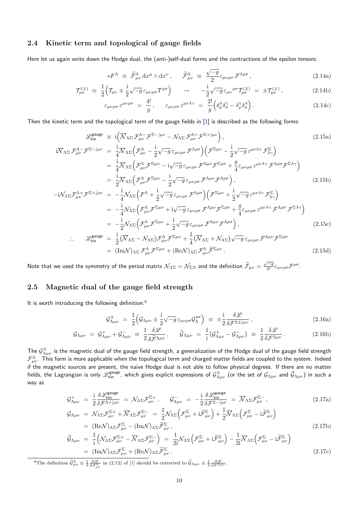### **2.4 Kinetic term and topological of gauge fields**

Here let us again write down the Hodge dual, the (anti-)self-dual forms and the contractions of the epsilon tensors:

$$
*F^{\Lambda} \equiv \widetilde{\mathcal{F}}^{\Lambda}_{\mu\nu} dx^{\mu} \wedge dx^{\nu}, \quad \widetilde{\mathcal{F}}^{\Lambda}_{\mu\nu} \equiv \frac{\sqrt{-g}}{2} \varepsilon_{\mu\nu\rho\sigma} \mathcal{F}^{\Lambda\rho\sigma}, \qquad (2.14a)
$$

$$
\mathcal{T}^{(\mp)}_{\mu\nu} \equiv \frac{1}{2} \Big( \mathcal{T}_{\mu\nu} \mp \frac{i}{2} \sqrt{-g} \, \varepsilon_{\mu\nu\rho\sigma} \mathcal{T}^{\rho\sigma} \Big) \qquad \rightarrow \qquad -\frac{i}{2} \sqrt{-g} \, \varepsilon_{\mu\nu}{}^{\rho\sigma} \mathcal{T}^{(\mp)}_{\rho\sigma} \; = \; \pm \mathcal{T}^{(\mp)}_{\mu\nu} \,, \tag{2.14b}
$$

<span id="page-9-3"></span>
$$
\varepsilon_{\mu\nu\rho\sigma} \,\varepsilon^{\mu\nu\rho\sigma} \; = \; \frac{4!}{g} \,, \qquad \varepsilon_{\mu\nu\rho\sigma} \,\varepsilon^{\mu\nu\lambda\gamma} \; = \; \frac{2!}{g} \Big( \delta^{\lambda}_{\rho} \delta^{\gamma}_{\sigma} - \delta^{\gamma}_{\rho} \delta^{\lambda}_{\sigma} \Big) \,. \tag{2.14c}
$$

Then the kinetic term and the topological term of the gauge fields in [1] is described as the following forms:

$$
\mathcal{L}^{\text{gauge}}_{\text{kin}} \equiv i \left( \overline{\mathcal{N}}_{\Lambda \Sigma} \mathcal{F}^{\Lambda}_{\mu\nu} \mathcal{F}^{\Sigma-|\mu\nu} - \mathcal{N}_{\Lambda \Sigma} \mathcal{F}^{\Lambda+}_{\mu\nu} \mathcal{F}^{\Sigma+|\mu\nu} \right),
$$
\n
$$
i \overline{\mathcal{N}}_{\Lambda \Sigma} \mathcal{F}^{\Lambda-}_{\mu\nu} \mathcal{F}^{\Sigma-|\mu\nu} = \frac{i}{4} \overline{\mathcal{N}}_{\Lambda \Sigma} \Big( \mathcal{F}^{\Lambda}_{\mu\nu} - \frac{i}{2} \sqrt{-g} \, \varepsilon_{\mu\nu\rho\sigma} \mathcal{F}^{\Lambda\rho\sigma} \Big) \Big( \mathcal{F}^{\Sigma\mu\nu} - \frac{i}{2} \sqrt{-g} \, \varepsilon^{\mu\nu\lambda\gamma} \mathcal{F}^{\Sigma}_{\lambda\gamma} \Big)
$$
\n
$$
= \frac{i}{4} \overline{\mathcal{N}}_{\Lambda \Sigma} \Big( \mathcal{F}^{\Lambda}_{\mu\nu} \mathcal{F}^{\Sigma\mu\nu} - i \sqrt{-g} \, \varepsilon_{\mu\nu\rho\sigma} \mathcal{F}^{\Lambda\mu\nu} \mathcal{F}^{\Sigma\rho\sigma} + \frac{g}{4} \varepsilon_{\mu\nu\rho\sigma} \varepsilon^{\mu\nu\lambda\gamma} \mathcal{F}^{\Lambda\rho\sigma} \mathcal{F}^{\Sigma\lambda\gamma} \Big)
$$
\n
$$
= \frac{i}{2} \overline{\mathcal{N}}_{\Lambda \Sigma} \Big( \mathcal{F}^{\Lambda}_{\mu\nu} \mathcal{F}^{\Sigma\mu\nu} - \frac{i}{2} \sqrt{-g} \, \varepsilon_{\mu\nu\rho\sigma} \mathcal{F}^{\Lambda\mu\nu} \mathcal{F}^{\Lambda\rho\sigma} \Big), \qquad (2.15b)
$$
\n
$$
-i \mathcal{N}_{\Lambda \Sigma} \mathcal{F}^{\Lambda+}_{\mu\nu} \mathcal{F}^{\Sigma+|\mu\nu} = -\frac{i}{4} \mathcal{N}_{\Lambda \Sigma} \Big( \mathcal{F}^{\Lambda}_{\mu\nu} \mathcal{F}^{\Sigma\mu\nu} + i \sqrt{-g} \, \varepsilon_{\mu\nu\rho\sigma
$$

Note that we used the symmetry of the period matrix  $\mathcal{N}_{\Lambda\Sigma}=\mathcal{N}_{\Sigma\Lambda}$  and the definition  $\widetilde{\mathcal{F}}_{\mu\nu}=\frac{\sqrt{-g}}{2!}\varepsilon_{\mu\nu\rho\sigma}\mathcal{F}^{\rho\sigma}$ .

#### **2.5 Magnetic dual of the gauge field strength**

<span id="page-9-0"></span>It is worth introducing the following definition: $8$ 

<span id="page-9-4"></span><span id="page-9-2"></span>
$$
\mathcal{G}^{\pm}_{\Lambda\mu\nu} = \frac{1}{2} \Big( \mathcal{G}_{\Lambda\mu\nu} \pm \frac{i}{2} \sqrt{-g} \,\varepsilon_{\mu\nu\rho\sigma} \mathcal{G}^{\rho\sigma}_{\Lambda} \Big) \equiv \pm \frac{i}{2} \frac{\delta \mathcal{L}}{\delta \mathcal{F}^{\Lambda\pm|\mu\nu}} \,, \tag{2.16a}
$$

$$
\mathcal{G}_{\Lambda\mu\nu} = \mathcal{G}_{\Lambda\mu\nu}^+ + \mathcal{G}_{\Lambda\mu\nu}^- \equiv \frac{1}{2} \frac{\delta \mathcal{L}}{\delta \tilde{\mathcal{F}}^{\Lambda\mu\nu}}, \qquad \tilde{\mathcal{G}}_{\Lambda\mu\nu} = \frac{1}{i} (\mathcal{G}_{\Lambda\mu\nu}^+ - \mathcal{G}_{\Lambda\mu\nu}^-) \equiv \frac{1}{2} \frac{\delta \mathcal{L}}{\delta \mathcal{F}^{\Lambda\mu\nu}}.
$$
 (2.16b)

The  ${\cal G}^\pm_{\Lambda\mu\nu}$  is the magnetic dual of the gauge field strength, a generalization of the Hodge dual of the gauge field strength  ${\cal F}_{\mu\nu}^{\Lambda}$ . This form is more applicable when the topological term and charged matter fields are coupled to the system. Indeed if the magnetic sources are present, the naive Hodge dual is not able to follow physical degrees. If there are no matter fields, the Lagrangian is only  $\mathscr{L}^\text{gauge}_{\text{kin}}$ , which gives explicit expressions of  $\mathcal{G}^\pm_{\Lambda\mu\nu}$  (or the set of  $\mathcal{G}_{\Lambda\mu\nu}$  and  $\widetilde{\mathcal{G}}_{\Lambda\mu\nu})$  in such a way as

$$
\mathcal{G}^{+}_{\Lambda\mu\nu} = \frac{\mathrm{i}}{2} \frac{\delta \mathcal{L}_{\text{kin}}^{\text{gauge}}}{\delta \mathcal{F}^{\Lambda+|\mu\nu}} = \mathcal{N}_{\Lambda\Sigma} \mathcal{F}^{\Sigma+}_{\mu\nu}, \qquad \mathcal{G}^{-}_{\Lambda\mu\nu} = -\frac{\mathrm{i}}{2} \frac{\delta \mathcal{L}_{\text{kin}}^{\text{gauge}}}{\delta \mathcal{F}^{\Lambda-|\mu\nu}} = \overline{\mathcal{N}}_{\Lambda\Sigma} \mathcal{F}^{\Sigma-}_{\mu\nu}, \tag{2.17a}
$$

<span id="page-9-5"></span>
$$
\mathcal{G}_{\Lambda\mu\nu} = \mathcal{N}_{\Lambda\Sigma}\mathcal{F}_{\mu\nu}^{\Sigma+} + \overline{\mathcal{N}}_{\Lambda\Sigma}\mathcal{F}_{\mu\nu}^{\Sigma-} = \frac{1}{2}\mathcal{N}_{\Lambda\Sigma}\Big(\mathcal{F}_{\mu\nu}^{\Sigma} + i\widetilde{\mathcal{F}}_{\mu\nu}^{\Sigma}\Big) + \frac{1}{2}\overline{\mathcal{N}}_{\Lambda\Sigma}\Big(\mathcal{F}_{\mu\nu}^{\Sigma} - i\widetilde{\mathcal{F}}_{\mu\nu}^{\Sigma}\Big)
$$
\n
$$
= (\text{Re}\mathcal{N})_{\Lambda\Sigma}\mathcal{F}_{\mu\nu}^{\Sigma} - (\text{Im}\mathcal{N})_{\Lambda\Sigma}\widetilde{\mathcal{F}}_{\mu\nu}^{\Sigma},
$$
\n
$$
\widetilde{\mathcal{G}}_{\Lambda\mu\nu} = \frac{1}{2}\Big(\mathcal{N}_{\Lambda\Sigma}\mathcal{F}^{\Sigma+} - \overline{\mathcal{N}}_{\Lambda\Sigma}\mathcal{F}^{\Sigma-}\Big) = \frac{1}{2}\mathcal{N}_{\Lambda\Sigma}\Big(\mathcal{F}^{\Sigma} + i\widetilde{\mathcal{F}}^{\Sigma}\Big) - \frac{1}{2}\overline{\mathcal{N}}_{\Lambda\Sigma}\Big(\mathcal{F}^{\Sigma} - i\widetilde{\mathcal{F}}^{\Sigma}\Big) \tag{2.17b}
$$

$$
\widetilde{\mathcal{G}}_{\Lambda\mu\nu} = \frac{1}{i} \left( \mathcal{N}_{\Lambda\Sigma} \mathcal{F}_{\mu\nu}^{\Sigma +} - \overline{\mathcal{N}}_{\Lambda\Sigma} \mathcal{F}_{\mu\nu}^{\Sigma -} \right) = \frac{1}{2i} \mathcal{N}_{\Lambda\Sigma} \left( \mathcal{F}_{\mu\nu}^{\Sigma} + i \widetilde{\mathcal{F}}_{\mu\nu}^{\Sigma} \right) - \frac{1}{2i} \overline{\mathcal{N}}_{\Lambda\Sigma} \left( \mathcal{F}_{\mu\nu}^{\Sigma} - i \widetilde{\mathcal{F}}_{\mu\nu}^{\Sigma} \right)
$$
\n
$$
= (\text{Im}\mathcal{N})_{\Lambda\Sigma} \mathcal{F}_{\mu\nu}^{\Sigma} + (\text{Re}\mathcal{N})_{\Lambda\Sigma} \widetilde{\mathcal{F}}_{\mu\nu}^{\Sigma}.
$$
\n(2.17c)

<span id="page-9-1"></span><sup>8</sup>The definition  $\widetilde{\mathcal{G}}_{\mu\nu}^{\Lambda} \equiv \frac{1}{2} \frac{\partial \mathcal{L}}{\partial \mathcal{F}_{\mu\nu}^{\Lambda}}$  in (2.12) of [1] should be corrected to  $\widetilde{\mathcal{G}}_{\Lambda\mu\nu} \equiv \frac{1}{2} \frac{\partial \mathcal{L}}{\partial \mathcal{F}^{\Lambda\mu\nu}}$ .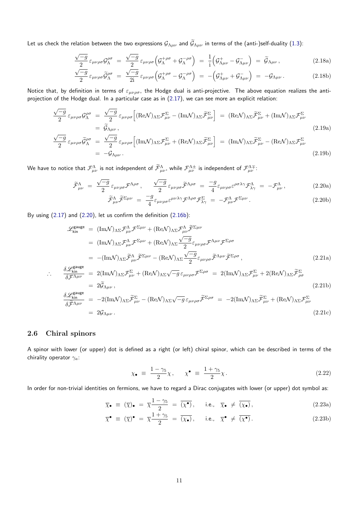Let us check the relation between the two expressions  $G_{\Lambda\mu\nu}$  and  $\tilde{G}_{\Lambda\mu\nu}$  in terms of the (anti-)self-duality (1.3):

$$
\frac{\sqrt{-g}}{2} \varepsilon_{\mu\nu\rho\sigma} \mathcal{G}_{\Lambda}^{\rho\sigma} = \frac{\sqrt{-g}}{2} \varepsilon_{\mu\nu\rho\sigma} \left( \mathcal{G}_{\Lambda}^{+\rho\sigma} + \mathcal{G}_{\Lambda}^{-\rho\sigma} \right) = \frac{1}{i} \left( \mathcal{G}_{\Lambda\mu\nu}^{+} - \mathcal{G}_{\Lambda\mu\nu}^{-} \right) = \widetilde{\mathcal{G}}_{\Lambda\mu\nu} , \qquad (2.18a)
$$

$$
\frac{\sqrt{-g}}{2} \varepsilon_{\mu\nu\rho\sigma} \widetilde{\mathcal{G}}_{\Lambda}^{\rho\sigma} = \frac{\sqrt{-g}}{2i} \varepsilon_{\mu\nu\rho\sigma} \left( \mathcal{G}_{\Lambda}^{+\rho\sigma} - \mathcal{G}_{\Lambda}^{-\rho\sigma} \right) = -\left( \mathcal{G}_{\Lambda\mu\nu}^{+} + \mathcal{G}_{\Lambda\mu\nu}^{-} \right) = -\mathcal{G}_{\Lambda\mu\nu} \,. \tag{2.18b}
$$

Notice that, by definition in terms of *εµνρσ*, the Hodge dual is anti-projective. The above equation realizes the antiprojection of the Hodge dual. In a particular case as in (2.17), we can see more an explicit relation:

$$
\frac{\sqrt{-g}}{2} \varepsilon_{\mu\nu\rho\sigma} \mathcal{G}_{\Lambda}^{\rho\sigma} = \frac{\sqrt{-g}}{2} \varepsilon_{\mu\nu\rho\sigma} \Big[ (\text{Re}\mathcal{N})_{\Lambda\Sigma} \mathcal{F}_{\mu\nu}^{\Sigma} - (\text{Im}\mathcal{N})_{\Lambda\Sigma} \tilde{\mathcal{F}}_{\mu\nu}^{\Sigma} \Big] = (\text{Re}\mathcal{N})_{\Lambda\Sigma} \tilde{\mathcal{F}}_{\mu\nu}^{\Sigma} + (\text{Im}\mathcal{N})_{\Lambda\Sigma} \mathcal{F}_{\mu\nu}^{\Sigma}
$$
\n
$$
= \tilde{\mathcal{G}}_{\Lambda\mu\nu},
$$
\n
$$
\frac{\sqrt{-g}}{2} \varepsilon_{\mu\nu\rho\sigma} \tilde{\mathcal{G}}_{\Lambda}^{\rho\sigma} = \frac{\sqrt{-g}}{2} \varepsilon_{\mu\nu\rho\sigma} \Big[ (\text{Im}\mathcal{N})_{\Lambda\Sigma} \mathcal{F}_{\mu\nu}^{\Sigma} + (\text{Re}\mathcal{N})_{\Lambda\Sigma} \tilde{\mathcal{F}}_{\mu\nu}^{\Sigma} \Big] = (\text{Im}\mathcal{N})_{\Lambda\Sigma} \tilde{\mathcal{F}}_{\mu\nu}^{\Sigma} - (\text{Re}\mathcal{N})_{\Lambda\Sigma} \mathcal{F}_{\mu\nu}^{\Sigma} \Big] \tag{2.19a}
$$

$$
\varepsilon_{\mu\nu\rho\sigma}\widetilde{\mathcal{G}}_{\Lambda}^{\rho\sigma} = \frac{\sqrt{-g}}{2}\varepsilon_{\mu\nu\rho\sigma}\Big[ (\text{Im}\mathcal{N})_{\Lambda\Sigma}\mathcal{F}_{\mu\nu}^{\Sigma} + (\text{Re}\mathcal{N})_{\Lambda\Sigma}\widetilde{\mathcal{F}}_{\mu\nu}^{\Sigma}\Big] = (\text{Im}\mathcal{N})_{\Lambda\Sigma}\widetilde{\mathcal{F}}_{\mu\nu}^{\Sigma} - (\text{Re}\mathcal{N})_{\Lambda\Sigma}\mathcal{F}_{\mu\nu}^{\Sigma}
$$
\n
$$
= -\mathcal{G}_{\Lambda\mu\nu}.
$$
\n(2.19b)

We have to notice that  $\mathcal{F}^\Lambda_{\mu\nu}$  is not independent of  $\widetilde{\mathcal{F}}^\Lambda_{\mu\nu}$ , while  $\mathcal{F}^{\Lambda\pm}_{\mu\nu}$  is independent of  $\mathcal{F}^{\Lambda\mp}_{\mu\nu}$ :

$$
\widetilde{\mathcal{F}}^{\Lambda}_{\mu\nu} = \frac{\sqrt{-g}}{2} \varepsilon_{\mu\nu\rho\sigma} \mathcal{F}^{\Lambda\rho\sigma}, \qquad \frac{\sqrt{-g}}{2} \varepsilon_{\mu\nu\rho\sigma} \widetilde{\mathcal{F}}^{\Lambda\rho\sigma} = \frac{-g}{4} \varepsilon_{\mu\nu\rho\sigma} \varepsilon^{\rho\sigma\lambda\gamma} \mathcal{F}^{\Lambda}_{\lambda\gamma} = -\mathcal{F}^{\Lambda}_{\mu\nu}, \tag{2.20a}
$$
\n
$$
\widetilde{\mathcal{F}}^{\Lambda} \widetilde{\mathcal{F}}^{\Sigma\mu\nu} = \frac{-g}{2} \varepsilon_{\mu\nu\lambda\gamma} \mathcal{F}^{\Lambda\rho\sigma} \mathcal{F}^{\Sigma} = -\mathcal{F}^{\Lambda} \mathcal{F}^{\Sigma\mu\nu} \tag{2.20b}
$$

<span id="page-10-1"></span>
$$
\widetilde{\mathcal{F}}^{\Lambda}_{\mu\nu}\widetilde{\mathcal{F}}^{\Sigma\mu\nu} = \frac{-g}{4}\varepsilon_{\mu\nu\rho\sigma}\varepsilon^{\mu\nu\lambda\gamma}\mathcal{F}^{\Lambda\rho\sigma}\mathcal{F}^{\Sigma}_{\lambda\gamma} = -\mathcal{F}^{\Lambda}_{\mu\nu}\mathcal{F}^{\Sigma\mu\nu}.
$$
\n(2.20b)

By using (2.17) and (2.20), let us confirm the definition (2.16b):

$$
\mathcal{L}_{kin}^{gauge} = (Im\mathcal{N})_{\Lambda\Sigma} \mathcal{F}_{\mu\nu}^{\Lambda} \mathcal{F}^{\Sigma\mu\nu} + (Re\mathcal{N})_{\Lambda\Sigma} \mathcal{F}_{\mu\nu}^{\Lambda} \widetilde{\mathcal{F}}^{\Sigma\mu\nu}
$$
\n
$$
= (Im\mathcal{N})_{\Lambda\Sigma} \mathcal{F}_{\mu\nu}^{\Lambda} \mathcal{F}^{\Sigma\mu\nu} + (Re\mathcal{N})_{\Lambda\Sigma} \frac{\sqrt{-g}}{2} \varepsilon_{\mu\nu\rho\sigma} \mathcal{F}^{\Lambda\mu\nu} \mathcal{F}^{\Sigma\rho\sigma}
$$
\n
$$
= -(Im\mathcal{N})_{\Lambda\Sigma} \widetilde{\mathcal{F}}_{\mu\nu}^{\Lambda} \widetilde{\mathcal{F}}^{\Sigma\mu\nu} - (Re\mathcal{N})_{\Lambda\Sigma} \frac{\sqrt{-g}}{2} \varepsilon_{\mu\nu\rho\sigma} \widetilde{\mathcal{F}}^{\Lambda\mu\nu} \widetilde{\mathcal{F}}^{\Sigma\rho\sigma}, \tag{2.21a}
$$
\n
$$
\delta \mathcal{L}_{kin}^{gauge} = 2(Im\mathcal{N})_{\Lambda\Sigma} \mathcal{F}_{\mu\nu}^{\Sigma} + (Re\mathcal{N})_{\Lambda\Sigma} \mathcal{F}_{\mu\nu}^{\Sigma\rho\sigma} \mathcal{F}^{\Lambda\mu\nu} \widetilde{\mathcal{F}}^{\Sigma\rho\sigma}, \tag{2.21b}
$$

$$
\therefore \frac{\delta \mathcal{L}_{kin}^{\text{gauge}}}{\delta \mathcal{F}^{\Lambda \mu \nu}} = 2(\text{Im}\mathcal{N})_{\Lambda \Sigma} \mathcal{F}_{\mu\nu}^{\Sigma} + (\text{Re}\mathcal{N})_{\Lambda \Sigma} \sqrt{-g} \,\varepsilon_{\mu\nu\rho\sigma} \mathcal{F}^{\Sigma \rho\sigma} = 2(\text{Im}\mathcal{N})_{\Lambda \Sigma} \mathcal{F}_{\mu\nu}^{\Sigma} + 2(\text{Re}\mathcal{N})_{\Lambda \Sigma} \widetilde{\mathcal{F}}_{\rho\sigma}^{\Sigma}
$$
\n
$$
= 2\widetilde{\mathcal{G}}_{\Lambda \mu\nu}, \qquad (2.21b)
$$
\n
$$
\frac{\delta \mathcal{L}_{kin}^{\text{gauge}}}{\delta \widetilde{\mathcal{F}}^{\Lambda \mu\nu}} = -2(\text{Im}\mathcal{N})_{\Lambda \Sigma} \widetilde{\mathcal{F}}_{\mu\nu}^{\Sigma} - (\text{Re}\mathcal{N})_{\Lambda \Sigma} \sqrt{-g} \,\varepsilon_{\mu\nu\rho\sigma} \widetilde{\mathcal{F}}^{\Sigma \rho\sigma} = -2(\text{Im}\mathcal{N})_{\Lambda \Sigma} \widetilde{\mathcal{F}}_{\mu\nu}^{\Sigma} + (\text{Re}\mathcal{N})_{\Lambda \Sigma} \mathcal{F}_{\mu\nu}^{\Sigma} \tag{2.21b}
$$

$$
= 2\mathcal{G}_{\Lambda\mu\nu} \,.
$$

#### **2.6 Chiral spinors**

<span id="page-10-0"></span>A spinor with lower (or upper) dot is defined as a right (or left) chiral spinor, which can be described in terms of the chirality operator *γa*:

$$
\chi_{\bullet} \equiv \frac{1 - \gamma_5}{2} \chi, \qquad \chi^{\bullet} \equiv \frac{1 + \gamma_5}{2} \chi. \tag{2.22}
$$

In order for non-trivial identities on fermions, we have to regard a Dirac conjugates with lower (or upper) dot symbol as:

$$
\overline{\chi}_{\bullet} \equiv (\overline{\chi})_{\bullet} = \overline{\chi} \frac{1 - \gamma_5}{2} = (\overline{\chi^{\bullet})}, \quad \text{i.e., } \overline{\chi}_{\bullet} \neq (\overline{\chi_{\bullet}}), \tag{2.23a}
$$

$$
\overline{\chi}^{\bullet} \equiv (\overline{\chi})^{\bullet} = \overline{\chi} \frac{1 + \gamma_5}{2} = \overline{(\chi_{\bullet})}, \quad \text{i.e., } \overline{\chi}^{\bullet} \neq \overline{(\chi^{\bullet})}. \tag{2.23b}
$$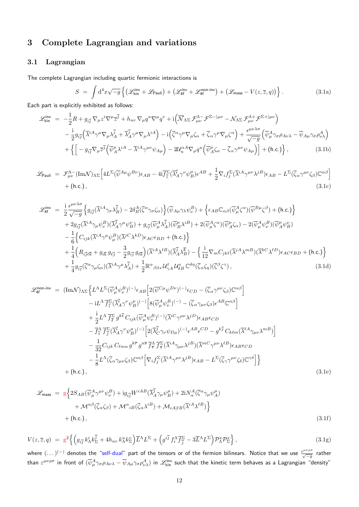# <span id="page-11-0"></span>**3 Complete Lagrangian and variations**

### <span id="page-11-1"></span>**3.1 Lagrangian**

The complete Lagrangian including quartic fermionic interactions is

<span id="page-11-2"></span>
$$
S = \int d^4x \sqrt{-g} \left\{ \left( \mathcal{L}_{\text{kin}}^{\text{inv}} + \mathcal{L}_{\text{Pauli}} \right) + \left( \mathcal{L}_{4\text{f}}^{\text{inv}} + \mathcal{L}_{4\text{f}}^{\text{non-inv}} \right) + \left( \mathcal{L}_{\text{mass}} - V(z, \overline{z}, q) \right) \right\}.
$$
 (3.1a)

Each part is explicitly exhibited as follows:

$$
\mathcal{L}_{kin}^{inv} = -\frac{1}{2}R + g_{i\overline{j}}\nabla_{\mu}z^{i}\nabla^{\mu}\overline{z}^{\overline{j}} + h_{uv}\nabla_{\mu}q^{u}\nabla^{\mu}q^{\nu} + i(\overline{\mathcal{N}}_{\Lambda\Sigma}\mathcal{F}_{\mu\nu}^{\Lambda-}\mathcal{F}^{\Sigma-|\mu\nu} - \mathcal{N}_{\Lambda\Sigma}\mathcal{F}_{\mu\nu}^{\Lambda+}\mathcal{F}^{\Sigma+|\mu\nu})
$$
  
\n
$$
- \frac{i}{2}g_{i\overline{j}}(\overline{\lambda}^{iA}\gamma^{\mu}\nabla_{\mu}\lambda^{\overline{j}} + \overline{\lambda}_{A}^{\overline{j}}\gamma^{\mu}\nabla_{\mu}\lambda^{iA}) - i(\overline{\zeta}^{\alpha}\gamma^{\mu}\nabla_{\mu}\zeta_{\alpha} + \overline{\zeta}_{\alpha}\gamma^{\mu}\nabla_{\mu}\zeta^{\alpha}) + \frac{\epsilon^{\mu\nu\lambda\sigma}}{\sqrt{-g}}(\overline{\psi}_{\mu}^{A}\gamma_{\sigma}\rho_{A\nu\lambda} - \overline{\psi}_{A\mu}\gamma_{\sigma}\rho_{\nu\lambda}^{A})
$$
  
\n
$$
+ \left\{ \left[ -g_{i\overline{j}}\nabla_{\mu}\overline{z}^{\overline{j}}(\overline{\psi}_{A}^{\mu}\lambda^{iA} - \overline{\lambda}^{iA}\gamma^{\mu\nu}\psi_{A\mu}) - 2\mathcal{U}_{u}^{\alpha A}\nabla_{\mu}q^{u}(\overline{\psi}_{A}^{\mu}\zeta_{\alpha} - \overline{\zeta}_{\alpha}\gamma^{\mu\nu}\psi_{A\mu}) \right] + (\text{h.c.}) \right\},
$$
 (3.1b)

$$
\mathcal{L}_{\text{Pauli}} = \mathcal{F}_{\mu\nu}^{\Lambda-}(\text{Im}\mathcal{N})_{\Lambda\Sigma} \Big[ 4L^{\Sigma} (\overline{\psi}^{A\mu} \psi^{B\nu}) \epsilon_{AB} - 4i \overline{f}_{\overline{i}}^{\Sigma} (\overline{\lambda}_{A}^{\overline{i}} \gamma^{\nu} \psi_{B}^{\mu}) \epsilon^{AB} + \frac{1}{2} \nabla_{i} f_{j}^{\Sigma} (\overline{\lambda}^{iA} \gamma^{\mu\nu} \lambda^{jB}) \epsilon_{AB} - L^{\Sigma} (\overline{\zeta}_{\alpha} \gamma^{\mu\nu} \zeta_{\beta}) \mathbb{C}^{\alpha\beta} \Big] + (\text{h.c.}), \tag{3.1c}
$$

$$
\mathcal{L}_{4f}^{\text{inv}} = \frac{i}{2} \frac{\epsilon^{\mu\nu\lambda\sigma}}{\sqrt{-g}} \Big\{ g_{i\overline{j}} (\overline{\lambda}^{iA} \gamma_{\sigma} \lambda_{B}^{\overline{j}}) - 2\delta_{B}^{A} (\overline{\zeta}^{\alpha} \gamma_{\sigma} \zeta_{\alpha}) \Big\} (\overline{\psi}_{A\mu} \gamma_{\lambda} \psi_{\nu}^{B}) + \Big\{ \epsilon_{AB} \mathbb{C}_{\alpha\beta} (\overline{\psi}_{\mu}^{A} \zeta^{\alpha}) (\overline{\psi}^{B\mu} \zeta^{\beta}) + (\text{h.c.}) \Big\} \n+ 2g_{i\overline{j}} (\overline{\lambda}^{iA} \gamma_{\mu} \psi_{\nu}^{B}) (\overline{\lambda}_{A}^{\overline{j}} \gamma^{\mu} \psi_{B}^{B}) + g_{i\overline{j}} (\overline{\psi}_{\mu}^{A} \lambda_{A}^{\overline{j}}) (\overline{\psi}_{B}^{\mu} \lambda^{iB}) + 2 (\overline{\psi}_{\mu}^{A} \zeta^{\alpha}) (\overline{\psi}_{A}^{A} \zeta_{\alpha}) - 2 (\overline{\psi}_{\mu}^{A} \psi_{\nu}^{B}) (\overline{\psi}_{A}^{\mu} \psi_{B}^{B}) \n- \frac{1}{6} \Big\{ C_{ijk} (\overline{\lambda}^{iA} \gamma^{\mu} \psi_{\mu}^{B}) (\overline{\lambda}^{jC} \lambda^{kD}) \epsilon_{AC} \epsilon_{BD} + (\text{h.c.}) \Big\} \n+ \frac{1}{4} \Big( R_{i\overline{j}\ell\overline{k}} + g_{i\overline{k}} g_{\ell\overline{j}} - \frac{3}{2} g_{i\overline{j}} g_{\ell\overline{k}} \Big) (\overline{\lambda}^{iA} \lambda^{\ell B}) (\overline{\lambda}_{A}^{\overline{j}} \lambda_{B}^{\overline{k}}) - \Big\{ \frac{i}{12} \nabla_{m} C_{jk\ell} (\overline{\lambda}^{jA} \lambda^{mB}) (\overline{\lambda}^{kC} \lambda^{\ell D}) \epsilon_{AC} \epsilon_{BD} + (\text{h.c.}) \Big\} \n+ \frac{1}{4} g_{i\overline{j}} (\overline{\zeta}^{\alpha} \gamma_{\mu} \zeta_{\alpha}) (\overline{\lambda}^{iA} \gamma^{\mu} \
$$

$$
\mathcal{L}_{4f}^{\text{non-inv}} = (\text{Im}\mathcal{N})_{\Lambda\Sigma} \Big\{ L^{\Lambda} L^{\Sigma} (\overline{\psi}_{\mu}^{A} \psi_{\nu}^{B})^{(-)} \epsilon_{AB} \Big[ 2(\overline{\psi}^{C\mu} \psi^{D\nu})^{(-)} \epsilon_{CD} - (\overline{\zeta}_{\alpha} \gamma^{\mu\nu} \zeta_{\beta}) \mathbb{C}^{\alpha\beta} \Big] - iL^{\Lambda} \overline{f}_{\overline{i}}^{\Sigma} (\overline{\lambda}_{A}^{\overline{i}} \gamma^{\nu} \psi_{B}^{\mu})^{(-)} \Big[ 8(\overline{\psi}_{\mu}^{A} \psi_{\nu}^{B})^{(-)} - (\overline{\zeta}_{\alpha} \gamma_{\mu\nu} \zeta_{\beta}) \epsilon^{AB} \mathbb{C}^{\alpha\beta} \Big] + \frac{i}{2} L^{\Lambda} \overline{f}_{\overline{\ell}}^{\Sigma} g^{k\overline{\ell}} C_{ijk} (\overline{\psi}_{\mu}^{A} \psi_{\nu}^{B})^{(-)} (\overline{\lambda}^{iC} \gamma^{\mu\nu} \lambda^{jD}) \epsilon_{AB} \epsilon_{CD} - \overline{f}_{\overline{i}}^{\Lambda} \overline{f}_{\overline{j}}^{\Sigma} (\overline{\lambda}_{A}^{\overline{i}} \gamma^{\nu} \psi_{B}^{\mu})^{(-)} \Big[ 2(\overline{\lambda}_{C}^{\overline{j}} \gamma_{\nu} \psi_{D\mu})^{(-)} \epsilon^{AB} \epsilon^{CD} - g^{k\overline{j}} C_{k\ell m} (\overline{\lambda}^{\ell A} \gamma_{\mu\nu} \lambda^{mB}) \Big] - \frac{1}{32} C_{ijk} C_{\ell m n} g^{k\overline{r}} g^{n\overline{s}} \overline{f}_{\overline{r}}^{\Lambda} \overline{f}_{\overline{s}}^{\Sigma} (\overline{\lambda}^{iA} \gamma_{\mu\nu} \lambda^{jB}) (\overline{\lambda}^{mC} \gamma^{\mu\nu} \lambda^{\ell B}) \epsilon_{AB} \epsilon_{CD} - \frac{1}{32} L^{\Lambda} (\overline{\zeta}_{\alpha} \gamma_{\mu\nu} \zeta_{\beta}) \mathbb{C}^{\alpha\beta} \Big[ \nabla_{i} f_{\overline{j}}^{\Sigma} (\overline{\lambda}^{iA} \gamma^{\mu\nu} \lambda^{jB
$$

$$
\mathcal{L}_{\text{mass}} = g \Big\{ 2S_{AB} (\overline{\psi}_{\mu}^{A} \gamma^{\mu\nu} \psi_{\nu}^{B}) + i g_{i\overline{j}} W^{iAB} (\overline{\lambda}_{A}^{\overline{j}} \gamma_{\mu} \psi_{B}^{\mu}) + 2i N_{\alpha}^{A} (\overline{\zeta}^{\alpha} \gamma_{\mu} \psi_{A}^{\mu}) + \mathcal{M}^{\alpha\beta} (\overline{\zeta}_{\alpha} \zeta_{\beta}) + \mathcal{M}^{\alpha}{}_{iB} (\overline{\zeta}_{\alpha} \lambda^{iB}) + \mathcal{M}_{iA|\ell B} (\overline{\lambda}^{iA} \lambda^{\ell B}) \Big\} + (\text{h.c.}),
$$
\n(3.1f)

$$
V(z,\overline{z},q) = g^2 \left\{ \left( g_{i\overline{j}} k^i_{\Lambda} k^{\overline{j}}_{\Sigma} + 4h_{uv} k^u_{\Lambda} k^v_{\Sigma} \right) \overline{L}^{\Lambda} L^{\Sigma} + \left( g^{i\overline{j}} f^{\Lambda}_i \overline{f}^{\Sigma}_{\overline{j}} - 3\overline{L}^{\Lambda} L^{\Sigma} \right) \mathcal{P}^x_{\Lambda} \mathcal{P}^x_{\Sigma} \right\},
$$
\n(3.1g)

where  $( ...)^{(-)}$  denotes the "self-dual" part of the tensors or of the fermion bilinears. Notice that we use  $\frac{e^{\mu\nu\rho\sigma}}{\sqrt{-g}}$  rather than  $\varepsilon^{\mu\nu\rho\sigma}$  in front of  $(\overline\psi^A_\mu\gamma_\sigma\rho_{A\nu\lambda}-\overline\psi_{A\mu}\gamma_\sigma\rho^A_{\nu\lambda})$  in  $\mathscr{L}^\text{inv}_\text{kin}$  such that the kinetic term behaves as a Lagrangian "density"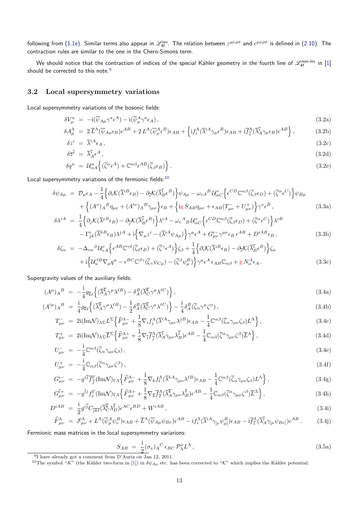following from (1.1e). Similar terms also appear in  $\mathscr{L}^\mathsf{inv}_{\mathsf{4f}}$ . The relation between  $\varepsilon^{\mu\nu\rho\sigma}$  and  $\epsilon^{\mu\nu\rho\sigma}$  is defined in (2.10). The contraction rules are similar to the one in the Chern-Simons term.

We should notice that the contraction of indices of the special Kähler geometry in the fourth line of  $\mathscr{L}^\text{non-inv}_{4\text{f}}$  in  $[1]$ should be corre[cted](#page-3-5) to this note. $9$ 

#### **3.2 Local supersymmetry variations**

<span id="page-12-0"></span>Local supersymmetry variations of the bosonic fields:

$$
\delta V^a_\mu = -i(\overline{\psi}_{A\mu}\gamma^a \epsilon^A) - i(\overline{\psi}^A_\mu \gamma^a \epsilon_A), \qquad (3.2a)
$$

$$
\delta A^{\Lambda}_{\mu} = 2 \overline{L}^{\Lambda} (\overline{\psi}_{A\mu} \epsilon_B) \epsilon^{AB} + 2 L^{\Lambda} (\overline{\psi}^A_{\mu} \epsilon^B) \epsilon_{AB} + \left\{ i f_i^{\Lambda} (\overline{\lambda}^{iA} \gamma_{\mu} \epsilon^B) \epsilon_{AB} + i \overline{f}^{\Lambda}_{\bar{i}} (\overline{\lambda}^{\bar{i}}_{A} \gamma_{\mu} \epsilon_{B}) \epsilon^{AB} \right\},
$$
(3.2b)

$$
\delta z^{i} = \overline{\lambda}^{iA} \epsilon_{A} , \qquad (3.2c)
$$
  

$$
\delta \overline{z}^{\overline{i}} = \overline{\lambda}_{A}^{\overline{i}} \epsilon^{A} , \qquad (3.2d)
$$

$$
\delta q^u = \mathcal{U}_{\alpha A}^u \left\{ (\overline{\zeta}^{\alpha} \epsilon^A) + \mathbb{C}^{\alpha \beta} \epsilon^{AB} (\overline{\zeta}_{\beta} \epsilon_B) \right\}.
$$
\n(3.2e)

Local supersymmetry variations of the fermionic fields: $10$ 

$$
\delta\psi_{A\mu} = \mathcal{D}_{\mu}\epsilon_{A} - \frac{1}{4}\Big\{\partial_{i}\mathcal{K}(\overline{\lambda}^{i}{}^{B}\epsilon_{B}) - \partial_{\overline{i}}\mathcal{K}(\overline{\lambda}_{B}^{\overline{i}}\epsilon^{B})\Big\}\psi_{A\mu} - \omega_{vA}{}^{B}\mathcal{U}_{\alpha C}^{v}\Big\{\epsilon^{CD}\mathbb{C}^{\alpha\beta}(\overline{\zeta}_{\beta}\epsilon_{D}) + (\overline{\zeta}^{\alpha}\epsilon^{C})\Big\}\psi_{B\mu} + \Big\{(A^{\nu})_{A}{}^{B}\eta_{\mu\nu} + (A^{\prime\nu})_{A}{}^{B}\gamma_{\mu\nu}\Big\}\epsilon_{B} + \Big\{\mathrm{i}g\,S_{AB}\eta_{\mu\nu} + \epsilon_{AB}(T_{\mu\nu}^{-} + U_{\mu\nu}^{+})\Big\}\gamma^{\nu}\epsilon^{B},
$$
\n(3.3a)

$$
\delta\lambda^{iA} = \frac{1}{4} \Big\{ \partial_j \mathcal{K}(\overline{\lambda}^{jB} \epsilon_B) - \partial_{\overline{j}} \mathcal{K}(\overline{\lambda}_{B}^{\overline{j}} \epsilon^B) \Big\} \lambda^{iA} - \omega_v{}^A{}_B \mathcal{U}_{\alpha C}^v \Big\{ \epsilon^{CD} \mathbb{C}^{\alpha\beta} (\overline{\zeta}_{\beta} \epsilon_D) + (\overline{\zeta}^{\alpha} \epsilon^C) \Big\} \lambda^{iB} - \Gamma^{i}_{jk} (\overline{\lambda}^{kB} \epsilon_B) \lambda^{jA} + i \Big\{ \nabla_{\mu} z^i - (\overline{\lambda}^{iA} \psi_{A\mu}) \Big\} \gamma^{\mu} \epsilon^A + G^{i}_{\mu\nu} \gamma^{\mu\nu} \epsilon_B \epsilon^{AB} + D^{iAB} \epsilon_B ,
$$
\n(3.3b)

$$
\delta\zeta_{\alpha} = -\Delta_{v\alpha}{}^{\beta} \mathcal{U}_{\gamma A}^{v} \Big\{ \epsilon^{AB} \mathbb{C}^{\gamma\delta} (\overline{\zeta}_{\delta} \epsilon_{B}) + (\overline{\zeta}{}^{\gamma} \epsilon^{A}) \Big\} \zeta_{\beta} + \frac{1}{4} \Big\{ \partial_{i} \mathcal{K} (\overline{\lambda}{}^{i}{}^{B} \epsilon_{B}) - \partial_{\overline{i}} \mathcal{K} (\overline{\lambda}{}^{i}{}_{B} \epsilon^{B}) \Big\} \zeta_{\alpha} \n+ i \Big\{ \mathcal{U}_{u}^{\beta B} \nabla_{\mu} q^{u} - \epsilon^{BC} \mathbb{C}^{\beta\gamma} (\overline{\zeta}_{\gamma} \psi_{C\mu}) - (\overline{\zeta}{}^{\beta} \psi_{\mu}^{B}) \Big\} \gamma^{\mu} \epsilon^{A} \epsilon_{AB} \mathbb{C}_{\alpha\beta} + g N_{\alpha}^{A} \epsilon_{A}.
$$
\n(3.3c)

Supergravity values of the auxiliary fields:

$$
(A^{\mu})_{A}{}^{B} = -\frac{\mathrm{i}}{4}g_{\overline{k}\ell}\left\{(\overline{\lambda}_{A}^{\overline{k}}\gamma^{\mu}\lambda^{\ell B}) - \delta_{A}^{B}(\overline{\lambda}_{C}^{\overline{k}}\gamma^{\mu}\lambda^{\ell C})\right\},\tag{3.4a}
$$

$$
(A^{\prime \mu})_A{}^B = \frac{\mathrm{i}}{4} g_{\overline{k}\ell} \left\{ (\overline{\lambda}_A^{\overline{k}} \gamma^\mu \lambda^{\ell B}) - \frac{1}{2} \delta_A^B (\overline{\lambda}_C^{\overline{k}} \gamma^\mu \lambda^{\ell C}) \right\} - \frac{\mathrm{i}}{4} \delta_A^B (\overline{\zeta}_\alpha \gamma^\mu \zeta^\alpha) , \tag{3.4b}
$$

$$
T^{-}_{\mu\nu} = 2i(\text{Im}\mathcal{N})_{\Lambda\Sigma}L^{\Sigma}\left\{\widehat{F}^{\Lambda-}_{\mu\nu} + \frac{1}{8}\nabla_{i}f_{j}^{\Lambda}(\overline{\lambda}^{iA}\gamma_{\mu\nu}\lambda^{jB})\epsilon_{AB} - \frac{1}{4}\mathbb{C}^{\alpha\beta}(\overline{\zeta}_{\alpha}\gamma_{\mu\nu}\zeta_{\beta})L^{\Lambda}\right\},\tag{3.4c}
$$

$$
T^{+}_{\mu\nu} = 2i(\text{Im}\mathcal{N})_{\Lambda\Sigma}\overline{L}^{\Sigma}\left\{\widehat{F}^{\Lambda+}_{\mu\nu} + \frac{1}{8}\nabla_{\overline{i}}\overline{f}^{\Lambda}_{\overline{j}}(\overline{\lambda}_{A}^{\overline{i}}\gamma_{\mu\nu}\lambda_{B}^{\overline{j}})\epsilon^{AB} - \frac{1}{4}\mathbb{C}_{\alpha\beta}(\overline{\zeta}^{\alpha}\gamma_{\mu\nu}\zeta^{\beta})\overline{L}^{\Lambda}\right\},
$$
\n(3.4d)

$$
U^{-}_{\mu\nu} = -\frac{1}{4} \mathbb{C}^{\alpha\beta} (\bar{\zeta}_{\alpha} \gamma_{\mu\nu} \zeta_{\beta}), \tag{3.4e}
$$

$$
U^{+}_{\mu\nu} = -\frac{i}{4} \mathbb{C}_{\alpha\beta} (\overline{\zeta}^{\alpha} \gamma_{\mu\nu} \zeta^{\beta}), \tag{3.4f}
$$

$$
G_{\mu\nu}^{i-} = -g^{i\overline{j}}\overline{f}_{\overline{j}}^{\Gamma}(\text{Im}\mathcal{N})_{\Gamma\Lambda}\left\{\widehat{F}_{\mu\nu}^{\Lambda-} + \frac{1}{8}\nabla_{k}f_{\ell}^{\Lambda}(\overline{\lambda}^{kA}\gamma_{\mu\nu}\lambda^{\ell B})\epsilon_{AB} - \frac{1}{4}\mathbb{C}^{\alpha\beta}(\overline{\zeta}_{\alpha}\gamma_{\mu\nu}\zeta_{\beta})L^{\Lambda}\right\},\tag{3.4g}
$$

$$
G_{\mu\nu}^{\bar{i}+} = -g^{\bar{i}j} f_j^{\Gamma} (\text{Im}\mathcal{N})_{\Gamma\Lambda} \left\{ \widehat{F}_{\mu\nu}^{\Lambda+} + \frac{1}{8} \nabla_{\overline{k}} \overline{f}_{\overline{\ell}}^{\Lambda} (\overline{\lambda}_{A}^{\overline{k}} \gamma_{\mu\nu} \lambda_{B}^{\overline{\ell}}) \epsilon^{AB} - \frac{1}{4} \mathbb{C}_{\alpha\beta} (\overline{\zeta}^{\alpha} \gamma_{\mu\nu} \zeta^{\beta}) \overline{L}^{\Lambda} \right\},\tag{3.4h}
$$

$$
D^{iAB} = \frac{1}{2} g^{i\overline{j}} C_{\overline{j}\overline{k}\overline{\ell}} (\overline{\lambda}_{C}^{\overline{k}} \lambda_{D}^{\overline{\ell}}) \epsilon^{AC} \epsilon^{BD} + W^{iAB}, \qquad (3.4)
$$

$$
\widehat{F}^{\Lambda}_{\mu\nu} = \mathcal{F}^{\Lambda}_{\mu\nu} + L^{\Lambda} (\overline{\psi}^A_{\mu} \psi^B_{\nu}) \epsilon_{AB} + \overline{L}^{\Lambda} (\overline{\psi}_{A\mu} \psi_{B\nu}) \epsilon^{AB} - i f_i^{\Lambda} (\overline{\lambda}^{iA} \gamma_{\lbrack\nu} \psi^B_{\mu}) \epsilon_{AB} - i \overline{f}^{\Lambda}_{\overline{i}} (\overline{\lambda}^{\overline{i}}_{A} \gamma_{\lbrack\mu} \psi_{B\nu)}) \epsilon^{AB}.
$$
 (3.4)

Fermionic mass matrices in the local supersymmetry variarions:

$$
S_{AB} = \frac{\mathrm{i}}{2} (\sigma_x)_A{}^C \epsilon_{BC} \mathcal{P}_\Lambda^x L^\Lambda \,, \tag{3.5a}
$$

<sup>&</sup>lt;sup>9</sup> have already got a comment from D'Auria on Jan 12, 2011.

<span id="page-12-1"></span><sup>&</sup>lt;sup>10</sup>The symbol "*K*" (the Kähler two-form in [1]) in  $\delta\psi_{A\mu}$  etc. has been corrected to "*K*" which implies the Kähler potential.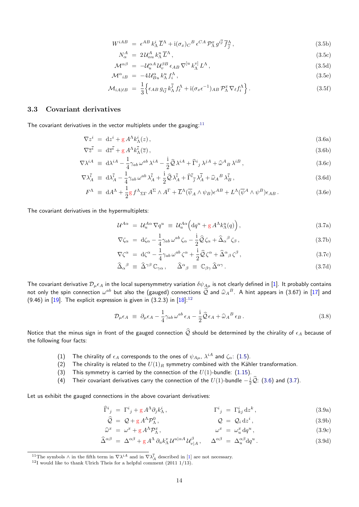$$
W^{iAB} = \epsilon^{AB} k^i_{\Lambda} \overline{L}^{\Lambda} + i(\sigma_x)_C{}^B \epsilon^{CA} \mathcal{P}^x_{\Lambda} g^{i\overline{j}} \overline{f}^{\Lambda}_{\overline{j}} , \qquad (3.5b)
$$

$$
N^A_\alpha = 2\mathcal{U}^A_{\alpha u} k^u_\Lambda \overline{L}^\Lambda, \qquad (3.5c)
$$

$$
\mathcal{M}^{\alpha\beta} = -\mathcal{U}_u^{\alpha A} \mathcal{U}_v^{\beta B} \epsilon_{AB} \nabla^{[u} k_{\Lambda}^{v]} L^{\Lambda}, \qquad (3.5d)
$$

$$
\mathcal{M}^{\alpha}{}_{i}{}_{B} = -4\,\mathcal{U}^{\alpha}{}_{B}{}_{u}{}_{k}{}^{\mu}{}_{\Lambda}{}_{i}{}^{\Lambda}\,,\tag{3.5e}
$$

$$
\mathcal{M}_{iA|\ell B} = \frac{1}{3} \Big\{ \epsilon_{AB} \, g_{i\overline{j}} \, k_{\Lambda}^{\overline{j}} \, f_{\ell}^{\Lambda} + \mathrm{i} (\sigma_x \epsilon^{-1})_{AB} \, \mathcal{P}_{\Lambda}^x \, \nabla_{\ell} f_i^{\Lambda} \Big\} \,. \tag{3.5f}
$$

#### **3.3 Covariant derivatives**

The covariant derivatives in the vector multiplets under the gauging: $11$ 

$$
\nabla z^i = dz^i + g A^{\Lambda} k^i_{\Lambda}(z) , \qquad (3.6a)
$$

$$
\nabla \overline{z}^{\overline{i}} = d\overline{z}^{\overline{i}} + g A^{\Lambda} k_{\Lambda}^{\overline{i}}(\overline{z}), \qquad (3.6b)
$$

$$
\nabla \lambda^{iA} \equiv \mathrm{d}\lambda^{iA} - \frac{1}{4} \gamma_{ab} \,\omega^{ab} \,\lambda^{iA} - \frac{i}{2} \hat{\mathcal{Q}} \,\lambda^{iA} + \hat{\Gamma}^i{}_j \,\lambda^{jA} + \hat{\omega}^A{}_B \,\lambda^{iB} \,,\tag{3.6c}
$$

$$
\nabla \lambda \bar{i}_A \equiv \mathrm{d} \lambda \bar{i}_A - \frac{1}{4} \gamma_{ab} \,\omega^{ab} \,\lambda \bar{i}_A + \frac{\mathrm{i}}{2} \hat{\mathcal{Q}} \,\lambda \bar{i}_A + \widehat{\Gamma} \bar{i}_\bar{j} \,\lambda \bar{j}_A + \widehat{\omega}_A{}^B \,\lambda \bar{i}_B \,,\tag{3.6d}
$$

$$
F^{\Lambda} \equiv dA^{\Lambda} + \frac{1}{2} g f^{\Lambda}{}_{\Sigma \Gamma} A^{\Sigma} \wedge A^{\Gamma} + \overline{L}^{\Lambda} (\overline{\psi}_{A} \wedge \psi_{B}) \epsilon^{AB} + L^{\Lambda} (\overline{\psi}^{A} \wedge \psi^{B}) \epsilon_{AB} . \tag{3.6e}
$$

The covariant derivatives in the hypermultiplets:

$$
\mathcal{U}^{A\alpha} = \mathcal{U}_u^{A\alpha} \nabla q^u \equiv \mathcal{U}_u^{A\alpha} \Big( \mathrm{d}q^u + \mathrm{g} A^{\Lambda} k_{\Lambda}^u(q) \Big), \tag{3.7a}
$$

$$
\nabla \zeta_{\alpha} = d\zeta_{\alpha} - \frac{1}{4} \gamma_{ab} \,\omega^{ab} \,\zeta_{\alpha} - \frac{i}{2} \hat{\mathcal{Q}} \,\zeta_{\alpha} + \hat{\Delta}_{\alpha}{}^{\beta} \,\zeta_{\beta} \,, \tag{3.7b}
$$

$$
\nabla \zeta^{\alpha} = d\zeta^{\alpha} - \frac{1}{4} \gamma_{ab} \,\omega^{ab} \,\zeta^{\alpha} + \frac{i}{2} \hat{\mathcal{Q}} \,\zeta^{\alpha} + \hat{\Delta}^{\alpha}{}_{\beta} \,\zeta^{\beta} \,, \tag{3.7c}
$$

$$
\widehat{\Delta}_{\alpha}{}^{\beta} \equiv \widehat{\Delta}^{\gamma\beta} \mathbb{C}_{\gamma\alpha} , \quad \widehat{\Delta}^{\alpha}{}_{\beta} \equiv \mathbb{C}_{\beta\gamma} \widehat{\Delta}^{\alpha\gamma} . \tag{3.7d}
$$

The covariant derivative  $\mathcal{D}_\mu\epsilon_A$  in the local supersymmetry variation  $\delta\psi_{A\mu}$  is not clearly defined in [1]. It probably contains not only the spin connection  $\omega^{ab}$  but also the (gauged) connections  $\hat{Q}$  and  $\hat{\omega}_A{}^B$ . A hint appears in (3.67) in [17] and  $(0.46)$  in [10]. The evaluative connection is given in (3.2.3) in [19].12 (9.46) in  $[19]$ . The explicit expression is given in (3.2.3) in  $[18]$ :<sup>12</sup>

$$
\mathcal{D}_{\mu}\epsilon_{A} \equiv \partial_{\mu}\epsilon_{A} - \frac{1}{4}\gamma_{ab}\,\omega^{ab}\,\epsilon_{A} - \frac{i}{2}\hat{\mathcal{Q}}\,\epsilon_{A} + \hat{\omega}_{A}{}^{B}\,\epsilon_{B} \,. \tag{3.8}
$$

Notice th[at t](#page-33-3)he minus sign in fr[on](#page-33-2)t of the gauged connection  $\widehat{Q}$  should be determined by the chirality of  $\epsilon_A$  because of the following four facts:

- (1) The chirality of  $\epsilon_A$  corresponds to the ones of  $\psi_{A\mu}$ ,  $\lambda^{iA}$  and  $\zeta_{\alpha}$ : (1.5).
- (2) The chirality is related to the  $U(1)_R$  symmetry combined with the Kähler transformation.
- (3) This symmetry is carried by the connection of the *U*(1)-bundle: (1.15).
- (4) Their covariant derivatives carry the connection of the  $U(1)$ -bundle  $-\frac{i}{2}\hat{Q}$ : (3.6) and (3.7).

Let us exhibit the gauged connections in the above covariant derivatives:

$$
\widehat{\Gamma}^i{}_j = \Gamma^i{}_j + g A^\Lambda \partial_j k^i_\Lambda \,, \qquad \qquad \Gamma^i{}_j = \Gamma^i_{kj} \, \mathrm{d} z^k \,, \tag{3.9a}
$$

$$
\widehat{Q} = Q + g A^{\Lambda} \mathcal{P}_{\Lambda}^{0}, \qquad Q = Q_{i} dz^{i}, \qquad (3.9b)
$$

$$
\widehat{\omega}^x = \omega^x + g A^{\Lambda} \mathcal{P}_{\Lambda}^x, \qquad \omega^x = \omega_u^x \, dq^u, \qquad (3.9c)
$$

$$
\widehat{\Delta}^{\alpha\beta} = \Delta^{\alpha\beta} + g A^{\Lambda} \partial_{u} k_{\Lambda}^{v} U^{u|\alpha A} U_{v|A}^{\beta}, \quad \Delta^{\alpha\beta} = \Delta^{\alpha\beta}_{u} dq^{u}.
$$
\n(3.9d)

<sup>&</sup>lt;sup>11</sup>The symbols  $\wedge$  in the fifth term in  $\nabla \lambda^{iA}$  and in  $\nabla \lambda^{\tilde{i}}$  described in [1] are not necessary.<br><sup>12</sup>I would like to thank Ulrich Theis for a helpful comment (2011 1/13).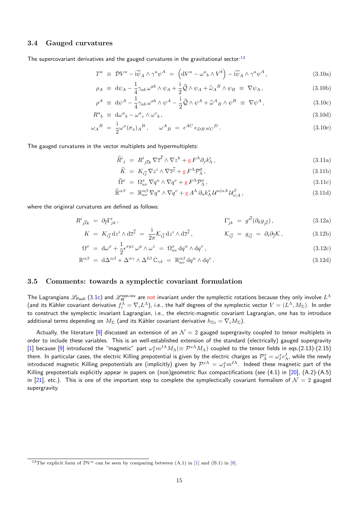### **3.4 Gauged curvatures**

<span id="page-14-0"></span>The supercovariant derivatives and the gauged curvatures in the gravitational sector: $^{13}$ 

$$
T^{a} \equiv \mathcal{D}V^{a} - i\overline{\psi}_{A} \wedge \gamma^{a}\psi^{A} = \left( \mathrm{d}V^{a} - \omega^{a}{}_{b} \wedge V^{b} \right) - i\overline{\psi}_{A} \wedge \gamma^{a}\psi^{A}, \qquad (3.10a)
$$

$$
\rho_A \equiv d\psi_A - \frac{1}{4} \gamma_{ab} \,\omega^{ab} \wedge \psi_A + \frac{i}{2} \hat{\mathcal{Q}} \wedge \psi_A + \hat{\omega}_A{}^B \wedge \psi_B \equiv \nabla \psi_A, \tag{3.10b}
$$

$$
\rho^A \equiv \mathrm{d}\psi^A - \frac{1}{4}\gamma_{ab}\,\omega^{ab}\wedge\psi^A - \frac{\mathrm{i}}{2}\hat{\mathcal{Q}}\wedge\psi^A + \hat{\omega}^A{}_B\wedge\psi^B \equiv \nabla\psi^A\,,\tag{3.10c}
$$

$$
R^{a}{}_{b} \equiv \mathrm{d}\omega^{a}{}_{b} - \omega^{a}{}_{c} \wedge \omega^{c}{}_{b}, \tag{3.10d}
$$

$$
\omega_A{}^B = \frac{1}{2} \omega^x (\sigma_x)_A{}^B, \qquad \omega^A{}_B = \epsilon^{AC} \epsilon_{DB} \omega_C{}^D.
$$
\n(3.10e)

The gauged curvatures in the vector multiplets and hypermultiplets:

$$
\widehat{R}^i_{\ j} \ = \ R^i_{\ j\bar{\ell}k} \nabla \overline{z}^{\bar{\ell}} \wedge \nabla z^k + g \, F^\Lambda \partial_j k^i_\Lambda \,, \tag{3.11a}
$$

$$
\widehat{K} = K_{i\overline{j}} \nabla z^i \wedge \nabla \overline{z}^{\overline{j}} + g F^{\Lambda} \mathcal{P}_{\Lambda}^0, \qquad (3.11b)
$$

$$
\widehat{\Omega}^x = \Omega^x_{uv} \nabla q^u \wedge \nabla q^v + g F^\Lambda \mathcal{P}^x_{\Lambda}, \tag{3.11c}
$$

$$
\widehat{\mathbb{R}}^{\alpha\beta} = \mathbb{R}^{\alpha\beta}_{uv} \nabla q^u \wedge \nabla q^v + g A^{\Lambda} \partial_u k^v_{\Lambda} \mathcal{U}^{u|\alpha A} \mathcal{U}^{\beta}_{v|A}, \qquad (3.11d)
$$

where the originral curvatures are defined as follows:

$$
R^i_{\,\bar{j}\bar{k}k} \; = \; \partial_{\bar{\ell}} \Gamma^i_{jk} \,, \tag{3.12a}
$$

$$
K = K_{i\overline{j}} dz^i \wedge d\overline{z}^{\overline{j}} = \frac{i}{2\pi} \mathcal{K}_{i\overline{j}} dz^i \wedge d\overline{z}^{\overline{j}}, \qquad \mathcal{K}_{i\overline{j}} = g_{i\overline{j}} = \partial_i \partial_{\overline{j}} \mathcal{K}, \qquad (3.12b)
$$

$$
\Omega^x = d\omega^x + \frac{1}{2} \epsilon^{xyz} \omega^y \wedge \omega^z = \Omega^x_{uv} dq^u \wedge dq^v , \qquad (3.12c)
$$

$$
\mathbb{R}^{\alpha\beta} = d\Delta^{\alpha\beta} + \Delta^{\alpha\gamma} \wedge \Delta^{\delta\beta} \mathbb{C}_{\gamma\delta} = \mathbb{R}^{\alpha\beta}_{uv} dq^u \wedge dq^v.
$$
 (3.12d)

#### **3.5 Comments: towards a symplectic covariant formulation**

<span id="page-14-1"></span>The Lagrangians  $\mathscr{L}_{\mathsf{Pauli}}$  (3.1c) and  $\mathscr{L}_{\mathsf{4f}}^{\mathsf{non-inv}}$  are not invariant under the symplectic rotations because they only involve  $L^\Lambda$ (and its Kähler covariant derivative  $f^\Lambda_i=\nabla_iL^\Lambda$ ), i.e., the half degrees of the symplectic vector  $V=(L^\Lambda,M_\Sigma).$  In order to construct the symplectic invariant Lagrangian, i.e., the electric-magnetic covariant Lagrangian, one has to introduce additional terms depending on  $M_{\Sigma}$  (and its Kähler covariant derivative  $h_{\Sigma i} = \nabla_i M_{\Sigma}$ ).

Actually, the literature [9] discussed an extension of an  $\mathcal{N}=2$  gauged supergravity coupled to tensor multiplets in order to include these variables. This is an well-established extension of the standard (electrically) gauged supergravity [1] because [9] introduced the "magnetic" part  $\omega_I^x m^{I\Lambda}M_\Lambda(\equiv {\cal P}^{x\Lambda}M_\Lambda)$  coupled to the tensor fields in eqs.(2.13)-(2.15) there. In particular cases, the electric Killing prepotential is given by the electric charges as  $\mathcal{P}^x_\Lambda=\omega^x_Ie^I_\Lambda$ , while the newly  $i$ ntroduced magnetic Killin[g p](#page-33-4)repotentials are (implicitly) given by  $\mathcal{P}^{x\Lambda}=\omega_I^x m^{I\Lambda}$ . Indeed these magnetic part of the Killing prepotentials explicitly appear in papers on (non)geometric flux compactifications (see (4.1) in [20], (A.2)-(A.5) i[n](#page-33-0) [21], etc[.](#page-33-4)). This is one of the important step to complete the symplectically covariant formalism of  $\mathcal{N}=2$  gauged supergravity.

<span id="page-14-2"></span><sup>&</sup>lt;sup>13</sup>The explicit form of  $\mathcal{D}V^a$  can be seen by comparing between (A.1) in [1] and (B.1) in [9].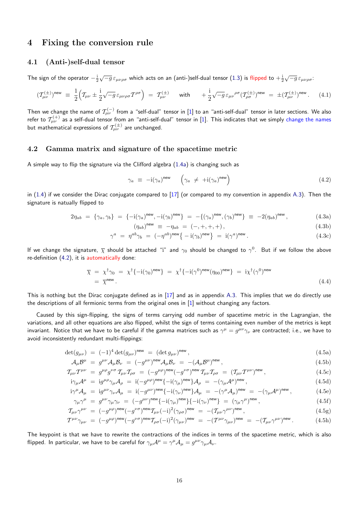### **4 Fixing the conversion rule**

#### **4.1 (Anti-)self-dual tensor**

<span id="page-15-0"></span>The sign of the operator *−* i 2  $\sqrt{-g}\,\varepsilon_{\mu\nu\rho\sigma}$  which acts on an (anti-)self-dual tensor (1.3) is flipped to  $+\frac{{\rm i}}{2}$ *√ −g εµνρσ*:

<span id="page-15-1"></span>
$$
(\mathcal{T}^{(\pm)}_{\mu\nu})^{\text{new}} \equiv \frac{1}{2} \Big( \mathcal{T}_{\mu\nu} \pm \frac{i}{2} \sqrt{-g} \, \varepsilon_{\mu\nu\rho\sigma} \mathcal{T}^{\rho\sigma} \Big) = \mathcal{T}^{(\pm)}_{\mu\nu} \qquad \text{with} \qquad + \frac{i}{2} \sqrt{-g} \, \varepsilon_{\mu\nu}^{\ \rho\sigma} (\mathcal{T}^{(\pm)}_{\rho\sigma})^{\text{new}} = \pm (\mathcal{T}^{(\pm)}_{\mu\nu})^{\text{new}}. \tag{4.1}
$$

Then we change the name of  $\mathcal{T}^{(-)}_{\mu\nu}$  from a "sel[f-du](#page-3-6)al" tensor in [1] to an "anti-self-dual" tensor in later sections. We also refer to  $\mathcal{T}^{(+)}_{\mu\nu}$  as a self-dual tensor from an "anti-self-dual" tensor in [1]. This indicates that we simply change the names but mathematical expressions of  $\mathcal{T}^{(\pm)}_{\mu\nu}$  are unchanged.

### **4.2 Gamma matrix and signature of the spacet[im](#page-33-0)e metric**

<span id="page-15-2"></span>A simple way to flip the signature via the Clifford algebra (1.4a) is changing such as

$$
\gamma_a \equiv -i(\gamma_a)^{\text{new}} \quad \left(\gamma_a \neq +i(\gamma_a)^{\text{new}}\right) \tag{4.2}
$$

in  $(1.4)$  if we consider the Dirac conjugate compared to  $[17]$  (or compared to my convention in appendix A.3). Then the signature is natually flipped to

$$
2\eta_{ab} = \{\gamma_a, \gamma_b\} = \{-i(\gamma_a)^{\text{new}}, -i(\gamma_b)^{\text{new}}\} = -\{(\gamma_a)^{\text{new}}, (\gamma_b)^{\text{new}}\} \equiv -2(\eta_{ab})^{\text{new}}, \tag{4.3a}
$$

$$
(\eta_{ab})^{\text{new}} \equiv -\eta_{ab} = (-, +, +, +), \tag{4.3b}
$$

<span id="page-15-3"></span>
$$
\gamma^a = \eta^{ab}\gamma_b = (-\eta^{ab})^{\text{new}} \{-i(\gamma_b)^{\text{new}}\} = i(\gamma^a)^{\text{new}}.
$$
\n(4.3c)

If we change the signature,  $\overline{\chi}$  should be attached "i" and  $\gamma_0$  should be changed to  $\gamma^0$ . But if we follow the above re-definition (4.2), it is automatically done:

$$
\overline{\chi} = \chi^{\dagger} \gamma_0 = \chi^{\dagger} \{-i(\gamma_0)^{\text{new}}\} = \chi^{\dagger} \{-i(\gamma^0)^{\text{new}} (\eta_{00})^{\text{new}}\} = i\chi^{\dagger} (\gamma^0)^{\text{new}}
$$
\n
$$
= \overline{\chi}^{\text{new}}.
$$
\n(4.4)

This is nothing but the Dirac conjugate defined as in  $[17]$  and as in appendix A.3. This implies that we do directly use the descriptions of all fermionic terms from the original ones in [1] without changing any factors.

Caused by this sign-flipping, the signs of terms carrying odd number of spacetime metric in the Lagrangian, the variations, and all other equations are also flipped, whil[st t](#page-33-1)he sign of terms con[taini](#page-29-2)ng even number of the metrics is kept invariant. Not[ic](#page-33-0)e that we have to be careful if the gamma matrices such as  $\gamma^\mu=g^{\mu\nu}\gamma_\nu$  are contracted; i.e., we have to avoid inconsistently redundant multi-flippings:

$$
\det(g_{\mu\nu}) = (-1)^4 \det(g_{\mu\nu})^{\text{new}} = (\det g_{\mu\nu})^{\text{new}}, \qquad (4.5a)
$$

$$
\mathcal{A}_{\mu}\mathcal{B}^{\mu} = g^{\mu\nu}\mathcal{A}_{\mu}\mathcal{B}_{\nu} = (-g^{\mu\nu})^{\text{new}}\mathcal{A}_{\mu}\mathcal{B}_{\nu} = -(\mathcal{A}_{\mu}\mathcal{B}^{\mu})^{\text{new}},\tag{4.5b}
$$

$$
\mathcal{T}_{\mu\nu}\mathcal{T}^{\mu\nu} = g^{\mu\rho}g^{\nu\sigma}\mathcal{T}_{\mu\nu}\mathcal{T}_{\rho\sigma} = (-g^{\mu\rho})^{\text{new}}(-g^{\nu\sigma})^{\text{new}}\mathcal{T}_{\mu\nu}\mathcal{T}_{\rho\sigma} = (\mathcal{T}_{\mu\nu}\mathcal{T}^{\mu\nu})^{\text{new}},\tag{4.5c}
$$

$$
i\gamma_{\mu}\mathcal{A}^{\mu} = i g^{\mu\rho}\gamma_{\mu}\mathcal{A}_{\rho} = i(-g^{\mu\rho})^{\text{new}}\{-i(\gamma_{\mu})^{\text{new}}\}\mathcal{A}_{\rho} = -(\gamma_{\mu}\mathcal{A}^{\mu})^{\text{new}},\tag{4.5d}
$$

$$
i\gamma^{\mu}\mathcal{A}_{\mu} = i g^{\mu\nu}\gamma_{\nu}\mathcal{A}_{\mu} = i(-g^{\mu\nu})^{\text{new}}\{-i(\gamma_{\nu})^{\text{new}}\}\mathcal{A}_{\mu} = -(\gamma^{\mu}\mathcal{A}_{\mu})^{\text{new}} = -(\gamma_{\mu}\mathcal{A}^{\mu})^{\text{new}},\tag{4.5e}
$$

$$
\gamma_{\mu}\gamma^{\mu} = g^{\mu\nu}\gamma_{\mu}\gamma_{\nu} = (-g^{\mu\nu})^{\text{new}}\{-i(\gamma_{\mu})^{\text{new}}\}\{-i(\gamma_{\nu})^{\text{new}}\} = (\gamma_{\mu}\gamma^{\mu})^{\text{new}},\tag{4.5f}
$$

$$
\mathcal{T}_{\mu\nu}\gamma^{\mu\nu} = (-g^{\mu\rho})^{\text{new}}(-g^{\nu\sigma})^{\text{new}}\mathcal{T}_{\mu\nu}(-i)^2(\gamma_{\rho\sigma})^{\text{new}} = -(\mathcal{T}_{\mu\nu}\gamma^{\mu\nu})^{\text{new}},\tag{4.5g}
$$

$$
T^{\mu\nu}\gamma_{\mu\nu} = (-g^{\mu\rho})^{\text{new}}(-g^{\nu\sigma})^{\text{new}}T_{\rho\sigma}(-i)^2(\gamma_{\mu\nu})^{\text{new}} = -(T^{\mu\nu}\gamma_{\mu\nu})^{\text{new}} = -(T_{\mu\nu}\gamma^{\mu\nu})^{\text{new}}.
$$
 (4.5h)

The keypoint is that we have to rewrite the contractions of the indices in terms of the spacetime metric, which is also flipped. In particular, we have to be careful for  $\gamma_\mu A^\mu = \gamma^\mu {\cal A}_\mu = g^{\mu\nu} \gamma_\mu {\cal A}_\nu.$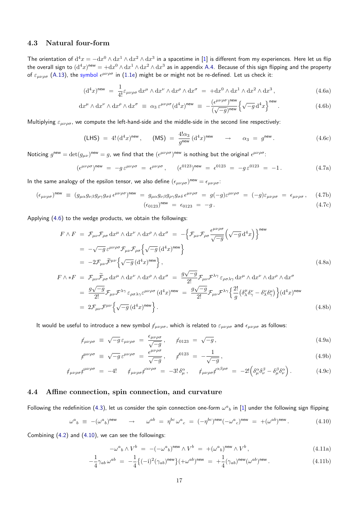#### **4.3 Natural four-form**

<span id="page-16-0"></span>The orientation of  ${\rm d}^4x=-{\rm d}x^0\wedge{\rm d}x^1\wedge{\rm d}x^2\wedge{\rm d}x^3$  in a spacetime in [1] is different from my experiences. Here let us flip the overall sign to  $({\rm d}^4x)^{\rm new}=+\rm{d} x^0\wedge \rm{d} x^1\wedge \rm{d} x^2\wedge \rm{d} x^3$  as in appendix A.4. Because of this sign flipping and the property of  $\varepsilon_{\mu\nu\rho\sigma}$  (A.13), the symbol  $\epsilon^{\mu\nu\rho\sigma}$  in (1.1e) might be or might not be re-defined. Let us check it:

$$
(\mathrm{d}^4 x)^{\text{new}} = \frac{1}{4!} \varepsilon_{\mu\nu\rho\sigma} \, \mathrm{d} x^{\mu} \wedge \mathrm{d} x^{\nu} \wedge \mathrm{d} x^{\sigma} \wedge \mathrm{d} x^{\sigma} = + \mathrm{d} x^0 \wedge \mathrm{d} x^1 \wedge \mathrm{d} x^2 \wedge \mathrm{d} x^3 , \tag{4.6a}
$$

$$
dx^{\mu} \wedge dx^{\nu} \wedge dx^{\rho} \wedge dx^{\sigma} \equiv \alpha_3 \, \varepsilon^{\mu\nu\rho\sigma} (d^4x)^{\text{new}} \equiv -\frac{(\epsilon^{\mu\nu\rho\sigma})^{\text{new}}}{(\sqrt{-g})^{\text{new}}} \Big\{ \sqrt{-g} \, d^4x \Big\}^{\text{new}}.
$$
 (4.6b)

Multiplying *εµνρσ*, we compute the left-hand-side and the middle-side in the second line respectively:

$$
(\mathsf{LHS}) = 4! \, (\mathrm{d}^4 x)^{\mathsf{new}}, \qquad (\mathsf{MS}) = \frac{4! \alpha_3}{g^{\mathsf{new}}} \, (\mathrm{d}^4 x)^{\mathsf{new}} \qquad \rightarrow \qquad \alpha_3 = g^{\mathsf{new}}. \tag{4.6c}
$$

Noticing  $g^{new} = \det(g_{\mu\nu})^{new} = g$ , we find that the  $(\epsilon^{\mu\nu\rho\sigma})^{new}$  is nothing but the original  $\epsilon^{\mu\nu\rho\sigma}$ .

$$
(\epsilon^{\mu\nu\rho\sigma})^{\text{new}} = -g \,\varepsilon^{\mu\nu\rho\sigma} = \epsilon^{\mu\nu\rho\sigma}, \qquad (\epsilon^{0123})^{\text{new}} = \epsilon^{0123} = -g \,\varepsilon^{0123} = -1. \tag{4.7a}
$$

In the same analogy of the epsilon tensor, we also define  $(\epsilon_{\mu\nu\rho\sigma})^{\text{new}} = \epsilon_{\mu\nu\rho\sigma}$ :

$$
(\epsilon_{\mu\nu\rho\sigma})^{\text{new}} \equiv (g_{\mu\alpha}g_{\nu\beta}g_{\rho\gamma}g_{\sigma\delta}\epsilon^{\mu\nu\rho\sigma})^{\text{new}} = g_{\mu\alpha}g_{\nu\beta}g_{\rho\gamma}g_{\sigma\delta}\epsilon^{\mu\nu\rho\sigma} = g(-g)\epsilon^{\mu\nu\rho\sigma} = (-g)\epsilon_{\mu\nu\rho\sigma} = \epsilon_{\mu\nu\rho\sigma}, \quad (4.7b)
$$
  

$$
(\epsilon_{0123})^{\text{new}} = \epsilon_{0123} = -g. \quad (4.7c)
$$

Applying (4.6) to the wedge products, we obtain the followings:

$$
F \wedge F = \mathcal{F}_{\mu\nu} \mathcal{F}_{\rho\sigma} dx^{\mu} \wedge dx^{\nu} \wedge dx^{\rho} \wedge dx^{\sigma} = -\left\{ \mathcal{F}_{\mu\nu} \mathcal{F}_{\rho\sigma} \frac{\epsilon^{\mu\nu\rho\sigma}}{\sqrt{-g}} \left( \sqrt{-g} d^{4} x \right) \right\}^{\text{new}}
$$
  
\n
$$
= -\sqrt{-g} \epsilon^{\mu\nu\rho\sigma} \mathcal{F}_{\mu\nu} \mathcal{F}_{\rho\sigma} \left\{ \sqrt{-g} \left( d^{4} x \right)^{\text{new}} \right\}
$$
  
\n
$$
= -2 \mathcal{F}_{\mu\nu} \widetilde{\mathcal{F}}^{\mu\nu} \left\{ \sqrt{-g} \left( d^{4} x \right)^{\text{new}} \right\},
$$
  
\n
$$
F \wedge *F = \mathcal{F}_{\mu\nu} \widetilde{\mathcal{F}}_{\rho\sigma} dx^{\mu} \wedge dx^{\nu} \wedge dx^{\rho} \wedge dx^{\sigma} = \frac{g \sqrt{-g}}{2!} \mathcal{F}_{\mu\nu} \mathcal{F}^{\lambda\gamma} \varepsilon_{\rho\sigma\lambda\gamma} dx^{\mu} \wedge dx^{\nu} \wedge dx^{\rho} \wedge dx^{\sigma}
$$
  
\n(4.8a)

$$
= \frac{g\sqrt{-g}}{2!} \mathcal{F}_{\mu\nu} \mathcal{F}^{\lambda\gamma} \varepsilon_{\rho\sigma\lambda\gamma} \varepsilon^{\mu\nu\rho\sigma} (\mathrm{d}^4 x)^{\text{new}} = \frac{g\sqrt{-g}}{2!} \mathcal{F}_{\mu\nu} \mathcal{F}^{\lambda\gamma} \Big\{ \frac{2!}{g} \big( \delta^{\mu}_{\lambda} \delta^{\nu}_{\gamma} - \delta^{\nu}_{\lambda} \delta^{\mu}_{\gamma} \big) \Big\} (\mathrm{d}^4 x)^{\text{new}}
$$
  
=  $2 \mathcal{F}_{\mu\nu} \mathcal{F}^{\mu\nu} \Big\{ \sqrt{-g} \, (\mathrm{d}^4 x)^{\text{new}} \Big\}.$  (4.8b)

It would be useful to introduce a new symbol  $\not\!_{\mu\nu\rho\sigma}$ , which is related to  $\varepsilon_{\mu\nu\rho\sigma}$  and  $\epsilon_{\mu\nu\rho\sigma}$  as follows:

$$
\phi_{\mu\nu\rho\sigma} \equiv \sqrt{-g} \,\varepsilon_{\mu\nu\rho\sigma} = \frac{\epsilon_{\mu\nu\rho\sigma}}{\sqrt{-g}}, \qquad \phi_{0123} = \sqrt{-g}, \tag{4.9a}
$$

$$
\mathcal{J}^{\mu\nu\rho\sigma} \equiv \sqrt{-g} \,\varepsilon^{\mu\nu\rho\sigma} = \frac{\epsilon^{\mu\nu\rho\sigma}}{\sqrt{-g}} \,, \qquad \mathcal{J}^{0123} = -\frac{1}{\sqrt{-g}} \,, \tag{4.9b}
$$

$$
\phi_{\mu\nu\rho\sigma}\phi^{\mu\nu\rho\sigma} = -4! \qquad \phi_{\mu\nu\rho\sigma}\phi^{\alpha\nu\rho\sigma} = -3!\,\delta^{\alpha}_{\mu}\,, \qquad \phi_{\mu\nu\rho\sigma}\phi^{\alpha\beta\rho\sigma} = -2!\left(\delta^{\alpha}_{\mu}\delta^{\beta}_{\nu} - \delta^{\beta}_{\mu}\delta^{\alpha}_{\nu}\right). \tag{4.9c}
$$

#### **4.4 Affine connection, spin connection, and curvature**

<span id="page-16-1"></span>Following the redefinition (4.3), let us consider the spin connection one-form  $\omega^a{}_b$  in [1] under the following sign flipping

$$
\omega^{a}{}_{b} \equiv -(\omega^{a}{}_{b})^{\text{new}} \qquad \rightarrow \qquad \omega^{ab} = \eta^{bc} \omega^{a}{}_{c} = (-\eta^{bc})^{\text{new}} (-\omega^{a}{}_{c})^{\text{new}} = +(\omega^{ab})^{\text{new}}. \tag{4.10}
$$

Combining (4.2) and (4.10[\), w](#page-15-3)e can see the followings:

<span id="page-16-2"></span>
$$
-\omega^{a}{}_{b}\wedge V^{b} = -(-\omega^{a}{}_{b})^{\text{new}}\wedge V^{b} = +(\omega^{a}{}_{b})^{\text{new}}\wedge V^{b},\tag{4.11a}
$$

$$
-\frac{1}{4}\gamma_{ab}\,\omega^{ab} = -\frac{1}{4}\left\{(-i)^2(\gamma_{ab})^{\text{new}}\right\} + \omega^{ab})^{\text{new}} = +\frac{1}{4}(\gamma_{ab})^{\text{new}}(\omega^{ab})^{\text{new}}.
$$
\n(4.11b)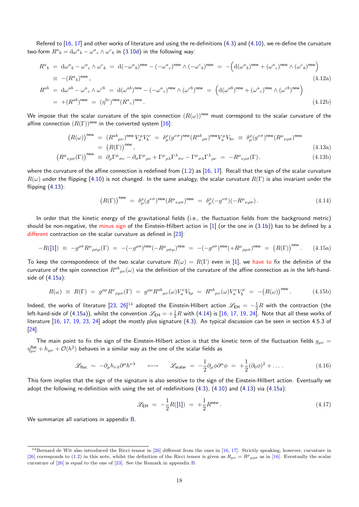Refered to  $[16, 17]$  and other works of literature and using the re-definitions  $(4.3)$  and  $(4.10)$ , we re-define the curvature two-form  $R^a{}_b = \mathrm{d}\omega^a{}_b - \omega^a{}_c \wedge \omega^c{}_b$  in (3.10d) in the following way:

$$
R^{a}{}_{b} = d\omega^{a}{}_{b} - \omega^{a}{}_{c} \wedge \omega^{c}{}_{b} = d(-\omega^{a}{}_{b})^{\text{new}} - (-\omega^{a}{}_{c})^{\text{new}} \wedge (-\omega^{c}{}_{b})^{\text{new}} = -\left(d(\omega^{a}{}_{b})^{\text{new}} + (\omega^{a}{}_{c})^{\text{new}} \wedge (\omega^{c}{}_{b})^{\text{new}}\right)
$$
  
\n
$$
\equiv -(R^{a}{}_{b})^{\text{new}},
$$
  
\n
$$
R^{ab} = d\omega^{ab} - \omega^{a}{}_{c} \wedge \omega^{cb} = d(\omega^{ab})^{\text{new}} - (-\omega^{a}{}_{c})^{\text{new}} \wedge (\omega^{cb})^{\text{new}} = \left(d(\omega^{ab})^{\text{new}} + (\omega^{a}{}_{c})^{\text{new}} \wedge (\omega^{cb})^{\text{new}}\right)
$$
  
\n
$$
= +(R^{ab})^{\text{new}} = (\eta^{bc})^{\text{new}} (R^{a}{}_{c})^{\text{new}}.
$$
  
\n(4.12b)

We impose that the scalar curvature of the spin connection  $(R(\omega))^{new}$  must correspond to the scalar curvature of the affine connection  $(R(\Gamma))^{new}$  in the converted system [16]:

$$
(R(\omega))^{\text{new}} = (R^{ab}{}_{\mu\nu})^{\text{new}} V_a^{\mu} V_b^{\nu} = \delta^{\rho}_{\mu} (g^{\nu\sigma})^{\text{new}} (R^{ab}{}_{\rho\sigma})^{\text{new}} V_a^{\mu} V_{b\nu} \equiv \delta^{\rho}_{\mu} (g^{\nu\sigma})^{\text{new}} (R^{\mu}{}_{\nu\rho\sigma})^{\text{new}} = (R(\Gamma))^{\text{new}},
$$
\n(4.13a)

$$
\left(R^{\mu}{}_{\nu\rho\sigma}(\Gamma)\right)^{\text{new}} \equiv \partial_{\rho}\Gamma^{\mu}{}_{\sigma\nu} - \partial_{\sigma}\Gamma^{\mu}{}_{\rho\nu} + \Gamma^{\mu}{}_{\rho\lambda}\Gamma^{\lambda}{}_{\sigma\nu} - \Gamma^{\mu}{}_{\sigma\lambda}\Gamma^{\lambda}{}_{\rho\nu} = -R^{\mu}{}_{\nu\rho\sigma}(\Gamma). \tag{4.13b}
$$

where the curvature of the affine connection is redefined from  $(1.2)$  as  $[16, 17]$ . Recall that the sign of the scalar curvature  $R(\omega)$  under the flipping (4.10) is not changed. In the same analogy, the scalar curvature  $R(\Gamma)$  is also invariant under the flipping  $(4.13)$ :

<span id="page-17-2"></span><span id="page-17-0"></span>
$$
(R(\Gamma))^{\text{new}} = \delta^{\rho}_{\mu} (g^{\nu\sigma})^{\text{new}} (R^{\mu}{}_{\nu\rho\sigma})^{\text{new}} = \delta^{\rho}_{\mu} (-g^{\nu\sigma}) (-R^{\mu}{}_{\nu\rho\sigma}). \tag{4.14}
$$

In or[der t](#page-17-0)hat the kinetic energy of the gravitational fields (i.e., the fluctuation fields from the background metric) should be non-negative, the minus sign of the Einstein-Hilbert action in  $[1]$  (or the one in  $(3.1b)$ ) has to be defined by a different contraction on the scalar curvature as defined in  $[23]$ :

$$
-R([1]) \equiv -g^{\rho\sigma}R^{\mu}{}_{\rho\sigma\mu}(\Gamma) = -(-g^{\rho\sigma})^{\text{new}}(-R^{\mu}{}_{\rho\sigma\mu})^{\text{new}} = -(-g^{\rho\sigma})^{\text{new}}(+R^{\mu}{}_{\rho\mu\sigma})^{\text{new}} = (R(\Gamma))^{\text{new}}.
$$
 (4.15a)

To keep the correspondence of the two scalar curvature  $R(\omega) = R(\Gamma)$  $R(\omega) = R(\Gamma)$  even in [1], we have to fix the definitin of the curvature of the spin connection  $R^{ab}{}_{\mu\nu}(\omega)$  via the definition of the curvature of the affine connection as in the left-handside of (4[.1](#page-33-0)5a):

$$
R(\omega) \equiv R(\Gamma) = g^{\rho\mu} R^{\nu}{}_{\rho\mu\nu}(\Gamma) = g^{\rho\mu} R^{ab}{}_{\mu\nu}(\omega) V^{\nu}_a V^{}_{b\rho} = R^{ab}{}_{\mu\nu}(\omega) V^{\nu}_a V^{\mu}_b = -(R(\omega))^{\text{new}}.
$$
 (4.15b)

Indeed, [the w](#page-17-1)orks of literature [23, 26]<sup>14</sup> adopted the Einstein-Hilbert action  $\mathscr{L}_{\sf EH}$  =  $-\frac{1}{2}R$  with the contraction (the left-hand-side of  $(4.15a)$ ), whilst the convention  $\mathscr{L}_{\sf EH} = +\frac{1}{2}R$  with  $(4.14)$  is  $[16,\,17,\,19,\,24]$ . Note that all these works of literature [16, 17, 19, 23, 24] adopt the mostly plus signature (4.3). An typical discussion can be seen in section 4.5.3 of [24].

The main poi[nt to](#page-17-1) fix the sign of the Einstein-Hilbert action is [that](#page-17-2) the [kin](#page-33-5)[etic](#page-33-1) [ter](#page-33-3)[m o](#page-34-1)f the fluctuation fields  $g_{\mu\nu}$  =  $\eta_{\mu\nu}^{\text{flat}}+h_{\mu\nu}+ \mathcal{O}(h^2)$  $\eta_{\mu\nu}^{\text{flat}}+h_{\mu\nu}+ \mathcal{O}(h^2)$  $\eta_{\mu\nu}^{\text{flat}}+h_{\mu\nu}+ \mathcal{O}(h^2)$  $\eta_{\mu\nu}^{\text{flat}}+h_{\mu\nu}+ \mathcal{O}(h^2)$  $\eta_{\mu\nu}^{\text{flat}}+h_{\mu\nu}+ \mathcal{O}(h^2)$  $\eta_{\mu\nu}^{\text{flat}}+h_{\mu\nu}+ \mathcal{O}(h^2)$  b[eha](#page-34-0)[ves](#page-34-1) in a similar way as the one of the [sca](#page-15-3)lar fields as

$$
\mathscr{L}_{\text{fluc}} \sim -\partial_{\mu} h_{\nu\lambda} \partial^{\mu} h^{\nu\lambda} \qquad \longleftrightarrow \qquad \mathscr{L}_{\text{scalar}} = -\frac{1}{2} \partial_{\mu} \phi \partial^{\mu} \phi = +\frac{1}{2} (\partial_0 \phi)^2 + \dots \,. \tag{4.16}
$$

This form implies that the sign of the signature is also sensitive to the sign of the Einstein-Hilbert action. Eventually we adopt the following re-definition with using the set of redefinitions (4.3), (4.10) and (4.13) via (4.15a):

<span id="page-17-1"></span>
$$
\mathcal{L}_{\text{EH}} = -\frac{1}{2}R([1]) = +\frac{1}{2}R^{\text{new}}.
$$
\n(4.17)

We summarize all variations in appendix B.

<sup>&</sup>lt;sup>14</sup>Bernard de Wit also introduced the Ricci [te](#page-31-2)nsor in [26] different from the ones in [16, 17]. Strictly speaking, however, curvature in [26] corresponds to (1.2) in this note, whilst the definition of the Ricci tensor is given as  $R_{\mu\nu} = R^{\rho}{}_{\mu\rho\sigma}$  as in [16]. Eventually the scalar curvature of [26] is equal to the one of [23]. See the Remark in appendix B.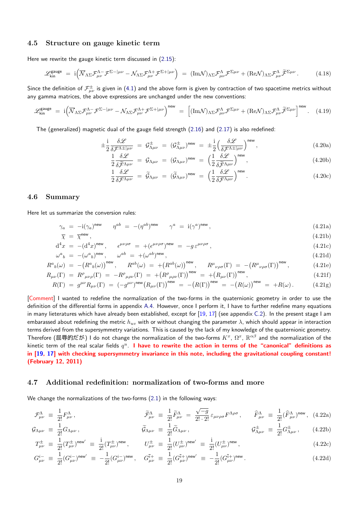### **4.5 Structure on gauge kinetic term**

Here we rewrite the gauge kinetic term discussed in (2.15):

$$
\mathscr{L}_{kin}^{\text{gauge}} = i \Big( \overline{\mathcal{N}}_{\Lambda \Sigma} \mathcal{F}_{\mu \nu}^{\Lambda -} \mathcal{F}^{\Sigma - |\mu \nu|} - \mathcal{N}_{\Lambda \Sigma} \mathcal{F}_{\mu \nu}^{\Lambda +} \mathcal{F}^{\Sigma + |\mu \nu|} \Big) = (\text{Im} \mathcal{N})_{\Lambda \Sigma} \mathcal{F}_{\mu \nu}^{\Lambda} \mathcal{F}^{\Sigma \mu \nu} + (\text{Re} \mathcal{N})_{\Lambda \Sigma} \mathcal{F}_{\mu \nu}^{\Lambda} \widetilde{\mathcal{F}}^{\Sigma \mu \nu} \,. \tag{4.18}
$$

Since the definition of  ${\cal F}^\pm_{\mu\nu}$  is given in (4.1) and the [above](#page-9-3) form is given by contraction of two spacetime metrics without any gamma matrices, the above expressions are unchanged under the new conventions:

$$
\mathscr{L}_{kin}^{\text{gauge}} = i \Big( \overline{\mathcal{N}}_{\Lambda \Sigma} \mathcal{F}_{\mu\nu}^{\Lambda -} \mathcal{F}^{\Sigma - |\mu\nu} - \mathcal{N}_{\Lambda \Sigma} \mathcal{F}_{\mu\nu}^{\Lambda +} \mathcal{F}^{\Sigma + |\mu\nu} \Big)^{\text{new}} = \Big[ (\text{Im}\mathcal{N})_{\Lambda \Sigma} \mathcal{F}_{\mu\nu}^{\Lambda} \mathcal{F}^{\Sigma \mu\nu} + (\text{Re}\mathcal{N})_{\Lambda \Sigma} \mathcal{F}_{\mu\nu}^{\Lambda} \widetilde{\mathcal{F}}^{\Sigma \mu\nu} \Big]^{\text{new}}. \tag{4.19}
$$

The (generalized) magnetic dual of the gauge field strength (2.16) and (2.17) is also redefined:

$$
\pm \frac{\mathrm{i}}{2} \frac{\delta \mathscr{L}}{\delta \mathcal{F}^{\Lambda \pm |\mu \nu}} = \mathcal{G}^{\pm}_{\Lambda \mu \nu} = (\mathcal{G}^{\pm}_{\Lambda \mu \nu})^{\text{new}} = \pm \frac{\mathrm{i}}{2} \Big( \frac{\delta \mathscr{L}}{\delta \mathcal{F}^{\Lambda \pm |\mu \nu}} \Big)^{\text{new}},\tag{4.20a}
$$

$$
\frac{1}{2} \frac{\delta \mathcal{L}}{\delta \widetilde{\mathcal{F}}^{\Lambda \mu \nu}} = \mathcal{G}_{\Lambda \mu \nu} = (\mathcal{G}_{\Lambda \mu \nu})^{\text{new}} = \left(\frac{1}{2} \frac{\delta \mathcal{L}}{\delta \widetilde{\mathcal{F}}^{\Lambda \mu \nu}}\right)^{\text{new}},\tag{4.20b}
$$

<span id="page-18-2"></span>
$$
\frac{1}{2} \frac{\delta \mathcal{L}}{\delta \mathcal{F}^{\Lambda \mu \nu}} = \widetilde{\mathcal{G}}_{\Lambda \mu \nu} = (\widetilde{\mathcal{G}}_{\Lambda \mu \nu})^{\text{new}} = \left(\frac{1}{2} \frac{\delta \mathcal{L}}{\delta \mathcal{F}^{\Lambda \mu \nu}}\right)^{\text{new}}.
$$
\n(4.20c)

#### **4.6 Summary**

<span id="page-18-0"></span>Here let us summarize the conversion rules:

$$
\gamma_a = -i(\gamma_a)^{\text{new}} \qquad \eta^{ab} = -(\eta^{ab})^{\text{new}} \qquad \gamma^a = i(\gamma^a)^{\text{new}}, \tag{4.21a}
$$

$$
\overline{\chi} = \overline{\chi}^{\text{new}},\tag{4.21b}
$$

$$
d^4x = -(d^4x)^{new}, \qquad \epsilon^{\mu\nu\rho\sigma} = +(\epsilon^{\mu\nu\rho\sigma})^{new} = -g\,\epsilon^{\mu\nu\rho\sigma},\tag{4.21c}
$$

$$
\omega^{a}{}_{b} = -(\omega^{a}{}_{b})^{\text{new}}, \qquad \omega^{ab} = +(\omega^{ab})^{\text{new}}, \tag{4.21d}
$$

$$
R^{a}{}_{b}(\omega) = -(R^{a}{}_{b}(\omega))^{new}, \qquad R^{ab}(\omega) = +(R^{ab}(\omega))^{new}, \qquad R^{\mu}{}_{\nu\rho\sigma}(\Gamma) = -(R^{\mu}{}_{\nu\rho\sigma}(\Gamma))^{new}, \qquad (4.21e)
$$
  
\n
$$
R^{a}{}_{b}(\Gamma) = R^{\rho}{}_{c}(\Gamma) = -R^{\rho}{}_{c}(\Gamma) = +(R^{\rho}{}_{c}(\Gamma))^{new} = +(R^{a}{}_{c}(\Gamma))^{new}
$$

$$
R_{\mu\nu}(\Gamma) = R^{\rho}{}_{\mu\nu\rho}(\Gamma) = -R^{\rho}{}_{\mu\rho\nu}(\Gamma) = +\left(R^{\rho}{}_{\mu\rho\nu}(\Gamma)\right)^{\text{new}} = +\left(R_{\mu\nu}(\Gamma)\right)^{\text{new}},\tag{4.21f}
$$

$$
R(\Gamma) = g^{\mu\nu} R_{\mu\nu}(\Gamma) = (-g^{\mu\nu})^{\text{new}} (R_{\mu\nu}(\Gamma))^{\text{new}} = -(R(\Gamma))^{\text{new}} = -(R(\omega))^{\text{new}} = +R(\omega). \tag{4.21g}
$$

[Comment] I wanted to redefine the normalization of the two-forms in the quaternionic geometry in order to use the definition of the differential forms in appendix A.4. However, once I perform it, I have to further redefine many equations in many lieteratures which have already been established, except for  $[19, 17]$  (see appendix C.2). In the present stage I am embarassed about redefining the metric  $h_{uv}$  with or without changing the parameter  $\lambda$ , which should appear in interaction terms derived from the supersymmetry variations. This is caused by the lack of my knowledge of the quaternionic geometry. Therefore (屈辱的だが) I do not change the [norm](#page-30-0)alization of the two-forms  $K^x$ ,  $\Omega^x$ ,  $\R^{\alpha\beta}$  and the normalization of the kinetic term of the real scalar fields *q u* . **I have to rewrite the a[ctio](#page-33-3)[n i](#page-33-1)n terms of th[e "](#page-32-0)canonical" definitions as in [19, 17] with checking supersymmetry invariance in this note, including the gravitational coupling constant! (February 12, 2011)**

#### **4.[7](#page-33-3) [Ad](#page-33-1)ditional redefinition: normalization of two-forms and more**

We change the normalizations of the two-forms (2.1) in the following ways:

<span id="page-18-1"></span>
$$
\mathcal{F}^{\Lambda}_{\mu\nu} \equiv \frac{1}{2!} F^{\Lambda}_{\mu\nu}, \qquad \qquad \widetilde{\mathcal{F}}^{\Lambda}_{\mu\nu} \equiv \frac{1}{2!} \widetilde{F}^{\Lambda}_{\mu\nu} = \frac{\sqrt{-g}}{2! \cdot 2!} \varepsilon_{\mu\nu\rho\sigma} F^{\Lambda\rho\sigma}, \qquad \widehat{F}^{\Lambda}_{\mu\nu} \equiv \frac{1}{2!} (\widehat{F}^{\Lambda}_{\mu\nu})^{\text{new}}, \tag{4.22a}
$$

$$
\mathcal{G}_{\Lambda\mu\nu} \equiv \frac{1}{2!} G_{\Lambda\mu\nu}, \qquad \qquad \widetilde{\mathcal{G}}_{\Lambda\mu\nu} \equiv \frac{1}{2!} \widetilde{G}_{\Lambda\mu\nu}, \qquad \qquad \mathcal{G}_{\Lambda\mu\nu}^{\pm} \equiv \frac{1}{2!} G_{\Lambda\mu\nu}^{\pm}, \qquad (4.22b)
$$

$$
T^{\pm}_{\mu\nu} \equiv \frac{1}{2!} (T^{\pm}_{\mu\nu})^{\text{new}} \equiv \frac{i}{2!} (T^{\pm}_{\mu\nu})^{\text{new}}, \qquad U^{\pm}_{\mu\nu} \equiv \frac{1}{2!} (U^{\pm}_{\mu\nu})^{\text{new}} \equiv \frac{i}{2!} (U^{\pm}_{\mu\nu})^{\text{new}}, \tag{4.22c}
$$

$$
G_{\mu\nu}^{i-} \equiv \frac{1}{2!} (G_{\mu\nu}^{i-})^{\text{new}} \equiv -\frac{1}{2!} (G_{\mu\nu}^{i-})^{\text{new}}, \quad G_{\mu\nu}^{\tilde{i}+} \equiv \frac{1}{2!} (G_{\mu\nu}^{\tilde{i}+})^{\text{new}} \equiv -\frac{1}{2!} (G_{\mu\nu}^{\tilde{i}+})^{\text{new}}.
$$
\n(4.22d)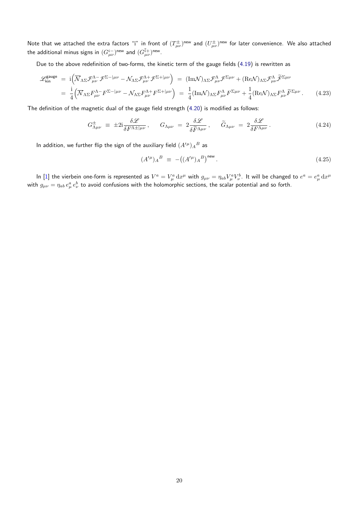Note that we attached the extra factors "i" in front of  $(T^{\pm}_{\mu\nu})^{\rm new}$  and  $(U^{\pm}_{\mu\nu})^{\rm new}$  for later convenience. We also attached the additional minus signs in  $(G_{\mu\nu}^{i-})^{\mathsf{new}}$  and  $(G_{\mu\nu}^{i+})^{\mathsf{new}}.$ 

Due to the above redefinition of two-forms, the kinetic term of the gauge fields (4.19) is rewritten as

$$
\mathcal{L}_{kin}^{gauge} = i \Big( \overline{\mathcal{N}}_{\Lambda \Sigma} \mathcal{F}_{\mu\nu}^{\Lambda -} \mathcal{F}^{\Sigma - |\mu\nu} - \mathcal{N}_{\Lambda \Sigma} \mathcal{F}_{\mu\nu}^{\Lambda +} \mathcal{F}^{\Sigma + |\mu\nu} \Big) = (\text{Im}\mathcal{N})_{\Lambda \Sigma} \mathcal{F}_{\mu\nu}^{\Lambda} \mathcal{F}^{\Sigma \mu\nu} + (\text{Re}\mathcal{N})_{\Lambda \Sigma} \mathcal{F}_{\mu\nu}^{\Lambda} \widetilde{\mathcal{F}}^{\Sigma \mu\nu}
$$
  

$$
= \frac{i}{4} \Big( \overline{\mathcal{N}}_{\Lambda \Sigma} \mathcal{F}_{\mu\nu}^{\Lambda -} \mathcal{F}^{\Sigma - |\mu\nu} - \mathcal{N}_{\Lambda \Sigma} \mathcal{F}_{\mu\nu}^{\Lambda +} \mathcal{F}^{\Sigma + |\mu\nu} \Big) = \frac{1}{4} (\text{Im}\mathcal{N})_{\Lambda \Sigma} \mathcal{F}_{\mu\nu}^{\Lambda} \mathcal{F}^{\Sigma \mu\nu} + \frac{1}{4} (\text{Re}\mathcal{N})_{\Lambda \Sigma} \mathcal{F}_{\mu\nu}^{\Lambda} \widetilde{\mathcal{F}}^{\Sigma \mu\nu} . \tag{4.23}
$$

The definition of the magnetic dual of the gauge field strength (4.20) is modified as follows:

$$
G^{\pm}_{\Lambda\mu\nu} \equiv \pm 2i \frac{\delta \mathcal{L}}{\delta F^{\Lambda \pm |\mu\nu}}, \qquad G_{\Lambda\mu\nu} = 2 \frac{\delta \mathcal{L}}{\delta \tilde{F}^{\Lambda \mu\nu}}, \qquad \tilde{G}_{\Lambda\mu\nu} = 2 \frac{\delta \mathcal{L}}{\delta F^{\Lambda \mu\nu}}. \tag{4.24}
$$

In addition, we further flip the sign of the auxiliary field  $(A^{\prime\mu})_A{}^B$  as

$$
(A^{\prime \mu})_A{}^B \equiv -((A^{\prime \mu})_A{}^B)^{\text{new}}.
$$
\n(4.25)

In [1] the vierbein one-form is represented as  $V^a=V_\mu^a\,\mathrm{d}x^\mu$  with  $g_{\mu\nu}=\eta_{ab}V_\mu^aV_\nu^b$ . It will be changed to  $e^a=e_\mu^a\,\mathrm{d}x^\mu$ with  $g_{\mu\nu}=\eta_{ab}\,e^a_\mu\,e^b_\nu$  to avoid confusions with the holomorphic sections, the scalar potential and so forth.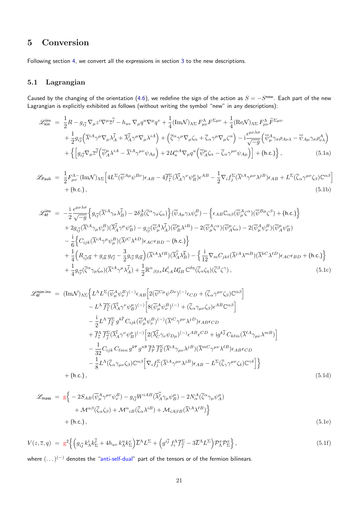# **5 Conversion**

Following section 4, we convert all the expressions in section 3 to the new descriptions.

### <span id="page-20-0"></span>**5.1 Lagrangian**

<span id="page-20-1"></span>Caused by the changing of the orientation (4.6), we redefine the sign of the action as  $S = -S^{new}$ . Each part of the new Lagrangian is explicitly exhibited as follows (without writing the symbol "new" in any descriptions):

$$
\mathcal{L}_{kin}^{inv} = \frac{1}{2}R - g_{i\overline{j}}\nabla_{\mu}z^{i}\nabla^{\mu}\overline{z}^{\overline{j}} - h_{uv}\nabla_{\mu}q^{u}\nabla^{\mu}q^{\nu} + \frac{1}{4}(\text{Im}\mathcal{N})_{\Lambda\Sigma}F_{\mu\nu}^{\Lambda}F^{\Sigma\mu\nu} + \frac{1}{4}(\text{Re}\mathcal{N})_{\Lambda\Sigma}F_{\mu\nu}^{\Lambda}\widetilde{F}^{\Sigma\mu\nu} + \frac{1}{2}g_{i\overline{j}}\left(\overline{\lambda}^{iA}\gamma^{\mu}\nabla_{\mu}\lambda^{\overline{j}} + \overline{\lambda}_{A}^{\overline{j}}\gamma^{\mu}\nabla_{\mu}\lambda^{iA}\right) + \left(\overline{\zeta}^{\alpha}\gamma^{\mu}\nabla_{\mu}\zeta_{\alpha} + \overline{\zeta}_{\alpha}\gamma^{\mu}\nabla_{\mu}\zeta^{\alpha}\right) - i\frac{\epsilon^{\mu\nu\lambda\sigma}}{\sqrt{-g}}\left(\overline{\psi}_{\mu}^{A}\gamma_{\sigma}\rho_{\mu\lambda} - \overline{\psi}_{A\mu}\gamma_{\sigma}\rho_{\nu\lambda}^{A}\right) + \left\{\left[g_{i\overline{j}}\nabla_{\mu}\overline{z}^{\overline{j}}\left(\overline{\psi}_{A}^{\mu}\lambda^{iA} - \overline{\lambda}^{iA}\gamma^{\mu\nu}\psi_{A\mu}\right) + 2\mathcal{U}_{u}^{\alpha A}\nabla_{\mu}q^{u}\left(\overline{\psi}_{A}^{\mu}\zeta_{\alpha} - \overline{\zeta}_{\alpha}\gamma^{\mu\nu}\psi_{A\mu}\right)\right] + (\text{h.c.})\right\},
$$
\n(5.1a)

$$
\mathcal{L}_{\text{Pauli}} = \frac{1}{2} F^{\Lambda-}_{\mu\nu} (\text{Im}\mathcal{N})_{\Lambda\Sigma} \Big[ 4L^{\Sigma} (\overline{\psi}^{A\mu} \psi^{B\nu}) \epsilon_{AB} - 4\overline{f}_{\overline{i}}^{\Sigma} (\overline{\lambda}_{A}^{i} \gamma^{\nu} \psi_{B}^{\mu}) \epsilon^{AB} - \frac{1}{2} \nabla_{i} f_{j}^{\Sigma} (\overline{\lambda}^{i} \gamma^{\mu\nu} \lambda^{j} \psi_{A B}^{\mu}) \epsilon_{AB} + L^{\Sigma} (\overline{\zeta}_{\alpha} \gamma^{\mu\nu} \zeta_{\beta}) \mathbb{C}^{\alpha\beta} \Big] + (\text{h.c.}), \tag{5.1b}
$$

$$
\mathcal{L}_{4f}^{\text{inv}} = -\frac{i}{2} \frac{\epsilon^{\mu\nu\lambda\sigma}}{\sqrt{-g}} \Big\{ g_{i\overline{j}} (\overline{\lambda}^{iA} \gamma_{\sigma} \lambda_{B}^{\overline{j}}) - 2\delta_{B}^{A} (\overline{\zeta}^{\alpha} \gamma_{\sigma} \zeta_{\alpha}) \Big\} (\overline{\psi}_{A\mu} \gamma_{\lambda} \psi_{\nu}^{B}) - \Big\{ \epsilon_{AB} \mathbb{C}_{\alpha\beta} (\overline{\psi}_{\mu}^{A} \zeta^{\alpha}) (\overline{\psi}^{B\mu} \zeta^{\beta}) + (\text{h.c.}) \Big\} \n+ 2g_{i\overline{j}} (\overline{\lambda}^{iA} \gamma_{\mu} \psi_{\nu}^{B}) (\overline{\lambda}_{A}^{\overline{j}} \gamma^{\mu} \psi_{B}^{\nu}) - g_{i\overline{j}} (\overline{\psi}_{\mu}^{A} \lambda_{A}^{\overline{j}}) (\overline{\psi}_{B}^{a} \lambda^{iB}) - 2 (\overline{\psi}_{\mu}^{A} \zeta^{\alpha}) (\overline{\psi}_{A}^{\mu} \zeta_{\alpha}) - 2 (\overline{\psi}_{\mu}^{A} \psi_{\nu}^{B}) (\overline{\psi}_{A}^{\mu} \psi_{B}^{\nu}) \n- \frac{i}{6} \Big\{ C_{ijk} (\overline{\lambda}^{iA} \gamma^{\mu} \psi_{\mu}^{B}) (\overline{\lambda}^{jC} \lambda^{kD}) \epsilon_{AC} \epsilon_{BD} - (\text{h.c.}) \Big\} \n+ \frac{1}{4} \Big( R_{i\overline{j}\ell\overline{k}} + g_{i\overline{k}} g_{\ell\overline{j}} - \frac{3}{2} g_{i\overline{j}} g_{\ell\overline{k}} \Big) (\overline{\lambda}^{iA} \lambda^{lB}) (\overline{\lambda}_{A}^{\overline{j}} \lambda_{B}^{\overline{k}}) - \Big\{ \frac{i}{12} \nabla_{m} C_{jk\ell} (\overline{\lambda}^{jA} \lambda^{mB}) (\overline{\lambda}^{kC} \lambda^{lD}) \epsilon_{AC} \epsilon_{BD} + (\text{h.c.}) \Big\} \n+ \frac{1}{4} g_{i\overline{j}} (\overline{\zeta}^{\alpha} \gamma_{\mu} \zeta_{\alpha}) (\overline{\lambda}^{iA} \gamma^{\mu} \
$$

$$
\mathcal{L}_{4f}^{\text{non-inv}} = (\text{Im}\mathcal{N})_{\Lambda\Sigma} \Big\{ L^{\Lambda} L^{\Sigma} (\overline{\psi}_{\mu}^{A} \psi_{\nu}^{B})^{(-)} \epsilon_{AB} \Big[ 2(\overline{\psi}^{C\mu} \psi^{D\nu})^{(-)} \epsilon_{CD} + (\overline{\zeta}_{\alpha} \gamma^{\mu\nu} \zeta_{\beta}) \mathbb{C}^{\alpha\beta} \Big] - L^{\Lambda} \overline{f}_{\overline{i}}^{\Sigma} (\overline{\lambda}_{A}^{\overline{i}} \gamma^{\nu} \psi_{B}^{\mu})^{(-)} \Big[ 8(\overline{\psi}_{\mu}^{A} \psi_{\nu}^{B})^{(-)} + (\overline{\zeta}_{\alpha} \gamma_{\mu\nu} \zeta_{\beta}) \epsilon^{AB} \mathbb{C}^{\alpha\beta} \Big] - \frac{i}{2} L^{\Lambda} \overline{f}_{\overline{\ell}}^{\Sigma} g^{k\overline{\ell}} C_{ijk} (\overline{\psi}_{\mu}^{A} \psi_{\nu}^{B})^{(-)} (\overline{\lambda}^{iC} \gamma^{\mu\nu} \lambda^{jD}) \epsilon_{AB} \epsilon_{CD} + \overline{f}_{\overline{i}}^{\Lambda} \overline{f}_{\overline{j}}^{\Sigma} (\overline{\lambda}_{A}^{\overline{i}} \gamma^{\nu} \psi_{B}^{\mu})^{(-)} \Big[ 2(\overline{\lambda}_{C}^{\overline{j}} \gamma_{\nu} \psi_{D\mu})^{(-)} \epsilon^{AB} \epsilon^{CD} + i g^{k\overline{j}} C_{k\ell m} (\overline{\lambda}^{\ell A} \gamma_{\mu\nu} \lambda^{mB}) \Big] - \frac{1}{32} C_{ijk} C_{\ell m n} g^{k\overline{r}} g^{n\overline{s}} \overline{f}_{\overline{r}}^{\Lambda} \overline{f}_{\overline{s}}^{\Sigma} (\overline{\lambda}^{iA} \gamma_{\mu\nu} \lambda^{jB}) (\overline{\lambda}^{mC} \gamma^{\mu\nu} \lambda^{\ell B}) \epsilon_{AB} \epsilon_{CD} - \frac{1}{8} L^{\Lambda} (\overline{\zeta}_{\alpha} \gamma_{\mu\nu} \zeta_{\beta}) \mathbb{C}^{\alpha\beta} \Big[ \nabla_{i} f_{\overline{j}}^{\Sigma} (\overline{\lambda}^{iA} \gamma^{\mu\nu} \lambda^{jB})
$$

$$
\mathcal{L}_{\text{mass}} = g \Big\{ -2S_{AB} (\overline{\psi}_{\mu}^{A} \gamma^{\mu \nu} \psi_{\nu}^{B}) - g_{i\overline{j}} W^{iAB} (\overline{\lambda}_{A}^{\overline{j}} \gamma_{\mu} \psi_{B}^{\mu}) - 2N_{\alpha}^{A} (\overline{\zeta}^{\alpha} \gamma_{\mu} \psi_{A}^{\mu}) + \mathcal{M}^{\alpha \beta} (\overline{\zeta}_{\alpha} \zeta_{\beta}) + \mathcal{M}^{\alpha}{}_{iB} (\overline{\zeta}_{\alpha} \lambda^{iB}) + \mathcal{M}_{iA|\ell B} (\overline{\lambda}^{iA} \lambda^{\ell B}) \Big\} + (\text{h.c.}),
$$
\n(5.1e)

$$
V(z,\overline{z},q) = g^2 \left\{ \left( g_{i\overline{j}} k^i_{\Lambda} k^{\overline{j}}_{\Sigma} + 4h_{uv} k^u_{\Lambda} k^v_{\Sigma} \right) \overline{L}^{\Lambda} L^{\Sigma} + \left( g^{i\overline{j}} f^{\Lambda}_i \overline{f}^{\Sigma}_{\overline{j}} - 3\overline{L}^{\Lambda} L^{\Sigma} \right) \mathcal{P}^x_{\Lambda} \mathcal{P}^x_{\Sigma} \right\},
$$
\n(5.1f)

where  $(...)^{(-)}$  denotes the "anti-self-dual" part of the tensors or of the fermion bilinears.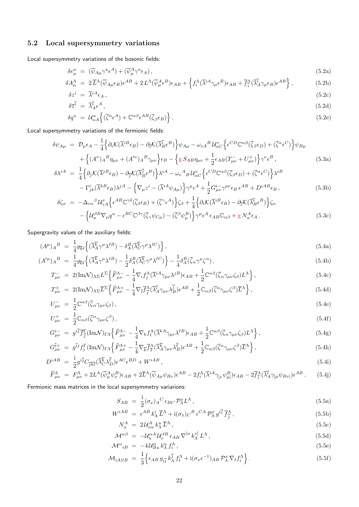### **5.2 Local supersymmetry variations**

Local supersymmetry variations of the bosonic fields:

$$
\delta e^a_\mu = (\overline{\psi}_{A\mu} \gamma^a \epsilon^A) + (\overline{\psi}^A_\mu \gamma^a \epsilon_A), \tag{5.2a}
$$

$$
\delta A^{\Lambda}_{\mu} = 2 \overline{L}^{\Lambda} (\overline{\psi}_{A\mu} \epsilon_{B}) \epsilon^{AB} + 2 L^{\Lambda} (\overline{\psi}_{\mu}^{A} \epsilon^{B}) \epsilon_{AB} + \left\{ f_{i}^{\Lambda} (\overline{\lambda}^{iA} \gamma_{\mu} \epsilon^{B}) \epsilon_{AB} + \overline{f}_{\overline{i}}^{\Lambda} (\overline{\lambda}_{A}^{\overline{i}} \gamma_{\mu} \epsilon_{B}) \epsilon^{AB} \right\}, \tag{5.2b}
$$

$$
\delta z^i = \overline{\lambda}^{iA} \epsilon_A \,, \tag{5.2c}
$$

$$
\delta \overline{z}^{\overline{i}} = \overline{\lambda}_A^{\overline{i}} \epsilon^A , \qquad (5.2d)
$$

$$
\delta q^u = \mathcal{U}_{\alpha A}^u \left\{ (\overline{\zeta}^{\alpha} \epsilon^A) + \mathbb{C}^{\alpha \beta} \epsilon^{AB} (\overline{\zeta}_{\beta} \epsilon_B) \right\}.
$$
\n(5.2e)

Local supersymmetry variations of the fermionic fields:

$$
\delta\psi_{A\mu} = \mathcal{D}_{\mu}\epsilon_{A} - \frac{1}{4}\Big\{\partial_{i}\mathcal{K}(\overline{\lambda}^{iB}\epsilon_{B}) - \partial_{\overline{i}}\mathcal{K}(\overline{\lambda}_{B}^{\overline{i}}\epsilon^{B})\Big\}\psi_{A\mu} - \omega_{vA}{}^{B}\mathcal{U}_{\alpha C}^{v}\Big\{\epsilon^{CD}\mathbb{C}^{\alpha\beta}(\overline{\zeta}_{\beta}\epsilon_{D}) + (\overline{\zeta}^{\alpha}\epsilon^{C})\Big\}\psi_{B\mu} + \Big\{(A^{\nu})_{A}{}^{B}\eta_{\mu\nu} + (A^{\prime\nu})_{A}{}^{B}\gamma_{\mu\nu}\Big\}\epsilon_{B} - \Big\{g\,S_{AB}\eta_{\mu\nu} + \frac{1}{2}\epsilon_{AB}(T_{\mu\nu} + U_{\mu\nu}^{+})\Big\}\gamma^{\nu}\epsilon^{B} ,
$$
\n(5.3a)

$$
\delta \lambda^{iA} = \frac{1}{4} \Big\{ \partial_j \mathcal{K} (\overline{\lambda}^{jB} \epsilon_B) - \partial_{\overline{j}} \mathcal{K} (\overline{\lambda}_B^{\overline{j}} \epsilon^B) \Big\} \lambda^{iA} - \omega_v{}^A{}_B \mathcal{U}_{\alpha C}^v \Big\{ \epsilon^{CD} \mathbb{C}^{\alpha \beta} (\overline{\zeta}_{\beta} \epsilon_D) + (\overline{\zeta}^{\alpha} \epsilon^C) \Big\} \lambda^{iB} - \Gamma^i_{jk} (\overline{\lambda}^{kB} \epsilon_B) \lambda^{jA} - \Big\{ \nabla_{\mu} z^i - (\overline{\lambda}^{iA} \psi_{A\mu}) \Big\} \gamma^{\mu} \epsilon^A + \frac{1}{2} G^{i-}_{\mu\nu} \gamma^{\mu\nu} \epsilon_B \epsilon^{AB} + D^{iAB} \epsilon_B,
$$
(5.3b)

$$
\delta\zeta_{\alpha} = -\Delta_{v\alpha}{}^{\beta} \mathcal{U}_{\gamma A}^{v} \Big\{ \epsilon^{AB} \mathbb{C}^{\gamma\delta} (\overline{\zeta}_{\delta} \epsilon_{B}) + (\overline{\zeta}{}^{\gamma} \epsilon^{A}) \Big\} \zeta_{\beta} + \frac{1}{4} \Big\{ \partial_{i} \mathcal{K} (\overline{\lambda}{}^{i}{}^{\beta} \epsilon_{B}) - \partial_{\overline{i}} \mathcal{K} (\overline{\lambda}{}^{i}{}_{B} \epsilon^{B}) \Big\} \zeta_{\alpha} - \Big\{ \mathcal{U}_{u}^{\beta B} \nabla_{\mu} q^{u} - \epsilon^{BC} \mathbb{C}^{\beta\gamma} (\overline{\zeta}_{\gamma} \psi_{C\mu}) - (\overline{\zeta}{}^{\beta} \psi_{\mu}^{B}) \Big\} \gamma^{\mu} \epsilon^{A} \epsilon_{AB} \mathbb{C}_{\alpha\beta} + g N_{\alpha}^{A} \epsilon_{A} .
$$
\n(5.3c)

Supergravity values of the auxiliary fields:

$$
(A^{\mu})_A{}^B = \frac{1}{4} g_{\overline{k}\ell} \left\{ (\overline{\lambda}_A^{\overline{k}} \gamma^{\mu} \lambda^{\ell}{}^B) - \delta_A^B (\overline{\lambda}_C^{\overline{k}} \gamma^{\mu} \lambda^{\ell}{}^C) \right\},\tag{5.4a}
$$

$$
(A^{\prime \mu})_A{}^B = \frac{1}{4} g_{\overline{k}\ell} \left\{ (\overline{\lambda}_A^{\overline{k}} \gamma^\mu \lambda^{\ell B}) - \frac{1}{2} \delta_A^B (\overline{\lambda}_C^{\overline{k}} \gamma^\mu \lambda^{\ell C}) \right\} - \frac{1}{4} \delta_A^B (\overline{\zeta}_\alpha \gamma^\mu \zeta^\alpha) \,, \tag{5.4b}
$$

$$
T^{-}_{\mu\nu} = 2(\text{Im}\mathcal{N})_{\Lambda\Sigma}L^{\Sigma}\left\{\widehat{F}^{\Lambda-}_{\mu\nu} - \frac{1}{4}\nabla_{i}f_{j}^{\Lambda}(\overline{\lambda}^{iA}\gamma_{\mu\nu}\lambda^{jB})\epsilon_{AB} + \frac{1}{2}\mathbb{C}^{\alpha\beta}(\overline{\zeta}_{\alpha}\gamma_{\mu\nu}\zeta_{\beta})L^{\Lambda}\right\},\tag{5.4c}
$$

$$
T^{+}_{\mu\nu} = 2(\text{Im}\mathcal{N})_{\Lambda\Sigma}\overline{L}^{\Sigma}\left\{\widehat{F}^{\Lambda+}_{\mu\nu} - \frac{1}{4}\nabla_{\overline{i}}\overline{f}^{\Lambda}_{\overline{j}}(\overline{\lambda}_{A}^{\overline{i}}\gamma_{\mu\nu}\lambda_{B}^{\overline{j}})\epsilon^{AB} + \frac{1}{2}\mathbb{C}_{\alpha\beta}(\overline{\zeta}^{\alpha}\gamma_{\mu\nu}\zeta^{\beta})\overline{L}^{\Lambda}\right\},
$$
\n(5.4d)

$$
U_{\mu\nu} = \frac{1}{2} \mathbb{C}^{\alpha\beta} (\bar{\zeta}_{\alpha} \gamma_{\mu\nu} \zeta_{\beta}), \qquad (5.4e)
$$

$$
U^+_{\mu\nu} = \frac{1}{2} \mathbb{C}_{\alpha\beta} (\bar{\zeta}^{\alpha} \gamma_{\mu\nu} \zeta^{\beta}), \qquad (5.4f)
$$

$$
G_{\mu\nu}^{i-} = g^{i\overline{j}} \overline{f}_{\overline{j}}^{\Gamma} (\text{Im}\mathcal{N})_{\Gamma\Lambda} \left\{ \widehat{F}_{\mu\nu}^{\Lambda-} - \frac{1}{4} \nabla_k f_\ell^{\Lambda} (\overline{\lambda}^{kA} \gamma_{\mu\nu} \lambda^{\ell B}) \epsilon_{AB} + \frac{1}{2} \mathbb{C}^{\alpha\beta} (\overline{\zeta}_{\alpha} \gamma_{\mu\nu} \zeta_{\beta}) L^{\Lambda} \right\},
$$
\n(5.4g)

$$
G_{\mu\nu}^{\tilde{i}+} = g^{\tilde{i}j} f_j^{\Gamma} (\text{Im}\mathcal{N})_{\Gamma\Lambda} \left\{ \widehat{F}_{\mu\nu}^{\Lambda+} - \frac{1}{4} \nabla_{\overline{k}} \overline{f}_{\overline{\ell}}^{\Lambda} (\overline{\lambda}_{A}^{\overline{k}} \gamma_{\mu\nu} \lambda_{B}^{\overline{\ell}}) \epsilon^{AB} + \frac{1}{2} \mathbb{C}_{\alpha\beta} (\overline{\zeta}^{\alpha} \gamma_{\mu\nu} \zeta^{\beta}) \overline{L}^{\Lambda} \right\},
$$
(5.4h)

$$
D^{iAB} = \frac{1}{2} g^{i\overline{j}} C_{\overline{j}\overline{k}\overline{\ell}} (\overline{\lambda}_{C}^{\overline{k}} \lambda_{D}^{\overline{\ell}}) \epsilon^{AC} \epsilon^{BD} + W^{iAB}, \qquad (5.4)
$$

$$
\widehat{F}^{\Lambda}_{\mu\nu} = F^{\Lambda}_{\mu\nu} + 2L^{\Lambda} (\overline{\psi}^A_{\mu} \psi^B_{\nu}) \epsilon_{AB} + 2\overline{L}^{\Lambda} (\overline{\psi}_{A\mu} \psi_{B\nu}) \epsilon^{AB} - 2f^{\Lambda}_{i} (\overline{\lambda}^{iA} \gamma_{[\nu} \psi^B_{\mu]}) \epsilon_{AB} - 2\overline{f}^{\Lambda}_{\bar{i}} (\overline{\lambda}^{\bar{i}}_{A} \gamma_{[\mu} \psi_{B\nu]}) \epsilon^{AB}.
$$
 (5.4)

Fermionic mass matrices in the local supersymmetry variarions:

i

$$
S_{AB} = \frac{1}{2} (\sigma_x)_A{}^C \epsilon_{BC} \mathcal{P}_{\Lambda}^x L^{\Lambda} \,, \tag{5.5a}
$$

$$
W^{iAB} = \epsilon^{AB} k^i_{\Lambda} \overline{L}^{\Lambda} + i(\sigma_x)_C{}^B \epsilon^{CA} \mathcal{P}^x_{\Lambda} g^{i\overline{j}} \overline{f}^{\Lambda}_{\overline{j}} , \qquad (5.5b)
$$

$$
N^A_{\alpha} = 2\mathcal{U}^A_{\alpha u} k^u_{\Lambda} \overline{L}^{\Lambda} , \qquad (5.5c)
$$

$$
\mathcal{M}^{\alpha\beta} = -\mathcal{U}_u^{\alpha A} \mathcal{U}_v^{\beta B} \epsilon_{AB} \nabla^{[u} k_{\Lambda}^{v]} L^{\Lambda}, \qquad (5.5d)
$$

$$
\mathcal{M}^{\alpha}{}_{iB} = -4\mathcal{U}^{\alpha}_{Bu}\,k^u_{\Lambda}\,f^{\Lambda}_{i},\tag{5.5e}
$$

$$
\mathcal{M}_{iA|\ell B} = \frac{1}{3} \left\{ \epsilon_{AB} g_{i\overline{j}} k_{\Lambda}^{\overline{j}} f_{\ell}^{\Lambda} + i (\sigma_x \epsilon^{-1})_{AB} \mathcal{P}_{\Lambda}^x \nabla_{\ell} f_{i}^{\Lambda} \right\}.
$$
\n(5.5f)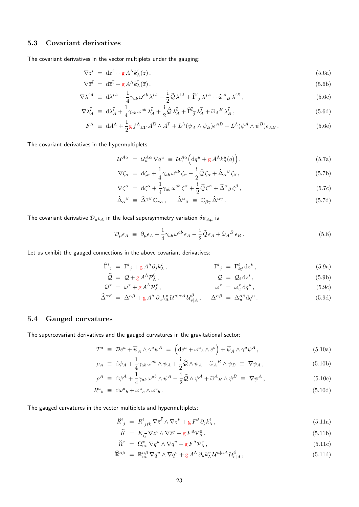### <span id="page-22-0"></span>**5.3 Covariant derivatives**

The covariant derivatives in the vector multiplets under the gauging:

<span id="page-22-2"></span>
$$
\nabla z^i = \mathrm{d}z^i + g A^\Lambda k^i_\Lambda(z), \tag{5.6a}
$$

$$
\nabla \overline{z}^{\overline{i}} = d\overline{z}^{\overline{i}} + g A^{\Lambda} k_{\Lambda}^{\overline{i}}(\overline{z}), \qquad (5.6b)
$$

$$
\nabla \lambda^{iA} \equiv \mathrm{d}\lambda^{iA} + \frac{1}{4} \gamma_{ab} \,\omega^{ab} \,\lambda^{iA} - \frac{\mathrm{i}}{2} \hat{\mathcal{Q}} \,\lambda^{iA} + \hat{\Gamma}^i{}_j \,\lambda^{jA} + \hat{\omega}^A{}_B \,\lambda^{iB} \,,\tag{5.6c}
$$

$$
\nabla \lambda \bar{i}_A \equiv \mathrm{d} \lambda \bar{i}_A + \frac{1}{4} \gamma_{ab} \,\omega^{ab} \,\lambda \bar{i}_A + \frac{\mathrm{i}}{2} \hat{\mathcal{Q}} \,\lambda \bar{i}_A + \widehat{\Gamma} \bar{i}_\bar{j} \,\lambda \bar{j}_A + \widehat{\omega}_A{}^B \,\lambda \bar{i}_B \,,\tag{5.6d}
$$

$$
F^{\Lambda} \equiv dA^{\Lambda} + \frac{1}{2} g f^{\Lambda}{}_{\Sigma \Gamma} A^{\Sigma}{} \wedge A^{\Gamma} + \overline{L}^{\Lambda} (\overline{\psi}_A \wedge \psi_B) \epsilon^{AB} + L^{\Lambda} (\overline{\psi}^A \wedge \psi^B) \epsilon_{AB} \,. \tag{5.6e}
$$

The covariant derivatives in the hypermultiplets:

<span id="page-22-3"></span>
$$
\mathcal{U}^{A\alpha} = \mathcal{U}_u^{A\alpha} \nabla q^u \equiv \mathcal{U}_u^{A\alpha} \Big( dq^u + g A^\Lambda k_\Lambda^u(q) \Big), \tag{5.7a}
$$

$$
\nabla \zeta_{\alpha} = d\zeta_{\alpha} + \frac{1}{4} \gamma_{ab} \,\omega^{ab} \,\zeta_{\alpha} - \frac{i}{2} \hat{\mathcal{Q}} \,\zeta_{\alpha} + \hat{\Delta}_{\alpha}{}^{\beta} \,\zeta_{\beta} \,,\tag{5.7b}
$$

$$
\nabla \zeta^{\alpha} = d\zeta^{\alpha} + \frac{1}{4} \gamma_{ab} \,\omega^{ab} \,\zeta^{\alpha} + \frac{i}{2} \hat{\mathcal{Q}} \,\zeta^{\alpha} + \hat{\Delta}^{\alpha}{}_{\beta} \,\zeta^{\beta} \,, \tag{5.7c}
$$

<span id="page-22-4"></span>
$$
\widehat{\Delta}_{\alpha}{}^{\beta} \equiv \widehat{\Delta}^{\gamma \beta} \mathbb{C}_{\gamma \alpha} , \quad \widehat{\Delta}^{\alpha}{}_{\beta} \equiv \mathbb{C}_{\beta \gamma} \widehat{\Delta}^{\alpha \gamma} . \tag{5.7d}
$$

The covariant derivative  $\mathcal{D}_{\mu} \epsilon_A$  in the local supersymmetry variation  $\delta \psi_{A\mu}$  is

$$
\mathcal{D}_{\mu}\epsilon_{A} \equiv \partial_{\mu}\epsilon_{A} + \frac{1}{4}\gamma_{ab}\,\omega^{ab}\,\epsilon_{A} - \frac{i}{2}\hat{\mathcal{Q}}\epsilon_{A} + \hat{\omega}_{A}{}^{B}\,\epsilon_{B} \,. \tag{5.8}
$$

Let us exhibit the gauged connections in the above covariant derivatives:

$$
\widehat{\Gamma}^i{}_j = \Gamma^i{}_j + g A^{\Lambda} \partial_j k^i_{\Lambda} , \qquad \qquad \Gamma^i{}_j = \Gamma^i_{kj} \, \mathrm{d} z^k , \qquad (5.9a)
$$

$$
\widehat{Q} = Q + g A^{\Lambda} \mathcal{P}_{\Lambda}^{0}, \qquad Q = Q_{i} dz^{i}, \qquad (5.9b)
$$

$$
\widehat{\omega}^x = \omega^x + g A^{\Lambda} \mathcal{P}_{\Lambda}^x, \qquad \omega^x = \omega_u^x \, dq^u, \qquad (5.9c)
$$

$$
\widehat{\Delta}^{\alpha\beta} = \Delta^{\alpha\beta} + g A^{\Lambda} \partial_{u} k_{\Lambda}^{v} U^{u|\alpha A} U_{v|A}^{\beta}, \quad \Delta^{\alpha\beta} = \Delta^{\alpha\beta}_{u} dq^{u}.
$$
\n(5.9d)

### <span id="page-22-1"></span>**5.4 Gauged curvatures**

The supercovariant derivatives and the gauged curvatures in the gravitational sector:

$$
T^{a} \equiv \mathcal{D}e^{a} + \overline{\psi}_{A} \wedge \gamma^{a} \psi^{A} = \left( \mathrm{d}e^{a} + \omega^{a}{}_{b} \wedge e^{b} \right) + \overline{\psi}_{A} \wedge \gamma^{a} \psi^{A}, \qquad (5.10a)
$$

$$
\rho_A \equiv \mathrm{d}\psi_A + \frac{1}{4}\gamma_{ab}\,\omega^{ab}\wedge\psi_A + \frac{\mathrm{i}}{2}\hat{\mathcal{Q}}\wedge\psi_A + \hat{\omega}_A{}^B\wedge\psi_B \equiv \nabla\psi_A\,,\tag{5.10b}
$$

$$
\rho^A \equiv \mathrm{d}\psi^A + \frac{1}{4}\gamma_{ab}\,\omega^{ab}\wedge\psi^A - \frac{\mathrm{i}}{2}\hat{\mathcal{Q}}\wedge\psi^A + \hat{\omega}^A{}_B\wedge\psi^B \equiv \nabla\psi^A\,,\tag{5.10c}
$$

$$
R^{a}{}_{b} \equiv \mathrm{d}\omega^{a}{}_{b} + \omega^{a}{}_{c} \wedge \omega^{c}{}_{b} \,. \tag{5.10d}
$$

The gauged curvatures in the vector multiplets and hypermultiplets:

$$
\widehat{R}^i{}_j = R^i{}_{j\bar{\ell}k} \nabla \overline{z}^\ell \wedge \nabla z^k + g F^\Lambda \partial_j k^i_\Lambda, \qquad (5.11a)
$$

$$
\widehat{K} = K_{i\overline{j}} \nabla z^i \wedge \nabla \overline{z}^{\overline{j}} + g F^{\Lambda} \mathcal{P}_{\Lambda}^0, \qquad (5.11b)
$$

$$
\widehat{\Omega}^x = \Omega^x_{uv} \nabla q^u \wedge \nabla q^v + g F^{\Lambda} \mathcal{P}^x_{\Lambda},\tag{5.11c}
$$

$$
\widehat{\mathbb{R}}^{\alpha\beta} = \mathbb{R}^{\alpha\beta}_{uv} \nabla q^u \wedge \nabla q^v + g A^{\Lambda} \partial_u k^v_{\Lambda} \mathcal{U}^{u|\alpha A} \mathcal{U}^{\beta}_{v|A}, \qquad (5.11d)
$$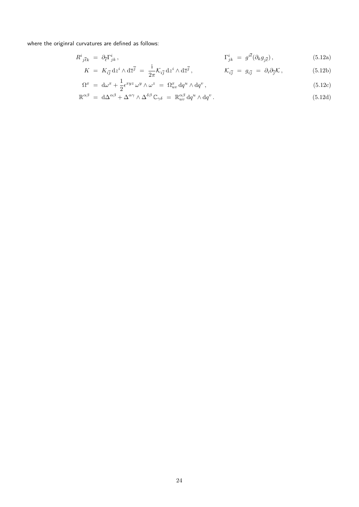where the originral curvatures are defined as follows:

$$
R^i_{\,\,\bar{j}\bar{\ell}k} \,\,=\,\, \partial_{\bar{\ell}} \Gamma^i_{jk} \,, \tag{5.12a}
$$

$$
K = K_{i\overline{j}} dz^i \wedge d\overline{z}^{\overline{j}} = \frac{i}{2\pi} \mathcal{K}_{i\overline{j}} dz^i \wedge d\overline{z}^{\overline{j}}, \qquad \mathcal{K}_{i\overline{j}} = g_{i\overline{j}} = \partial_i \partial_{\overline{j}} \mathcal{K}, \qquad (5.12b)
$$

$$
\Omega^x = d\omega^x + \frac{1}{2} \epsilon^{xyz} \omega^y \wedge \omega^z = \Omega^x_{uv} dq^u \wedge dq^v , \qquad (5.12c)
$$

$$
\mathbb{R}^{\alpha\beta} = d\Delta^{\alpha\beta} + \Delta^{\alpha\gamma} \wedge \Delta^{\delta\beta} \mathbb{C}_{\gamma\delta} = \mathbb{R}^{\alpha\beta}_{uv} dq^u \wedge dq^v.
$$
\n(5.12d)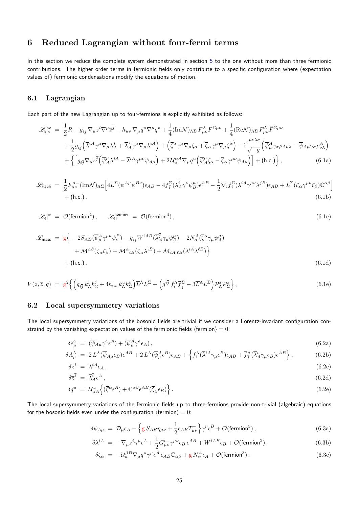# **6 Reduced Lagrangian without four-fermi terms**

In this section we reduce the complete system demonstrated in section 5 to the one without more than three fermionic contributions. The higher order terms in fermionic fields only contribute to a specific configuration where (expectation values of) fermionic condensations modify the equations of motion.

### **6.1 Lagrangian**

Each part of the new Lagrangian up to four-fermions is explicitly exhibited as follows:

<span id="page-24-1"></span>
$$
\mathcal{L}_{\text{kin}}^{\text{inv}} = \frac{1}{2} R - g_{i\overline{j}} \nabla_{\mu} z^{i} \nabla^{\mu} \overline{z}^{\overline{j}} - h_{uv} \nabla_{\mu} q^{u} \nabla^{\mu} q^{v} + \frac{1}{4} (\text{Im} \mathcal{N})_{\Lambda \Sigma} F_{\mu\nu}^{\Lambda} F^{\Sigma \mu\nu} + \frac{1}{4} (\text{Re} \mathcal{N})_{\Lambda \Sigma} F_{\mu\nu}^{\Lambda} \widetilde{F}^{\Sigma \mu\nu} + \frac{1}{2} g_{i\overline{j}} (\overline{\lambda}^{iA} \gamma^{\mu} \nabla_{\mu} \lambda^{\overline{j}} + \overline{\lambda}_{A}^{\overline{j}} \gamma^{\mu} \nabla_{\mu} \lambda^{iA}) + (\overline{\zeta}^{\alpha} \gamma^{\mu} \nabla_{\mu} \zeta_{\alpha} + \overline{\zeta}_{\alpha} \gamma^{\mu} \nabla_{\mu} \zeta^{\alpha}) - i \frac{\epsilon^{\mu\nu\lambda\sigma}}{\sqrt{-g}} (\overline{\psi}_{\mu}^{A} \gamma_{\sigma} \rho_{A\nu\lambda} - \overline{\psi}_{A\mu} \gamma_{\sigma} \rho_{\nu\lambda}^{A}) + \left\{ \left[ g_{i\overline{j}} \nabla_{\mu} \overline{z}^{\overline{j}} (\overline{\psi}_{A}^{\mu} \lambda^{iA} - \overline{\lambda}^{iA} \gamma^{\mu\nu} \psi_{A\mu}) + 2 \mathcal{U}_{u}^{\alpha A} \nabla_{\mu} q^{u} (\overline{\psi}_{A}^{\mu} \zeta_{\alpha} - \overline{\zeta}_{\alpha} \gamma^{\mu\nu} \psi_{A\mu}) \right] + (\text{h.c.}) \right\},
$$
(6.1a)

$$
\mathcal{L}_{\text{Pauli}} = \frac{1}{2} F^{\Lambda-}_{\mu\nu} (\text{Im}\mathcal{N})_{\Lambda\Sigma} \Big[ 4L^{\Sigma} (\overline{\psi}^{A\mu} \psi^{B\nu}) \epsilon_{AB} - 4\overline{f}_{\overline{i}}^{\Sigma} (\overline{\lambda}_{A}^{i} \gamma^{\nu} \psi_{B}^{\mu}) \epsilon^{AB} - \frac{1}{2} \nabla_{i} f_{j}^{\Sigma} (\overline{\lambda}^{i} \gamma^{\mu\nu} \lambda^{j} \psi_{A B}^{\mu}) \epsilon_{AB} + L^{\Sigma} (\overline{\zeta}_{\alpha} \gamma^{\mu\nu} \zeta_{\beta}) \mathbb{C}^{\alpha\beta} \Big] + (\text{h.c.}), \tag{6.1b}
$$

<span id="page-24-2"></span>
$$
\mathcal{L}_{4f}^{\text{inv}} = \mathcal{O}(\text{fermion}^4), \qquad \mathcal{L}_{4f}^{\text{non-inv}} = \mathcal{O}(\text{fermion}^4), \qquad (6.1c)
$$

$$
\mathcal{L}_{\text{mass}} = g \Big\{ -2S_{AB} (\overline{\psi}_{\mu}^{A} \gamma^{\mu\nu} \psi_{\nu}^{B}) - g_{i\overline{j}} W^{iAB} (\overline{\lambda}_{A}^{\overline{j}} \gamma_{\mu} \psi_{B}^{\mu}) - 2N_{\alpha}^{A} (\overline{\zeta}^{\alpha} \gamma_{\mu} \psi_{A}^{\mu}) + \mathcal{M}^{\alpha\beta} (\overline{\zeta}_{\alpha} \zeta_{\beta}) + \mathcal{M}^{\alpha}{}_{iB} (\overline{\zeta}_{\alpha} \lambda^{iB}) + \mathcal{M}_{iA|lB} (\overline{\lambda}^{iA} \lambda^{lB}) \Big\} + (\text{h.c.}),
$$
\n(6.1d)

$$
V(z,\overline{z},q) = g^2 \left\{ \left( g_{i\overline{j}} k^i_{\Lambda} k^{\overline{j}}_{\Sigma} + 4h_{uv} k^u_{\Lambda} k^v_{\Sigma} \right) \overline{L}^{\Lambda} L^{\Sigma} + \left( g^{i\overline{j}} f^{\Lambda}_i \overline{f^{\Sigma}_{\overline{j}}} - 3\overline{L}^{\Lambda} L^{\Sigma} \right) \mathcal{P}^x_{\Lambda} \mathcal{P}^x_{\Sigma} \right\},
$$
(6.1e)

### **6.2 Local supersymmetry variations**

<span id="page-24-0"></span>The local supersymmetry variations of the bosonic fields are trivial if we consider a Lorentz-invariant configuration constraind by the vanishing expectation values of the fermionic fields  $\langle$  fermion $\rangle = 0$ :

$$
\delta e^a_\mu = (\overline{\psi}_{A\mu} \gamma^a \epsilon^A) + (\overline{\psi}^A_\mu \gamma^a \epsilon_A), \tag{6.2a}
$$

$$
\delta A^{\Lambda}_{\mu} = 2 \overline{L}^{\Lambda} (\overline{\psi}_{A\mu} \epsilon_B) \epsilon^{AB} + 2 L^{\Lambda} (\overline{\psi}^A_{\mu} \epsilon^B) \epsilon_{AB} + \left\{ f_i^{\Lambda} (\overline{\lambda}^{iA} \gamma_{\mu} \epsilon^B) \epsilon_{AB} + \overline{f}_{\overline{i}}^{\Lambda} (\overline{\lambda}^{\overline{i}}_{A} \gamma_{\mu} \epsilon_{B}) \epsilon^{AB} \right\}, \tag{6.2b}
$$

$$
\delta z^i = \overline{\lambda}^{iA} \epsilon_A, \tag{6.2c}
$$

$$
\delta \overline{z}^{\overline{i}} = \overline{\lambda}_{A}^{\overline{i}} \epsilon^{A}, \tag{6.2d}
$$

$$
\delta q^u = \mathcal{U}_{\alpha A}^u \left\{ (\overline{\zeta}^{\alpha} \epsilon^A) + \mathbb{C}^{\alpha \beta} \epsilon^{AB} (\overline{\zeta}_{\beta} \epsilon_B) \right\}.
$$
\n(6.2e)

The local supersymmetry variations of the fermionic fields up to three-fermions provide non-trivial (algebraic) equations for the bosonic fields even under the configuration  $\langle$  fermion $\rangle = 0$ :

$$
\delta\psi_{A\mu} = \mathcal{D}_{\mu}\epsilon_A - \left\{ g \, S_{AB} \eta_{\mu\nu} + \frac{1}{2} \epsilon_{AB} T_{\mu\nu}^- \right\} \gamma^{\nu} \epsilon^B + \mathcal{O}(\text{fermion}^3) \,, \tag{6.3a}
$$

$$
\delta \lambda^{iA} = -\nabla_{\mu} z^{i} \gamma^{\mu} \epsilon^{A} + \frac{1}{2} G^{i-}_{\mu\nu} \gamma^{\mu\nu} \epsilon_{B} \epsilon^{AB} + W^{iAB} \epsilon_{B} + \mathcal{O}(\text{fermion}^{3}), \qquad (6.3b)
$$

$$
\delta\zeta_{\alpha} = -\mathcal{U}_{u}^{\beta} \nabla_{\mu} q^{u} \gamma^{\mu} \epsilon^{A} \epsilon_{AB} \mathbb{C}_{\alpha\beta} + g N_{\alpha}^{A} \epsilon_{A} + \mathcal{O}(\text{fermion}^{3}). \tag{6.3c}
$$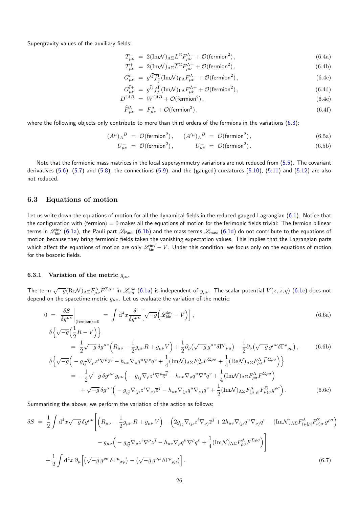Supergravity values of the auxiliary fields:

$$
T^{-}_{\mu\nu} = 2(\text{Im}\mathcal{N})_{\Lambda\Sigma}L^{\Sigma}F^{\Lambda-}_{\mu\nu} + \mathcal{O}(\text{fermion}^{2}), \qquad (6.4a)
$$

$$
T^{+}_{\mu\nu} = 2(\text{Im}\mathcal{N})_{\Lambda\Sigma}\overline{L}^{\Sigma}F^{\Lambda+}_{\mu\nu} + \mathcal{O}(\text{fermion}^{2}), \qquad (6.4b)
$$

$$
G_{\mu\nu}^{i-} = g^{i\overline{j}} \overline{f}_{\overline{j}}^{\Gamma} (\text{Im}\mathcal{N})_{\Gamma\Lambda} F_{\mu\nu}^{\Lambda-} + \mathcal{O}(\text{fermion}^2) , \qquad (6.4c)
$$

$$
G_{\mu\nu}^{\bar{i}+} = g^{\bar{i}j} f_j^{\Gamma} (\text{Im} \mathcal{N})_{\Gamma\Lambda} F_{\mu\nu}^{\Lambda+} + \mathcal{O}(\text{fermion}^2) , \qquad (6.4d)
$$

$$
D^{iAB} = W^{iAB} + \mathcal{O}(\text{fermion}^2). \tag{6.4e}
$$

$$
\widehat{F}^{\Lambda}_{\mu\nu} = F^{\Lambda}_{\mu\nu} + \mathcal{O}(\text{fermion}^2),\tag{6.4f}
$$

where the following objects only contribute to more than third orders of the fermions in the variations (6.3):

$$
(A^{\mu})_A{}^B = \mathcal{O}(\text{fermion}^2), \quad (A^{\prime \mu})_A{}^B = \mathcal{O}(\text{fermion}^2), \tag{6.5a}
$$

$$
U_{\mu\nu}^- = \mathcal{O}(\text{fermion}^2), \qquad U_{\mu\nu}^+ = \mathcal{O}(\text{fermion}^2). \tag{6.5b}
$$

Note that the fermionic mass matrices in the local supersymmetry variarions are not reduced from (5.5). The covariant derivatives (5.6), (5.7) and (5.8), the connections (5.9), and the (gauged) curvatures (5.10), (5.11) and (5.12) are also not reduced.

#### **6.3 Eq[uat](#page-22-2)io[ns](#page-22-3) of m[oti](#page-22-4)on**

<span id="page-25-0"></span>Let us write down the equations of motion for all the dynamical fields in the reduced gauged Lagrangian (6.1). Notice that the configuration with *h*fermion*i* = 0 makes all the equations of motion for the ferimonic fields trivial: The fermion bilinear terms in  $\mathscr{L}_{\rm kin}$  (6.1a), the Pauli part  $\mathscr{L}_{\rm Pauli}$  (6.1b) and the mass terms  $\mathscr{L}_{\rm mass}$  (6.1d) do not contribute to the equations of motion because they bring fermionic fields taken the vanishing expectation values. This implies that the Lagrangian parts which affect the eq[uatio](#page-24-1)ns of motion are only  $\mathscr{L}^\mathsf{inv}_{\mathsf{kin}} - V$ . Under this condition, we focus only on the equations of motion for the bosonic fields.

#### **6.3.1 Variation of the metric** *gµν*

<span id="page-25-1"></span>The term  $\sqrt{-g}(\mathrm{Re}\mathcal{N})_{\Lambda\Sigma}F_{\mu\nu}^{\Lambda}\widetilde{F}^{\Sigma\mu\nu}$  in  $\mathscr{L}_{\rm kin}^{\rm inv}$  (6.1a) is independent of  $g_{\mu\nu}$ . The scalar potential  $V(z,\overline{z},q)$  (6.1e) does not depend on the spacetime metric  $g_{\mu\nu}$ . Let us evaluate the variation of the metric:

$$
0 = \frac{\delta S}{\delta g^{\mu\nu}}\Big|_{\langle \text{fermion}\rangle = 0} = \int d^4x \frac{\delta}{\delta g^{\mu\nu}} \Big[ \sqrt{-g} \Big( \mathcal{L}_{\text{kin}}^{\text{inv}} - V \Big) \Big],\tag{6.6a}
$$

$$
\delta \Big\{ \sqrt{-g} \Big( \frac{1}{2}R - V \Big) \Big\}
$$

$$
\begin{split} \n\mathcal{L}\left(\mathbf{V} - \mathcal{L}\right) &= \frac{1}{2}\sqrt{-g}\,\delta g^{\mu\nu}\Big(R_{\mu\nu} - \frac{1}{2}g_{\mu\nu}R + g_{\mu\nu}V\Big) + \frac{1}{2}\partial_{\rho}\big(\sqrt{-g}\,g^{\mu\nu}\delta\Gamma^{\rho}{}_{\nu\mu}\big) - \frac{1}{2}\partial_{\nu}\big(\sqrt{-g}\,g^{\mu\nu}\delta\Gamma^{\rho}{}_{\rho\mu}\big), \n\end{split} \tag{6.6b}
$$

$$
\delta \Big\{ \sqrt{-g} \Big( -g_{i\overline{j}} \nabla_{\rho} z^{i} \nabla^{\rho} \overline{z}^{\overline{j}} - h_{uv} \nabla_{\rho} q^{u} \nabla^{\rho} q^{v} + \frac{1}{4} (\text{Im} \mathcal{N})_{\Lambda \Sigma} F^{\Lambda}_{\rho \sigma} F^{\Sigma \rho \sigma} + \frac{1}{4} (\text{Re} \mathcal{N})_{\Lambda \Sigma} F^{\Lambda}_{\rho \sigma} \widetilde{F}^{\Sigma \rho \sigma} \Big) \Big\} \n= -\frac{1}{2} \sqrt{-g} \delta g^{\mu \nu} g_{\mu \nu} \Big( -g_{i\overline{j}} \nabla_{\rho} z^{i} \nabla^{\rho} \overline{z}^{\overline{j}} - h_{uv} \nabla_{\rho} q^{u} \nabla^{\rho} q^{v} + \frac{1}{4} (\text{Im} \mathcal{N})_{\Lambda \Sigma} F^{\Lambda}_{\rho \sigma} F^{\Sigma \rho \sigma} \Big) \n+ \sqrt{-g} \delta g^{\mu \nu} \Big( -g_{i\overline{j}} \nabla_{(\mu} z^{i} \nabla_{\nu)} \overline{z}^{\overline{j}} - h_{uv} \nabla_{(\mu} q^{u} \nabla_{\nu)} q^{v} + \frac{1}{2} (\text{Im} \mathcal{N})_{\Lambda \Sigma} F^{\Lambda}_{(\mu | \rho]} F^{\Sigma}_{\nu \rho \sigma} g^{\rho \sigma} \Big) .
$$
\n(6.6c)

Summarizing the above, we perform the variation of the action as follows:

$$
\delta S = \frac{1}{2} \int d^4x \sqrt{-g} \delta g^{\mu\nu} \left[ \left( R_{\mu\nu} - \frac{1}{2} g_{\mu\nu} R + g_{\mu\nu} V \right) - \left( 2 g_{i\overline{j}} \nabla_{(\mu} z^i \nabla_{\nu)} \overline{z}^{\overline{j}} + 2 h_{uv} \nabla_{(\mu} q^u \nabla_{\nu)} q^v - (\text{Im} \mathcal{N})_{\Lambda \Sigma} F^{\Lambda}_{(\mu|\rho|} F^{\Sigma}_{\nu)\sigma} g^{\rho\sigma} \right) \right]
$$
  

$$
- g_{\mu\nu} \left( - g_{i\overline{j}} \nabla_{\rho} z^i \nabla^{\rho} \overline{z}^{\overline{j}} - h_{uv} \nabla_{\rho} q^u \nabla^{\rho} q^v + \frac{1}{4} (\text{Im} \mathcal{N})_{\Lambda \Sigma} F^{\Lambda}_{\rho\sigma} F^{\Sigma \rho\sigma} \right) \right]
$$
  

$$
+ \frac{1}{2} \int d^4x \, \partial_{\mu} \left[ \left( \sqrt{-g} \, g^{\rho\sigma} \, \delta \Gamma^{\mu}{}_{\sigma\rho} \right) - \left( \sqrt{-g} \, g^{\nu\mu} \, \delta \Gamma^{\rho}{}_{\rho\mu} \right) \right]. \tag{6.7}
$$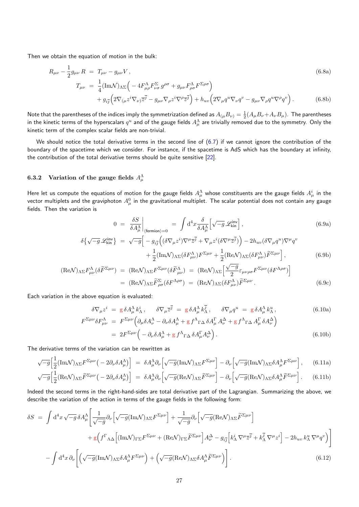Then we obtain the equation of motion in the bulk:

$$
R_{\mu\nu} - \frac{1}{2}g_{\mu\nu} R = T_{\mu\nu} - g_{\mu\nu} V, \qquad (6.8a)
$$
  

$$
T_{\mu\nu} = \frac{1}{4}(\text{Im}\mathcal{N})_{\Lambda\Sigma} \Big( -4F^{\Lambda}_{\mu\rho}F^{\Sigma}_{\nu\sigma}g^{\rho\sigma} + g_{\mu\nu}F^{\Lambda}_{\rho\sigma}F^{\Sigma\rho\sigma} \Big) + g_{i\overline{j}} \Big( 2\nabla_{(\mu}z^{i}\nabla_{\nu)}\overline{z}^{\overline{j}} - g_{\mu\nu}\nabla_{\rho}z^{i}\nabla^{\rho}\overline{z}^{\overline{j}} \Big) + h_{uv} \Big( 2\nabla_{\mu}q^{u}\nabla_{\nu}q^{v} - g_{\mu\nu}\nabla_{\rho}q^{u}\nabla^{\rho}q^{v} \Big).
$$
 (6.8b)

Note that the parentheses of the indices imply the symmetrization defined as  $A_{(\mu}B_{\nu)}=\frac{1}{2}(A_\mu B_\nu+A_\nu B_\mu).$  The parentheses in the kinetic terms of the hyperscalars  $q^u$  and of the gauge fields  $A^\Lambda_\mu$  are trivially removed due to the symmetry. Only the kinetic term of the complex scalar fields are non-trivial.

We should notice the total derivative terms in the second line of (6.7) if we cannot ignore the contribution of the boundary of the spacetime which we consider. For instance, if the spacetime is AdS which has the boundary at infinity, the contribution of the total derivative terms should be quite sensitive [22].

### **6.3.2** Variation of the gauge fields  $A^{\Lambda}_{\mu}$

<span id="page-26-0"></span>Here let us compute the equations of motion for the gauge fields  $A_\mu^\Lambda$  whose constituents are the gauge fields  $A_\mu^i$  in the vector multiplets and the graviphoton  $A^0_\mu$  in the gravitational multiplet. The scalar potential does not contain any gauge fields. Then the variation is

$$
0 = \left. \frac{\delta S}{\delta A^{\Lambda}_{\mu}} \right|_{\langle \text{fermion} \rangle = 0} = \int d^4x \frac{\delta}{\delta A^{\Lambda}_{\mu}} \left[ \sqrt{-g} \mathcal{L}_{\text{kin}}^{\text{inv}} \right], \tag{6.9a}
$$

$$
\delta \{ \sqrt{-g} \mathcal{L}_{kin}^{inv} \} = \sqrt{-g} \Big[ -g_{i\overline{j}} \Big( (\delta \nabla_{\mu} z^{i}) \nabla^{\mu} \overline{z}^{\overline{j}} + \nabla_{\mu} z^{i} (\delta \nabla^{\mu} \overline{z}^{\overline{j}}) \Big) - 2h_{uv} (\delta \nabla_{\mu} q^{u}) \nabla^{\mu} q^{v} + \frac{1}{2} (\text{Im} \mathcal{N})_{\Lambda \Sigma} (\delta F_{\mu\nu}^{\Lambda}) F^{\Sigma \mu\nu} + \frac{1}{2} (\text{Re} \mathcal{N})_{\Lambda \Sigma} (\delta F_{\mu\nu}^{\Lambda}) \widetilde{F}^{\Sigma \mu\nu} \Big],
$$
(6.9b)

$$
(\text{Re}\mathcal{N})_{\Lambda\Sigma}F^{\Lambda}_{\mu\nu}(\delta\widetilde{F}^{\Sigma\mu\nu}) = (\text{Re}\mathcal{N})_{\Lambda\Sigma}F^{\Sigma\mu\nu}(\delta\widetilde{F}^{\Lambda}_{\mu\nu}) = (\text{Re}\mathcal{N})_{\Lambda\Sigma}\left[\frac{\sqrt{-g}}{2}\varepsilon_{\mu\nu\rho\sigma}F^{\Sigma\mu\nu}(\delta F^{\Lambda\rho\sigma})\right]
$$

$$
= (\text{Re}\mathcal{N})_{\Lambda\Sigma}\widetilde{F}^{\Sigma}_{\rho\sigma}(\delta F^{\Lambda\rho\sigma}) = (\text{Re}\mathcal{N})_{\Lambda\Sigma}(\delta F^{\Lambda}_{\mu\nu})\widetilde{F}^{\Sigma\mu\nu}.
$$
(6.9c)

Each variation in the above equation is evaluated:

$$
\delta \nabla_{\mu} z^{i} = g \delta A_{\mu}^{\Lambda} k_{\Lambda}^{i}, \qquad \delta \nabla_{\mu} \overline{z}^{\overline{j}} = g \delta A_{\mu}^{\Lambda} k_{\Lambda}^{\overline{j}}, \qquad \delta \nabla_{\mu} q^{u} = g \delta A_{\mu}^{\Lambda} k_{\Lambda}^{u}, \qquad (6.10a)
$$

$$
F^{\Sigma \mu \nu} \delta F_{\mu \nu}^{\Lambda} = F^{\Sigma \mu \nu} \Big( \partial_{\mu} \delta A_{\nu}^{\Lambda} - \partial_{\nu} \delta A_{\mu}^{\Lambda} + g f^{\Lambda}{}_{\Gamma \Delta} \delta A_{\mu}^{\Gamma} A_{\nu}^{\Delta} + g f^{\Lambda}{}_{\Gamma \Delta} A_{\mu}^{\Gamma} \delta A_{\nu}^{\Delta} \Big)
$$

$$
= 2F^{\Sigma\mu\nu} \left( -\partial_{\nu}\delta A_{\mu}^{\Lambda} + g f^{\Lambda}{}_{\Gamma\Delta}\delta A_{\mu}^{\Gamma} A_{\nu}^{\Delta} \right).
$$
\n(6.10b)

The derivative terms of the variation can be rewritten as

$$
\sqrt{-g} \Big[ \frac{1}{2} (\text{Im}\mathcal{N})_{\Lambda\Sigma} F^{\Sigma\mu\nu} \Big( -2\partial_{\nu}\delta A^{\Lambda}_{\mu} \Big) \Big] = \delta A^{\Lambda}_{\mu} \partial_{\nu} \Big[ \sqrt{-g} (\text{Im}\mathcal{N})_{\Lambda\Sigma} F^{\Sigma\mu\nu} \Big] - \partial_{\nu} \Big[ \sqrt{-g} (\text{Im}\mathcal{N})_{\Lambda\Sigma} \delta A^{\Lambda}_{\mu} F^{\Sigma\mu\nu} \Big], \tag{6.11a}
$$

$$
\sqrt{-g} \Big[ \frac{1}{2} (\text{Re}\mathcal{N})_{\Lambda\Sigma} \tilde{F}^{\Sigma\mu\nu} \big( -2\partial_{\nu}\delta A^{\Lambda}_{\mu} \big) \Big] = \delta A^{\Lambda}_{\mu} \partial_{\nu} \Big[ \sqrt{-g} (\text{Re}\mathcal{N})_{\Lambda\Sigma} \tilde{F}^{\Sigma\mu\nu} \Big] - \partial_{\nu} \Big[ \sqrt{-g} (\text{Re}\mathcal{N})_{\Lambda\Sigma} \delta A^{\Lambda}_{\mu} \tilde{F}^{\Sigma\mu\nu} \Big]. \tag{6.11b}
$$

Indeed the second terms in the right-hand-sides are total derivative part of the Lagrangian. Summarizing the above, we describe the variation of the action in terms of the gauge fields in the following form:

$$
\delta S = \int d^4x \sqrt{-g} \, \delta A^{\Lambda}_{\mu} \left[ \frac{1}{\sqrt{-g}} \partial_{\nu} \left[ \sqrt{-g} (\text{Im} \mathcal{N})_{\Lambda \Sigma} F^{\Sigma \mu \nu} \right] + \frac{1}{\sqrt{-g}} \partial_{\nu} \left[ \sqrt{-g} (\text{Re} \mathcal{N})_{\Lambda \Sigma} \tilde{F}^{\Sigma \mu \nu} \right] \right. \\
\left. + g \left( f^{\Gamma}{}_{\Lambda \Delta} \left[ (\text{Im} \mathcal{N})_{\Gamma \Sigma} F^{\Sigma \mu \nu} + (\text{Re} \mathcal{N})_{\Gamma \Sigma} \tilde{F}^{\Sigma \mu \nu} \right] A^{\Delta}_{\nu} - g_{i\overline{j}} \left[ k^i_{\Lambda} \nabla^{\mu} \bar{z}^{\overline{j}} + k^{\overline{j}}_{\Lambda} \nabla^{\mu} z^i \right] - 2h_{uv} k^u_{\Lambda} \nabla^{\mu} q^v \right) \right] \\
- \int d^4x \, \partial_{\nu} \left[ \left( \sqrt{-g} (\text{Im} \mathcal{N})_{\Lambda \Sigma} \delta A^{\Lambda}_{\mu} F^{\Sigma \mu \nu} \right) + \left( \sqrt{-g} (\text{Re} \mathcal{N})_{\Lambda \Sigma} \delta A^{\Lambda}_{\mu} \tilde{F}^{\Sigma \mu \nu} \right) \right].\n\tag{6.12}
$$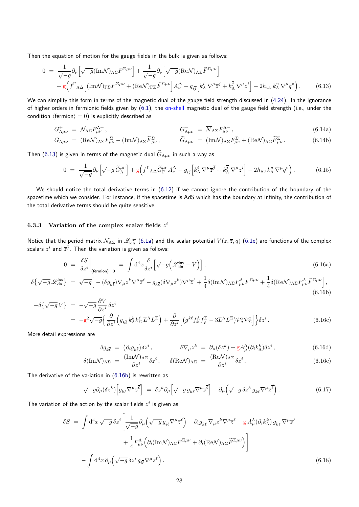Then the equation of motion for the gauge fields in the bulk is given as follows:

$$
0 = \frac{1}{\sqrt{-g}} \partial_{\nu} \left[ \sqrt{-g} (\text{Im} \mathcal{N})_{\Lambda \Sigma} F^{\Sigma \mu \nu} \right] + \frac{1}{\sqrt{-g}} \partial_{\nu} \left[ \sqrt{-g} (\text{Re} \mathcal{N})_{\Lambda \Sigma} \tilde{F}^{\Sigma \mu \nu} \right] + g \left( f^{\Gamma}{}_{\Lambda \Delta} \left[ (\text{Im} \mathcal{N})_{\Gamma \Sigma} F^{\Sigma \mu \nu} + (\text{Re} \mathcal{N})_{\Gamma \Sigma} \tilde{F}^{\Sigma \mu \nu} \right] A_{\nu}^{\Delta} - g_{i\overline{j}} \left[ k_{\Lambda}^{i} \nabla^{\mu} \overline{z}^{\overline{j}} + k_{\Lambda}^{\overline{j}} \nabla^{\mu} z^{i} \right] - 2 h_{uv} k_{\Lambda}^{u} \nabla^{\mu} q^{v} \right). \tag{6.13}
$$

We can simplify this form in terms of the magnetic dual of the gauge field strength discussed in (4.24). In the ignorance of higher orders in fermionic fields given by  $(6.1)$ , the on-shell magnetic dual of the gauge field strength (i.e., under the condition  $\langle$  fermion $\rangle = 0$ ) is explicitly described as

$$
G^+_{\Lambda\mu\nu} = \mathcal{N}_{\Lambda\Sigma}F^{\Lambda+}_{\mu\nu}, \qquad G^-_{\Lambda\mu\nu} = \overline{\mathcal{N}}_{\Lambda\Sigma}F^{\Lambda-}_{\mu\nu}, \qquad (6.14a)
$$

$$
G_{\Lambda\mu\nu} = (\text{Re}\mathcal{N})_{\Lambda\Sigma}F_{\mu\nu}^{\Sigma} - (\text{Im}\mathcal{N})_{\Lambda\Sigma}\tilde{F}_{\mu\nu}^{\Sigma}, \qquad \tilde{G}_{\Lambda\mu\nu} = (\text{Im}\mathcal{N})_{\Lambda\Sigma}F_{\mu\nu}^{\Sigma} + (\text{Re}\mathcal{N})_{\Lambda\Sigma}\tilde{F}_{\mu\nu}^{\Sigma}. \qquad (6.14b)
$$

Then (6.13) is given in terms of the magnetic dual  $\widetilde{G}_{\Lambda\mu\nu}$  in such a way as

$$
0 = \frac{1}{\sqrt{-g}} \partial_{\nu} \left[ \sqrt{-g} \, \widetilde{G}_{\Lambda}^{\mu \nu} \right] + g \left( f^{\Gamma} \Lambda \Delta \widetilde{G}_{\Gamma}^{\mu \nu} A_{\nu}^{\Delta} - g_{i\overline{j}} \left[ k_{\Lambda}^{i} \nabla^{\mu} \overline{z}^{\overline{j}} + k_{\Lambda}^{\overline{j}} \nabla^{\mu} z^{i} \right] - 2h_{uv} k_{\Lambda}^{u} \nabla^{\mu} q^{v} \right). \tag{6.15}
$$

We should notice the total derivative terms in  $(6.12)$  if we cannot ignore the contribution of the boundary of the spacetime which we consider. For instance, if the spacetime is AdS which has the boundary at infinity, the contribution of the total derivative terms should be quite sensitive.

#### **6.3.3 Variation of the complex scalar fields** *z i*

Notice that the period matrix  $\mathcal{N}_{\Lambda\Sigma}$  in  $\mathscr{L}^\mathsf{inv}_{\mathsf{kin}}$  (6.1a) and the scalar potential  $V(z,\overline{z},q)$  (6.1e) are functions of the complex scalars  $z^i$  and  $\overline{z}^j$ . Then the variation is given as follows:

$$
0 = \left. \frac{\delta S}{\delta z^i} \right|_{\text{(fermion)}=0} = \int \mathrm{d}^4 x \frac{\delta}{\delta z^i} \left[ \sqrt{-g} \left( \mathcal{L}_{\text{kin}}^{\text{inv}} - V \right) \right],\tag{6.16a}
$$

$$
\delta \left\{ \sqrt{-g} \mathscr{L}_{\text{kin}}^{\text{inv}} \right\} \; = \; \sqrt{-g} \Big[ -(\delta g_{k\overline{\ell}}) \nabla_{\mu} z^{k} \nabla^{\mu} \overline{z}^{\overline{\ell}} - g_{k\overline{\ell}} (\delta \nabla_{\mu} z^{k}) \nabla^{\mu} \overline{z}^{\overline{\ell}} + \frac{1}{4} \delta (\text{Im} \mathcal{N})_{\Lambda \Sigma} F^{\Lambda}_{\mu\nu} F^{\Sigma \mu\nu} + \frac{1}{4} \delta (\text{Re} \mathcal{N})_{\Lambda \Sigma} F^{\Lambda}_{\mu\nu} \widetilde{F}^{\Sigma \mu\nu} \Big], \tag{6.16b}
$$

$$
-\delta\{\sqrt{-g}V\} = -\sqrt{-g}\frac{\partial V}{\partial z^i}\delta z^i
$$
  
= 
$$
-g^2\sqrt{-g}\Big\{\frac{\partial}{\partial z^i}\Big(g_{k\overline{\ell}}k_{\Lambda}^k k_{\Sigma}^{\overline{\ell}}\overline{L}^{\Lambda}L^{\Sigma}\Big) + \frac{\partial}{\partial z^i}\Big[(g^{k\overline{\ell}}f_k^{\Lambda}\overline{f}_{\overline{\ell}}^{\Sigma} - 3\overline{L}^{\Lambda}L^{\Sigma})\mathcal{P}_{\Lambda}^x\mathcal{P}_{\Sigma}^x\Big]\Big\}\delta z^i.
$$
(6.16c)

More detail expressions are

<span id="page-27-0"></span>
$$
\delta g_{k\overline{\ell}} = (\partial_i g_{k\overline{\ell}}) \delta z^i, \qquad \delta \nabla_\mu z^k = \partial_\mu (\delta z^k) + g A_\mu^\Lambda (\partial_i k_\Lambda^k) \delta z^i, \qquad (6.16d)
$$

$$
\delta(\text{Im}\mathcal{N})_{\Lambda\Sigma} = \frac{(\text{Im}\mathcal{N})_{\Lambda\Sigma}}{\partial z^i} \delta z^i, \quad \delta(\text{Re}\mathcal{N})_{\Lambda\Sigma} = \frac{(\text{Re}\mathcal{N})_{\Lambda\Sigma}}{\partial z^i} \delta z^i.
$$
\n(6.16e)

The derivative of the variation in (6.16b) is rewritten as

$$
-\sqrt{-g}\partial_{\mu}(\delta z^{k})\left[g_{k\bar{\ell}}\nabla^{\mu}\overline{z}^{\bar{\ell}}\right] = \delta z^{k}\partial_{\mu}\left[\sqrt{-g}g_{k\bar{\ell}}\nabla^{\mu}\overline{z}^{\bar{\ell}}\right] - \partial_{\mu}\left(\sqrt{-g}\,\delta z^{k}\,g_{k\bar{\ell}}\nabla^{\mu}\overline{z}^{\bar{\ell}}\right). \tag{6.17}
$$

The variation of the action by the [scalar](#page-27-0) fields  $z^i$  is given as

$$
\delta S = \int d^4x \sqrt{-g} \delta z^i \left[ \frac{1}{\sqrt{-g}} \partial_\mu \left( \sqrt{-g} \, g_{i\bar{\ell}} \nabla^\mu \overline{z}^{\bar{\ell}} \right) - \partial_i g_{k\bar{\ell}} \nabla_\mu z^k \nabla^\mu \overline{z}^{\bar{\ell}} - g \, A^{\Lambda}_{\mu} (\partial_i k^k_{\Lambda}) \, g_{k\bar{\ell}} \nabla^\mu \overline{z}^{\bar{\ell}} \right] + \frac{1}{4} F^{\Lambda}_{\mu\nu} \left( \partial_i (\text{Im} \mathcal{N})_{\Lambda \Sigma} F^{\Sigma \mu \nu} + \partial_i (\text{Re} \mathcal{N})_{\Lambda \Sigma} \widetilde{F}^{\Sigma \mu \nu} \right) \right] - \int d^4x \, \partial_\mu \left( \sqrt{-g} \, \delta z^i \, g_{i\bar{\ell}} \nabla^\mu \overline{z}^{\bar{\ell}} \right). \tag{6.18}
$$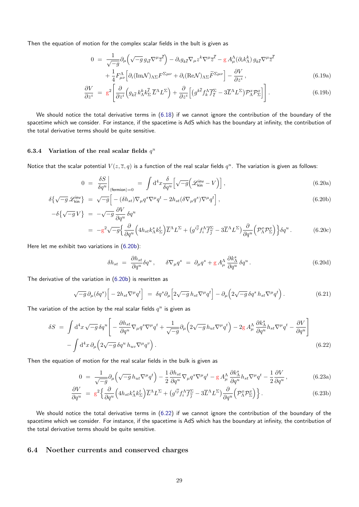Then the equation of motion for the complex scalar fields in the bult is given as

$$
0 = \frac{1}{\sqrt{-g}} \partial_{\mu} \left( \sqrt{-g} g_{i\bar{\ell}} \nabla^{\mu} \bar{z}^{\bar{\ell}} \right) - \partial_{i} g_{k\bar{\ell}} \nabla_{\mu} z^{k} \nabla^{\mu} \bar{z}^{\bar{\ell}} - g A^{\Lambda}_{\mu} (\partial_{i} k^k_{\Lambda}) g_{k\bar{\ell}} \nabla^{\mu} \bar{z}^{\bar{\ell}} + \frac{1}{4} F^{\Lambda}_{\mu\nu} \left[ \partial_{i} (\text{Im} \mathcal{N})_{\Lambda \Sigma} F^{\Sigma \mu \nu} + \partial_{i} (\text{Re} \mathcal{N})_{\Lambda \Sigma} \tilde{F}^{\Sigma \mu \nu} \right] - \frac{\partial V}{\partial z^i},
$$
(6.19a)

$$
\frac{\partial V}{\partial z^i} = g^2 \left[ \frac{\partial}{\partial z^i} \left( g_{k\bar{\ell}} k_{\Lambda}^k k_{\Sigma}^{\bar{\ell}} \overline{L}^{\Lambda} L^{\Sigma} \right) + \frac{\partial}{\partial z^i} \left[ \left( g^{k\bar{\ell}} f_k^{\Lambda} \overline{f}_{\bar{\ell}}^{\Sigma} - 3 \overline{L}^{\Lambda} L^{\Sigma} \right) \mathcal{P}_{\Lambda}^x \mathcal{P}_{\Sigma}^x \right] \right]. \tag{6.19b}
$$

We should notice the total derivative terms in (6.18) if we cannot ignore the contribution of the boundary of the spacetime which we consider. For instance, if the spacetime is AdS which has the boundary at infinity, the contribution of the total derivative terms should be quite sensitive.

#### **6.3.4** Variation of the real scalar fields  $q^u$

<span id="page-28-0"></span>Notice that the scalar potential  $V(z, \overline{z}, q)$  is a function of the real scalar fields  $q^u$ . The variation is given as follows:

$$
0 = \frac{\delta S}{\delta q^u}\Big|_{\langle \text{fermion}\rangle = 0} = \int d^4x \frac{\delta}{\delta q^u} \Big[ \sqrt{-g} \Big( \mathcal{L}_{\text{kin}}^{\text{inv}} - V \Big) \Big],\tag{6.20a}
$$

$$
\delta \left\{ \sqrt{-g} \mathcal{L}_{\text{kin}}^{\text{inv}} \right\} \ = \ \sqrt{-g} \Big[ -(\delta h_{st}) \nabla_{\mu} q^s \nabla^{\mu} q^t - 2h_{st} (\delta \nabla_{\mu} q^s) \nabla^{\mu} q^t \Big], \tag{6.20b}
$$

$$
-\delta\{\sqrt{-g}V\} = -\sqrt{-g}\frac{\partial V}{\partial q^u}\delta q^u
$$
  

$$
= -g^2\sqrt{-g}\left\{\frac{\partial}{\partial q^u}\left(4h_{st}k_{\Lambda}^st_{\Sigma}^k\right)\overline{L}^{\Lambda}L^{\Sigma} + \left(g^{i\bar{j}}f_i^{\Lambda}\overline{f}_{\bar{j}}^{\Sigma} - 3\overline{L}^{\Lambda}L^{\Sigma}\right)\frac{\partial}{\partial q^u}\left(\mathcal{P}_{\Lambda}^x\mathcal{P}_{\Sigma}^x\right)\right\}\delta q^u.
$$
(6.20c)

Here let me exhibit two variations in (6.20b):

<span id="page-28-2"></span>
$$
\delta h_{st} = \frac{\partial h_{st}}{\partial q^u} \delta q^u, \qquad \delta \nabla_{\mu} q^s = \partial_{\mu} q^s + g A^{\Lambda}_{\mu} \frac{\partial k^s_{\Lambda}}{\partial q^u} \delta q^u. \tag{6.20d}
$$

The derivative of the variation in (6.2[0b\) is](#page-28-2) rewritten as

$$
\sqrt{-g}\,\partial_{\mu}(\delta q^s)\Big[-2h_{st}\nabla^{\mu}q^t\Big] = \delta q^s\partial_{\mu}\Big[2\sqrt{-g}\,h_{st}\nabla^{\mu}q^t\Big] - \partial_{\mu}\Big(2\sqrt{-g}\,\delta q^s\,h_{st}\nabla^{\mu}q^t\Big). \tag{6.21}
$$

The variation of the action by the [real sc](#page-28-2)alar fields  $q^u$  is given as

$$
\delta S = \int d^4x \sqrt{-g} \delta q^u \left[ -\frac{\partial h_{st}}{\partial q^u} \nabla_\mu q^s \nabla^\mu q^t + \frac{1}{\sqrt{-g}} \partial_\mu \left( 2\sqrt{-g} h_{ut} \nabla^\mu q^t \right) - 2g A_\mu^\Lambda \frac{\partial k_\Lambda^s}{\partial q^u} h_{st} \nabla^\mu q^t - \frac{\partial V}{\partial q^u} \right] - \int d^4x \partial_\mu \left( 2\sqrt{-g} \delta q^u h_{uv} \nabla^\mu q^v \right). \tag{6.22}
$$

Then the equation of motion for the real scalar fields in the bulk is given as

$$
0 = \frac{1}{\sqrt{-g}} \partial_{\mu} \left( \sqrt{-g} \, h_{ut} \nabla^{\mu} q^{t} \right) - \frac{1}{2} \frac{\partial h_{st}}{\partial q^{u}} \nabla_{\mu} q^{s} \nabla^{\mu} q^{t} - g \, A_{\mu}^{\Lambda} \frac{\partial k_{\Lambda}^{s}}{\partial q^{u}} h_{st} \nabla^{\mu} q^{t} - \frac{1}{2} \frac{\partial V}{\partial q^{u}} , \tag{6.23a}
$$

$$
\frac{\partial V}{\partial q^u} = g^2 \Big\{ \frac{\partial}{\partial q^u} \Big( 4h_{st} k^s_{\Lambda} k^t_{\Sigma} \Big) \overline{L}^{\Lambda} L^{\Sigma} + \big( g^{i\bar{j}} f^{\Lambda}_i \overline{f^{\Sigma}_{\bar{j}}} - 3\overline{L}^{\Lambda} L^{\Sigma} \big) \frac{\partial}{\partial q^u} \Big( \mathcal{P}^x_{\Lambda} \mathcal{P}^x_{\Sigma} \Big) \Big\} \,. \tag{6.23b}
$$

We should notice the total derivative terms in (6.22) if we cannot ignore the contribution of the boundary of the spacetime which we consider. For instance, if the spacetime is AdS which has the boundary at infinity, the contribution of the total derivative terms should be quite sensitive.

#### <span id="page-28-1"></span>**6.4 Noether currents and conserved charges**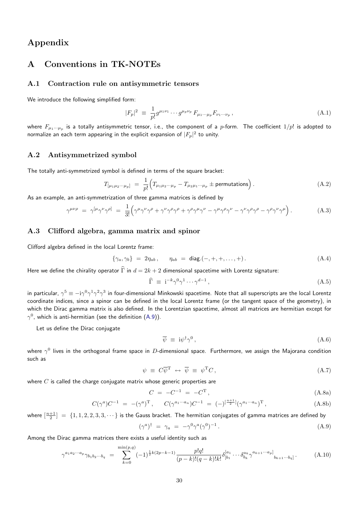# **Appendix**

# **A Conventions in TK-NOTEs**

### <span id="page-29-0"></span>**A.1 Contraction rule on antisymmetric tensors**

<span id="page-29-1"></span>We introduce the following simplified form:

$$
|F_p|^2 \equiv \frac{1}{p!} g^{\mu_1 \nu_1} \cdots g^{\mu_p \nu_p} F_{\mu_1 \cdots \mu_p} F_{\nu_1 \cdots \nu_p} , \qquad (A.1)
$$

where  $F_{\mu_1\cdots\mu_p}$  is a totally antisymmetric tensor, i.e., the component of a  $p$ -form. The coefficient  $1/p!$  is adopted to normalize an each term appearing in the explicit expansion of  $|F_p|^2$  to unity.

### **A.2 Antisymmetrized symbol**

The totally anti-symmetrized symbol is defined in terms of the square bracket:

$$
T_{\left[\mu_1\mu_2\cdots\mu_p\right]} = \frac{1}{p!} \left( T_{\mu_1\mu_2\cdots\mu_p} - T_{\mu_2\mu_1\cdots\mu_p} \pm \text{permutations} \right). \tag{A.2}
$$

As an example, an anti-symmetrization of three gamma matrices is defined by

$$
\gamma^{\mu\nu\rho} = \gamma^{[\mu}\gamma^{\nu}\gamma^{\rho]} = \frac{1}{3!} \Big( \gamma^{\mu}\gamma^{\nu}\gamma^{\rho} + \gamma^{\nu}\gamma^{\rho}\gamma^{\rho} + \gamma^{\rho}\gamma^{\mu}\gamma^{\nu} - \gamma^{\mu}\gamma^{\rho}\gamma^{\nu} - \gamma^{\nu}\gamma^{\rho}\gamma^{\rho} - \gamma^{\rho}\gamma^{\nu}\gamma^{\mu} \Big). \tag{A.3}
$$

### **A.3 Clifford algebra, gamma matrix and spinor**

<span id="page-29-2"></span>Clifford algebra defined in the local Lorentz frame:

$$
\{\gamma_a, \gamma_b\} = 2\eta_{ab}, \quad \eta_{ab} = \text{diag.}(-, +, +, \dots, +).
$$
 (A.4)

Here we define the chirality operator  $\hat{\Gamma}$  in  $d = 2k + 2$  dimensional spacetime with Lorentz signature:

$$
\widehat{\Gamma} \equiv i^{-k} \gamma^0 \gamma^1 \cdots \gamma^{d-1}, \tag{A.5}
$$

in particular,  $\gamma^5\equiv -$ i $\gamma^0\gamma^1\gamma^2\gamma^3$  in four-dimensional Minkowski spacetime. Note that all superscripts are the local Lorentz coordinate indices, since a spinor can be defined in the local Lorentz frame (or the tangent space of the geometry), in which the Dirac gamma matrix is also defined. In the Lorentzian spacetime, almost all matrices are hermitian except for  $\gamma^0$ , which is anti-hermitian (see the definition (A.9)).

Let us define the Dirac conjugate

$$
\overline{\psi} \equiv i\psi^{\dagger}\gamma^{0}, \qquad (A.6)
$$

where *γ* 0 lives in the orthogonal frame space [in](#page-29-3) *D*-dimensional space. Furthermore, we assign the Majorana condition such as

$$
\psi \equiv C \overline{\psi}^{\mathrm{T}} \leftrightarrow \overline{\psi} \equiv \psi^{\mathrm{T}} C, \qquad (A.7)
$$

where *C* is called the charge conjugate matrix whose generic properties are

<span id="page-29-3"></span>
$$
C = -C^{-1} = -C^{T}, \qquad (A.8a)
$$

$$
C(\gamma^a)C^{-1} = -(\gamma^a)^T, \qquad C(\gamma^{a_1 \cdots a_n})C^{-1} = (-)^{\left[\frac{n+1}{2}\right]}(\gamma^{a_1 \cdots a_n})^T,
$$
\n(A.8b)

where  $[\frac{n+1}{2}] = \{1,1,2,2,3,3,\cdots\}$  is the Gauss bracket. The hermitian conjugates of gamma matrices are defined by

$$
(\gamma^a)^\dagger = \gamma_a = -\gamma^0 \gamma^a (\gamma^0)^{-1} . \tag{A.9}
$$

Among the Dirac gamma matrices there exists a useful identity such as

$$
\gamma^{a_1 a_2 \cdots a_p} \gamma_{b_1 b_2 \cdots b_q} = \sum_{k=0}^{\min(p,q)} (-1)^{\frac{1}{2}k(2p-k-1)} \frac{p!q!}{(p-k)!(q-k)!k!} \delta_{[b_1}^{[a_1} \cdots \delta_{b_k}^{a_k} \gamma^{a_{k+1} \cdots a_p]}_{b_{k+1} \cdots b_q]}.
$$
(A.10)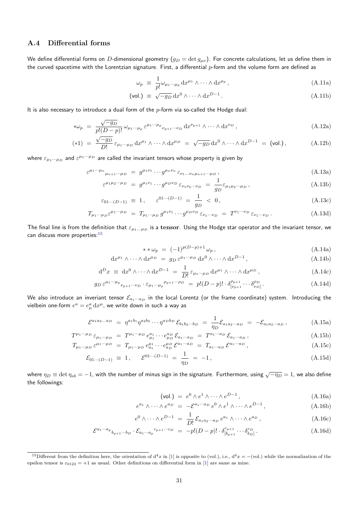### **A.4 Differential forms**

<span id="page-30-0"></span>We define differential forms on *D*-dimensional geometry  $(g_D=\det g_{\mu\nu})$ . For concrete calculations, let us define them in the curved spacetime with the Lorentzian signature. First, a differential *p*-form and the volume form are defined as

$$
\omega_p \equiv \frac{1}{p!} \omega_{\mu_1 \cdots \mu_p} \, dx^{\mu_1} \wedge \cdots \wedge dx^{\mu_p} \,, \tag{A.11a}
$$

$$
\text{(vol.)} \equiv \sqrt{-g_D} \, dx^0 \wedge \dots \wedge dx^{D-1} \,. \tag{A.11b}
$$

It is also necessary to introduce a dual form of the *p*-form via so-called the Hodge dual:

$$
*\omega_p = \frac{\sqrt{-g_D}}{p!(D-p)!} \omega_{\mu_1 \cdots \mu_p} \varepsilon^{\mu_1 \cdots \mu_p} \nu_{p+1 \cdots \nu_D} \mathrm{d}x^{\nu_{p+1}} \wedge \cdots \wedge \mathrm{d}x^{\nu_D},
$$
\n(A.12a)

$$
(*)1 = \frac{\sqrt{-g_D}}{D!} \varepsilon_{\mu_1 \cdots \mu_D} dx^{\mu_1} \wedge \cdots \wedge dx^{\mu_D} = \sqrt{-g_D} dx^0 \wedge \cdots \wedge dx^{D-1} = \text{(vol.)}, \tag{A.12b}
$$

where  $\varepsilon_{\mu_1\cdots\mu_D}$  and  $\varepsilon^{\mu_1\cdots\mu_D}$  are called the invariant tensors whose property is given by

$$
\varepsilon^{\mu_1\cdots\mu_n}{}_{\mu_{n+1}\cdots\mu_D} \ = \ g^{\mu_1\nu_1}\cdots g^{\mu_n\nu_n} \, \varepsilon_{\nu_1\ldots\nu_n\mu_{n+1}\cdots\mu_D} \,, \tag{A.13a}
$$

$$
\varepsilon^{\mu_1 \mu_2 \cdots \mu_D} = g^{\mu_1 \nu_1} \cdots g^{\mu_D \nu_D} \varepsilon_{\nu_1 \nu_2 \cdots \nu_D} = \frac{1}{g_D} \varepsilon_{\mu_1 \mu_2 \cdots \mu_D}, \tag{A.13b}
$$

$$
\varepsilon_{01\cdots(D-1)} \equiv 1, \quad \varepsilon^{01\cdots(D-1)} = \frac{1}{g_D} < 0,
$$
\n(A.13c)

$$
T_{\mu_1 \cdots \mu_D} \varepsilon^{\mu_1 \cdots \mu_D} = T_{\mu_1 \cdots \mu_D} g^{\mu_1 \nu_1} \cdots g^{\mu_D \nu_D} \varepsilon_{\nu_1 \cdots \nu_D} = T^{\nu_1 \cdots \nu_D} \varepsilon_{\nu_1 \cdots \nu_D}.
$$
 (A.13d)

The final line is from the definition that *ε<sup>µ</sup>*1*...µ<sup>D</sup>* is a **tensor**. Using the Hodge star operator and the invariant tensor, we can discuss more properties: $15$ 

$$
**\omega_p = (-1)^{p(D-p)+1}\omega_p, \tag{A.14a}
$$

$$
dx^{\mu_1} \wedge \cdots \wedge dx^{\mu_D} = g_D \varepsilon^{\mu_1 \cdots \mu_D} dx^0 \wedge \cdots \wedge dx^{D-1}, \qquad (A.14b)
$$

$$
d^{D}x \equiv dx^{0} \wedge \cdots \wedge dx^{D-1} = \frac{1}{D!} \varepsilon_{\mu_{1}\cdots\mu_{D}} dx^{\mu_{1}} \wedge \cdots \wedge dx^{\mu_{D}}, \qquad (A.14c)
$$

$$
g_D \,\varepsilon^{\mu_1\cdots\mu_p}{}_{\nu_{p+1}\cdots\nu_D} \cdot \varepsilon_{\mu_1\cdots\mu_p}{}^{\rho_{p+1}\cdots\rho_D} \ = \ p!(D-p)! \cdot \delta^{\rho_{p+1}}_{[\nu_{p+1}} \cdots \delta^{\rho_D}_{\nu_D]} \,. \tag{A.14d}
$$

We also introduce an inveriant tensor  $\mathcal{E}_{a_1\cdots a_D}$  in the local Lorentz (or the frame coordinate) system. Introducing the vielbein one-form  $e^a = e^a_\mu\, \mathrm{d} x^\mu$ , we write down in such a way as

$$
\mathcal{E}^{a_1 a_2 \dots a_D} = \eta^{a_1 b_1} \eta^{a_2 b_2} \cdots \eta^{a_D b_D} \mathcal{E}_{b_1 b_2 \cdots b_D} = \frac{1}{\eta_D} \mathcal{E}_{a_1 a_2 \cdots a_D} = -\mathcal{E}_{a_1 a_2 \cdots a_D}, \tag{A.15a}
$$

$$
T^{\mu_1 \cdots \mu_D} \varepsilon_{\mu_1 \cdots \mu_D} = T^{\mu_1 \cdots \mu_D} e_{\mu_1}^{a_1} \cdots e_{\mu_D}^{a_D} \mathcal{E}_{a_1 \cdots a_D} = T^{a_1 \cdots a_D} \mathcal{E}_{a_1 \cdots a_D}, \tag{A.15b}
$$

$$
T_{\mu_1 \cdots \mu_D} \varepsilon^{\mu_1 \cdots \mu_D} = T_{\mu_1 \cdots \mu_D} e_{a_1}^{\mu_1} \cdots e_{a_D}^{\mu_D} \mathcal{E}^{a_1 \cdots a_D} = T_{a_1 \cdots a_D} \mathcal{E}^{a_1 \cdots a_D}, \qquad (A.15c)
$$

$$
\mathcal{E}_{01\cdots(D-1)} \equiv 1, \quad \mathcal{E}^{01\cdots(D-1)} = \frac{1}{\eta_D} = -1, \tag{A.15d}
$$

where *<sup>η</sup><sup>D</sup> <sup>≡</sup>* det *<sup>η</sup>ab* <sup>=</sup> *<sup>−</sup>*1, with the number of minus sign in the signature. Furthermore, using *<sup>√</sup> −η<sup>D</sup>* = 1, we also define the followings:

$$
(\text{vol.}) = e^0 \wedge e^1 \wedge \dots \wedge e^{D-1}, \qquad (\text{A.16a})
$$

$$
e^{a_1} \wedge \cdots \wedge e^{a_D} = -\mathcal{E}^{a_1 \cdots a_D} e^0 \wedge e^1 \wedge \cdots \wedge e^{D-1}, \qquad (A.16b)
$$

$$
e^{0} \wedge \cdots \wedge e^{D-1} = \frac{1}{D!} \mathcal{E}_{a_1 a_2 \cdots a_D} e^{a_1} \wedge \cdots \wedge e^{a_D}, \qquad (A.16c)
$$

$$
\mathcal{E}^{a_1 \cdots a_p}{}_{b_{p+1} \cdots b_D} \cdot \mathcal{E}_{a_1 \cdots a_p}{}^{c_{p+1} \cdots c_D} = -p!(D-p)! \cdot \delta^{c_{p+1}}_{[b_{p+1}} \cdots \delta^{c_D}_{b_D]}.
$$
\n(A.16d)

<sup>&</sup>lt;sup>15</sup>Different from the definition here, the orientation of  $d^4x$  in [1] is opposite to (vol.), i.e.,  $d^4x = -\text{(vol.)}$  while the normalization of the epsilon tensor is  $\varepsilon_{0123} = +1$  as usual. Other definitions on differential form in [1] are same as mine.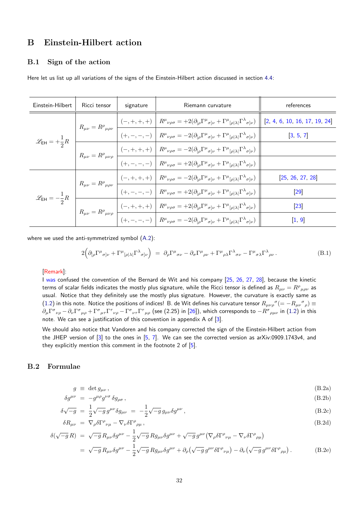## **B Einstein-Hilbert action**

#### **B.1 Sign of the action**

<span id="page-31-2"></span><span id="page-31-0"></span>Here let us list up all variations of the signs of the Einstein-Hilbert action discussed in section 4.4:

| Einstein-Hilbert | Ricci tensor | signature | Riemann curvature                                                                                                                                                                                                                                                                                                                                                                                                                                                         | references        |
|------------------|--------------|-----------|---------------------------------------------------------------------------------------------------------------------------------------------------------------------------------------------------------------------------------------------------------------------------------------------------------------------------------------------------------------------------------------------------------------------------------------------------------------------------|-------------------|
|                  |              |           | $\mathscr{L}_{\mathsf{EH}} = +\frac{1}{2}R$ $R_{\mu\nu} = R^{\rho}{}_{\mu\rho\nu}$ $\frac{\begin{vmatrix} (-,+,+,+) & R^{\mu}{}_{\nu\rho\sigma} = +2(\partial_{[\rho}\Gamma^{\mu}{}_{\sigma]\nu} + \Gamma^{\mu}{}_{[\rho \lambda }\Gamma^{\lambda}{}_{\sigma]\nu}) \end{vmatrix} \begin{bmatrix} 2,4,6,10,16,17,19,24 \end{bmatrix}}{(+,-,-,-)}$                                                                                                                          |                   |
|                  |              |           |                                                                                                                                                                                                                                                                                                                                                                                                                                                                           |                   |
|                  |              |           | $R_{\mu\nu} = R^{\rho}{}_{\mu\nu\rho} \left[ \frac{(-,+,+,+)}{2} \right] \overline{R^{\mu}{}_{\nu\rho\sigma} = -2(\partial_{[\rho}\Gamma^{\mu}{}_{\sigma]\nu} + \Gamma^{\mu}{}_{[\rho \lambda }\Gamma^{\lambda}{}_{\sigma]\nu})}$                                                                                                                                                                                                                                         |                   |
|                  |              |           | $\left. \begin{array}{c c} (+,-,-,-) & R^{\mu}{}_{\nu\rho\sigma} = +2(\partial_{[\rho}\Gamma^{\mu}{}_{\sigma]\nu} + \Gamma^{\mu}{}_{[\rho \lambda }\Gamma^{\lambda}{}_{\sigma]\nu}) \end{array} \right.$                                                                                                                                                                                                                                                                  |                   |
|                  |              |           | $\mathscr{L}_{\mathsf{EH}} = -\frac{1}{2}R\begin{array}{ l l l }\hline \\ R_{\mu\nu} = R^{\rho}{}_{\mu\rho\nu} & \hline \\ \hline \\ \hline \\ \hline \\ \hline \\ \hline \\ \hline \end{array} \begin{array}{ l l }\hline \\ (-,+,+,+) & R^{\mu}{}_{\nu\rho\sigma} = -2(\partial_{[\rho}\Gamma^{\mu}{}_{\sigma]\nu} + \Gamma^{\mu}{}_{[\rho \lambda }\Gamma^{\lambda}{}_{\sigma]\nu}) \\ \hline \\ \hline \\ \hline \\ \hline \\ \hline \\ \hline \\ \hline \end{array}$ | [25, 26, 27, 28]  |
|                  |              |           |                                                                                                                                                                                                                                                                                                                                                                                                                                                                           | $\left[29\right]$ |
|                  |              |           | $R_{\mu\nu} = R^{\rho}{}_{\mu\nu\rho} \, \left  \, \frac{(-,+,+,+)}{} \right  \, R^{\mu}{}_{\nu\rho\sigma} = + 2 (\partial_{[\rho} \Gamma^{\mu}{}_{\sigma]\nu} + \Gamma^{\mu}{}_{[\rho] \lambda]} \Gamma^{\lambda}{}_{\sigma]\nu} ) \label{eq:Rmu}$                                                                                                                                                                                                                       | $\left[23\right]$ |
|                  |              |           | $\boxed{\color{purple}{\big(+, -, -, -, -\big)}$} \begin{array}{ l }\end{array} R^{\mu}{}_{\nu\rho\sigma} = -2(\partial_{[\rho}\Gamma^{\mu}{}_{\sigma]\nu} + \Gamma^{\mu}{}_{[\rho \lambda }\Gamma^{\lambda}{}_{\sigma]\nu})$                                                                                                                                                                                                                                             | [1, 9]            |

where we used the anti-symmetrized symbol (A.2):

$$
2\left(\partial_{\lbrack\rho}\Gamma^{\mu}{}_{\sigma]\nu}+\Gamma^{\mu}{}_{\lbrack\rho|\lambda\rbrack}\Gamma^{\lambda}{}_{\sigma]\nu}\right) \;=\; \partial_{\rho}\Gamma^{\mu}{}_{\sigma\nu}-\partial_{\sigma}\Gamma^{\mu}{}_{\rho\nu}+\Gamma^{\mu}{}_{\rho\lambda}\Gamma^{\lambda}{}_{\sigma\nu}-\Gamma^{\mu}{}_{\sigma\lambda}\Gamma^{\lambda}{}_{\rho\nu}\,. \tag{B.1}
$$

#### [Remark]:

I was confused the convention of the Bernard de Wit and his company [25, 26, 27, 28], because the kinetic terms of scalar fields indicates the mostly plus signature, while the Ricci tensor is defined as  $R_{\mu\nu}=R^\rho{}_{\mu\rho\nu}$  as usual. Notice that they definitely use the mostly plus signature. However, the curvature is exactly same as (1.2) in this note. Notice the positions of indices! B. de Wit defines his curvature tensor  $R_{\mu\nu\rho}{}^\sigma(=-R_{\mu\nu}{}^\sigma{}_\rho)\equiv$  $\partial_\mu \Gamma^\sigma{}_{\nu\rho} - \partial_\nu \Gamma^\sigma{}_{\mu\rho} + \Gamma^\sigma{}_{\mu\tau} \Gamma^\tau{}_{\nu\rho} - \Gamma^\sigma{}_{\nu\tau} \Gamma^\tau{}_{\mu\rho}$  (see (2.25) in [26]), which co[rres](#page-34-5)[pon](#page-34-2)[ds t](#page-34-3)o  $-R^\sigma{}_{\rho\mu\nu}$  in (1.2) in this note. We can see a justification of this convention in appendix A of [3].

[We](#page-3-8) should also notice that Vandoren and his company corrected the sign of the Einstein-Hilbert action from the JHEP version of  $[3]$  to the ones in  $[5, 7]$ . We can se[e t](#page-34-2)he corrected version as arXiv:0909.1[743](#page-3-8)v4, and they explicitly mention this comment in the footnote 2 of [5].

### <span id="page-31-1"></span>**B.2 Formulae**

$$
g \equiv \det g_{\mu\nu} \,, \tag{B.2a}
$$

$$
\delta g^{\mu\nu} = -g^{\mu\rho}g^{\nu\sigma}\delta g_{\rho\sigma},\tag{B.2b}
$$

$$
\delta\sqrt{-g} = \frac{1}{2}\sqrt{-g}g^{\mu\nu}\delta g_{\mu\nu} = -\frac{1}{2}\sqrt{-g}g_{\mu\nu}\delta g^{\mu\nu}, \tag{B.2c}
$$

$$
\delta R_{\mu\nu} = \nabla_{\rho} \delta \Gamma^{\rho}{}_{\nu\mu} - \nabla_{\nu} \delta \Gamma^{\rho}{}_{\rho\mu} \,, \tag{B.2d}
$$

$$
\delta(\sqrt{-g} R) = \sqrt{-g} R_{\mu\nu} \delta g^{\mu\nu} - \frac{1}{2} \sqrt{-g} R g_{\mu\nu} \delta g^{\mu\nu} + \sqrt{-g} g^{\mu\nu} (\nabla_{\rho} \delta \Gamma^{\rho}{}_{\nu\mu} - \nabla_{\nu} \delta \Gamma^{\rho}{}_{\rho\mu})
$$
  
=  $\sqrt{-g} R_{\mu\nu} \delta g^{\mu\nu} - \frac{1}{2} \sqrt{-g} R g_{\mu\nu} \delta g^{\mu\nu} + \partial_{\rho} (\sqrt{-g} g^{\mu\nu} \delta \Gamma^{\rho}{}_{\nu\mu}) - \partial_{\nu} (\sqrt{-g} g^{\mu\nu} \delta \Gamma^{\rho}{}_{\rho\mu}).$  (B.2e)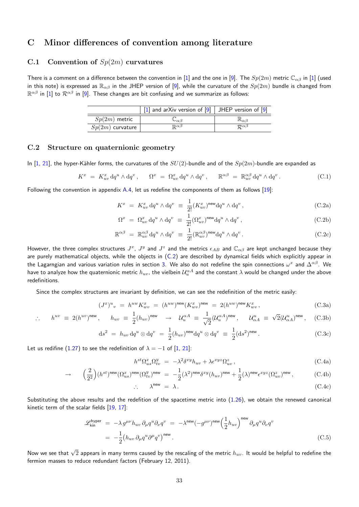# **C Minor differences of convention among literature**

### **C.1 Convention of** *Sp*(2*m*) **curvatures**

There is a comment on a difference between the convention in [1] and the one in [9]. The  $Sp(2m)$  metric  $\mathbb{C}_{\alpha\beta}$  in [1] (used in this note) is expressed as R*αβ* in the JHEP version of [9], while the curvature of the *Sp*(2*m*) bundle is changed from R *αβ* in [1] to *Rαβ* in [9]. These changes are bit confusing and we summarize as follows:

|                    | $\vert$ 1 and arXiv version of $\vert$ 9   JHEP version of $\vert$ 9 |                             |
|--------------------|----------------------------------------------------------------------|-----------------------------|
| $Sp(2m)$ metric    | $\cup_{\alpha\beta}$                                                 | $\mathbb{R}_{\alpha\beta}$  |
| $Sp(2m)$ curvature | $\mathbb{R}^{\alpha\beta}$                                           | $\mathcal{R}^{\alpha\beta}$ |

### **C.2 Structure on quaternionic geometry**

<span id="page-32-0"></span>In [1, 21], the hyper-Kähler forms, the curvatures of the  $SU(2)$ -bundle and of the  $Sp(2m)$ -bundle are expanded as

$$
K^{x} = K_{uv}^{x} dq^{u} \wedge dq^{v}, \qquad \Omega^{x} = \Omega_{uv}^{x} dq^{u} \wedge dq^{v}, \qquad \mathbb{R}^{\alpha\beta} = \mathbb{R}_{uv}^{\alpha\beta} dq^{u} \wedge dq^{v}.
$$
 (C.1)

Fol[lo](#page-33-0)[wing](#page-34-7) the convention in appendix A.4, let us redefine the components of them as follows [19]:

$$
K^x = K^x_{uv} dq^u \wedge dq^v \equiv \frac{1}{2!} (K^x_{uv})^{\text{new}} dq^u \wedge dq^v , \qquad (C.2a)
$$

$$
\Omega^x = \Omega^x_{uv} \, \mathrm{d}q^u \wedge \mathrm{d}q^v \equiv \frac{1}{2!} (\Omega^x_{uv})^{\text{new}} \mathrm{d}q^u \wedge \mathrm{d}q^v \,, \tag{C.2b}
$$

$$
\mathbb{R}^{\alpha\beta} = \mathbb{R}^{\alpha\beta}_{uv} dq^u \wedge dq^v \equiv \frac{1}{2!} (\mathbb{R}^{\alpha\beta}_{uv})^{\text{new}} dq^u \wedge dq^v.
$$
 (C.2c)

However, the three complex structures  $J^x$ ,  $J^y$  and  $J^z$  and the metrics  $\epsilon_{AB}$  and  $\mathbb{C}_{\alpha\beta}$  are kept unchanged because they are purely mathematical objects, while the objects in (C.2) are described by dynamical fields which explicitly appear in the Lagarngian and various variation rules in section 3. We also do not redefine the spin connections *ω x* and ∆*αβ*. We have to analyze how the quaternionic metric  $h_{uv}$ , the vielbein  $\mathcal{U}^{\alpha A}_u$  and the constant  $\lambda$  would be changed under the above redefinitions.

Since the complex structures are invariant by defi[ni](#page-11-0)tion, we can see the redefinition of the metric easily:

$$
(J^x)^u{}_v = h^{uw} K^x_{ww} = (h^{uw})^{\text{new}} (K^x_{ww})^{\text{new}} = 2(h^{uw})^{\text{new}} K^x_{ww},
$$
\n(C.3a)

$$
\therefore h^{uv} \equiv 2(h^{uv})^{\text{new}}, \quad h_{uv} \equiv \frac{1}{2}(h_{uv})^{\text{new}} \rightarrow \mathcal{U}_{u}^{\alpha A} \equiv \frac{1}{\sqrt{2}}(\mathcal{U}_{u}^{\alpha A})^{\text{new}}, \quad \mathcal{U}_{\alpha A}^{u} \equiv \sqrt{2}(\mathcal{U}_{\alpha A}^{u})^{\text{new}}, \quad \text{(C.3b)}
$$

$$
ds^2 = h_{uv} dq^u \otimes dq^v = \frac{1}{2} (h_{uv})^{\text{new}} dq^u \otimes dq^v \equiv \frac{1}{2} (ds^2)^{\text{new}}.
$$
 (C.3c)

Let us redifine (1.27) to see the redefinition of  $\lambda = -1$  of [1, 21]:

$$
h^{st}\Omega_{us}^x\Omega_{tv}^y = -\lambda^2 \delta^{xy} h_{uv} + \lambda \epsilon^{xyz} \Omega_{uv}^z,
$$
\n(C.4a)

$$
\rightarrow \left(\frac{2}{2^2}\right)(h^{st})^{\text{new}}(\Omega_{us}^x)^{\text{new}}(\Omega_{tv}^y)^{\text{new}} = -\frac{1}{2}(\lambda^2)^{\text{new}}\delta^{xy}(h_{uv})^{\text{new}} + \frac{1}{2}(\lambda)^{\text{new}}\epsilon^{xyz}(\Omega_{uv}^z)^{\text{new}},\tag{C.4b}
$$

$$
\therefore \qquad \lambda^{\text{new}} = \lambda. \tag{C.4c}
$$

Substituting the above results and the redefition of the spacetime metric into (1.26), we obtain the renewed canonical kinetic term of the scalar fields [19, 17]:

$$
\mathcal{L}_{kin}^{hyper} = -\lambda g^{\mu\nu} h_{uv} \, \partial_{\mu} q^{u} \partial_{\nu} q^{v} = -\lambda^{new} (-g^{\mu\nu})^{new} \left(\frac{1}{2} h_{uv}\right)^{new} \partial_{\mu} q^{u} \partial_{\nu} q^{v}
$$
\n
$$
= -\frac{1}{2} \left(h_{uv} \, \partial_{\mu} q^{u} \partial^{\mu} q^{v}\right)^{new} . \tag{C.5}
$$

Now we see that *<sup>√</sup>* 2 appears in many terms caused by the rescaling of the metric *huv*. It would be helpful to redefine the fermion masses to reduce redundant factors (February 12, 2011).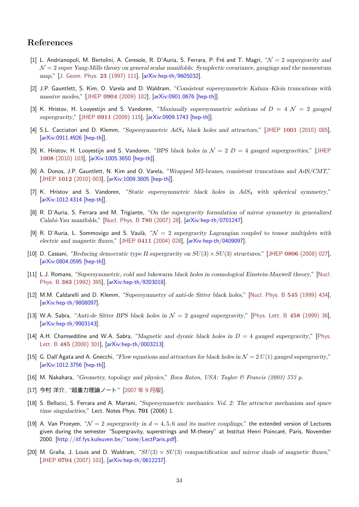# **References**

- [1] L. Andrianopoli, M. Bertolini, A. Ceresole, R. D'Auria, S. Ferrara, P. Fré and T. Magri, " $\mathcal{N}=2$  *supergravity and N* = 2 *super Yang-Mills theory on general scalar manifolds: Symplectic covariance, gaugings and the momentum map*," [J. Geom. Phys. **23** (1997) 111], [arXiv:hep-th/9605032].
- <span id="page-33-0"></span>[2] J.P. Gauntlett, S. Kim, O. Varela and D. Waldram, "*Consistent supersymmetric Kaluza–Klein truncations with massive modes*," [JHEP **0904** (2009) 102], [arXiv:0901.0676 [hep-th]].
- [3] K. Hris[tov, H. Looyestijn and S. Van](#page-0-0)doren, "*[Maximally sup](http://arxiv.org/abs/hep-th/9605032)ersymmetric solutions of D* = 4 *N* = 2 *gauged supergravity*," [JHEP **0911** (2009) 115], [arXiv:0909.1743 [hep-th]].
- [4] S.L. Cacciatori an[d D. Klemm, "](#page-0-0)*Supersymmetric AdS*<sup>4</sup> *[black holes](http://arxiv.org/abs/0901.0676) and attractors*," [JHEP **1001** (2010) 085], [arXiv:0911.4926 [hep-th]].
- [5] K. Hristov, H. [Looyestijn and S. Vando](#page-0-0)ren, "*[BPS black holes in](http://arxiv.org/abs/0909.1743) N* = 2 *D* = 4 *gauged supergravities*," [JHEP **1008** (2010) 103], [arXiv:1005.3650 [hep-th]].
- [6] [A. Donos, J.P. Gauntlett,](http://arxiv.org/abs/0911.4926) N. Kim and O. Varela, "*Wrapped M5-branes, consistent truncations and AdS/CMT*," [JHEP **1012** (2010) 003], [arXiv:1009.3805 [hep-th]].
- [7] [K. Hristov and](#page-0-0) S[. Vandoren, "](http://arxiv.org/abs/1005.3650)*Static supersymmetric black holes in AdS*<sup>4</sup> *with spherical symmetry*," [arXiv:1012.4314 [hep-th]].
- [8] [R. D'Auria, S. Ferrara a](#page-0-0)nd [M. Trigiante, "](http://arxiv.org/abs/1009.3805)*On the supergravity formulation of mirror symmetry in generalized Calabi-Yau manifolds*," [Nucl. Phys. B **780** (2007) 28], [arXiv:hep-th/0701247].
- [9] [R. D'Auria, L. Sommovig](http://arxiv.org/abs/1012.4314)o and S. Vaulà, " $\mathcal{N} = 2$  *supergravity Lagrangian coupled to tensor multiplets with electric and magnetic fluxes*," [JHEP **0411** (2004) 028], [arXiv:hep-th/0409097].
- <span id="page-33-4"></span>[10] D. Cassani, "*Reducing d[emocratic type II supergravit](#page-0-0)y on [SU](http://arxiv.org/abs/hep-th/0701247)*(3) *× SU*(3) *structures*," [JHEP **0806** (2008) 027], [arXiv:0804.0595 [hep-th]].
- [11] L.J. Romans, "*Supersymmetric[, cold and lukewarm bla](#page-0-0)ck [holes in cosmological](http://arxiv.org/abs/hep-th/0409097) Einstein-Maxwell theory*," [Nucl. Phys. B **383** (1992) 395], [arXiv:hep-th/9203018].
- [12] [M.M. Caldarelli and D. K](http://arxiv.org/abs/0804.0595)lemm, "*Supersymmetry of anti-de Sitter black holes*," [Nucl. Phys. B **545** (1999) 434], [arXiv:hep-th/9808097].
- [13] [W.A. Sabra, "](#page-0-0)*Anti-de Sit[ter BPS black holes i](http://arxiv.org/abs/hep-th/9203018)n N* = 2 *gauged supergravity*," [Phys. Lett. B **458** (1999) 36], [arXiv:hep-th/9903143].
- [14] [A.H. Chamseddine and](http://arxiv.org/abs/hep-th/9808097) W.A. Sabra, "*Magnetic and dyonic black holes in D* = 4 *gauged supergravity*," [Phys. Lett. B **485** (2000) 301], [arXiv:hep-th/0003213].
- [15] [G. Dall'Agata and A. G](http://arxiv.org/abs/hep-th/9903143)necchi, "*Flow equations and attractors for black holes in N* = 2 *U*(1) *gauged supergravity*," [arXiv:1012.3756 [hep-th]].
- [16] [M. Nakahara, "](#page-0-0)*Geometry, [topology and physics](http://arxiv.org/abs/hep-th/0003213)*," *Boca Raton, USA: Taylor & Francis (2003) 573 p.*
- [17] 今村 洋介, "[超重力理論ノ](http://arxiv.org/abs/1012.3756)ート" [2007 年 9 月版].
- <span id="page-33-5"></span>[18] S. Bellucci, S. Ferrara and A. Marrani, "*Supersymmetric mechanics. Vol. 2: The attractor mechanism and space time singularities*," Lect. Notes Phys. **701** (2006) 1.
- <span id="page-33-2"></span><span id="page-33-1"></span>[19] A. Van Proeyen, " $\mathcal{N} = 2$  *superg[ravity in](#page-0-0)*  $d = 4, 5, 6$  *and its matter couplings*," the extended version of Lectures given during the semester "Supergravity, superstrings and M-theory" at Institut Henri Poincaré, Paris, November 2000. [http://itf.fys.kuleuven.be/˜toine/LectParis.pdf].
- <span id="page-33-3"></span>[20] M. Graña, J. Louis and D. Waldram, " $SU(3) \times SU(3)$  compactification and mirror duals of magnetic fluxes," [JHEP **0704** (2007) 101], [arXiv:hep-th/0612237].